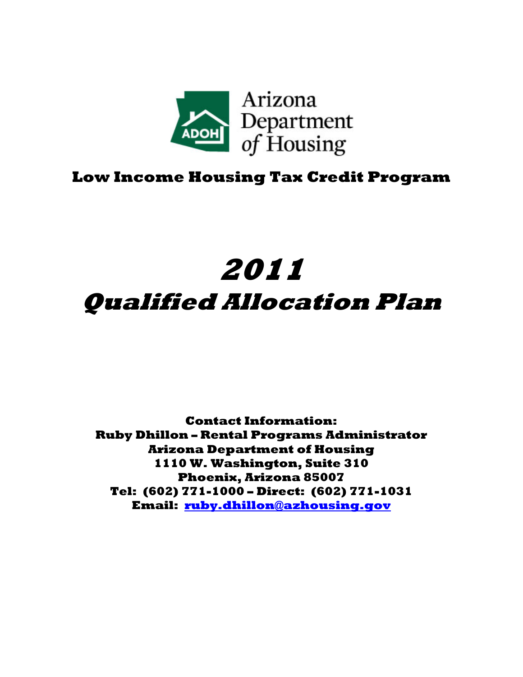

# **Low Income Housing Tax Credit Program**

# **2011 Qualified Allocation Plan**

**Contact Information: Ruby Dhillon – Rental Programs Administrator Arizona Department of Housing 1110 W. Washington, Suite 310 Phoenix, Arizona 85007 Tel: (602) 771-1000 – Direct: (602) 771-1031 Email: ruby.dhillon@azhousing.gov**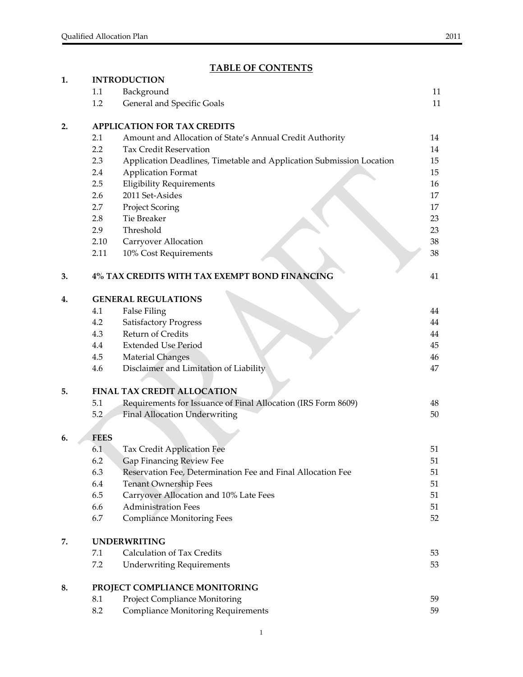# **TABLE OF CONTENTS**

| 1. |             | <b>INTRODUCTION</b>                                                                     |          |
|----|-------------|-----------------------------------------------------------------------------------------|----------|
|    | 1.1         | Background                                                                              | 11       |
|    | 1.2         | General and Specific Goals                                                              | 11       |
| 2. |             | <b>APPLICATION FOR TAX CREDITS</b>                                                      |          |
|    | 2.1         | Amount and Allocation of State's Annual Credit Authority                                | 14       |
|    | 2.2         | <b>Tax Credit Reservation</b>                                                           | 14       |
|    | 2.3         | Application Deadlines, Timetable and Application Submission Location                    | 15       |
|    | 2.4         | <b>Application Format</b>                                                               | 15       |
|    | 2.5         | <b>Eligibility Requirements</b>                                                         | 16       |
|    | 2.6         | 2011 Set-Asides                                                                         | 17       |
|    | 2.7         | <b>Project Scoring</b>                                                                  | 17       |
|    | 2.8         | Tie Breaker                                                                             | 23       |
|    | 2.9         | Threshold                                                                               | 23       |
|    | 2.10        | Carryover Allocation                                                                    | 38       |
|    | 2.11        | 10% Cost Requirements                                                                   | 38       |
| 3. |             | 4% TAX CREDITS WITH TAX EXEMPT BOND FINANCING                                           | 41       |
| 4. |             | <b>GENERAL REGULATIONS</b>                                                              |          |
|    | 4.1         | <b>False Filing</b>                                                                     | 44       |
|    | 4.2         | <b>Satisfactory Progress</b>                                                            | 44       |
|    | 4.3         | Return of Credits                                                                       | 44       |
|    | 4.4         | <b>Extended Use Period</b>                                                              | 45       |
|    | 4.5         | <b>Material Changes</b>                                                                 | 46       |
|    | 4.6         | Disclaimer and Limitation of Liability                                                  | 47       |
| 5. |             | <b>FINAL TAX CREDIT ALLOCATION</b>                                                      |          |
|    | 5.1         | Requirements for Issuance of Final Allocation (IRS Form 8609)                           | 48       |
|    | 5.2         | <b>Final Allocation Underwriting</b>                                                    | 50       |
|    |             |                                                                                         |          |
| 6. | <b>FEES</b> |                                                                                         |          |
|    | 6.1<br>6.2  | Tax Credit Application Fee                                                              | 51<br>51 |
|    | 6.3         | Gap Financing Review Fee<br>Reservation Fee, Determination Fee and Final Allocation Fee | 51       |
|    | 6.4         | <b>Tenant Ownership Fees</b>                                                            | 51       |
|    | 6.5         | Carryover Allocation and 10% Late Fees                                                  | 51       |
|    | 6.6         | <b>Administration Fees</b>                                                              | 51       |
|    | 6.7         | <b>Compliance Monitoring Fees</b>                                                       | 52       |
| 7. |             | <b>UNDERWRITING</b>                                                                     |          |
|    | 7.1         | Calculation of Tax Credits                                                              | 53       |
|    | 7.2         | <b>Underwriting Requirements</b>                                                        | 53       |
| 8. |             | PROJECT COMPLIANCE MONITORING                                                           |          |
|    | 8.1         | Project Compliance Monitoring                                                           | 59       |
|    | 8.2         | <b>Compliance Monitoring Requirements</b>                                               | 59       |
|    |             |                                                                                         |          |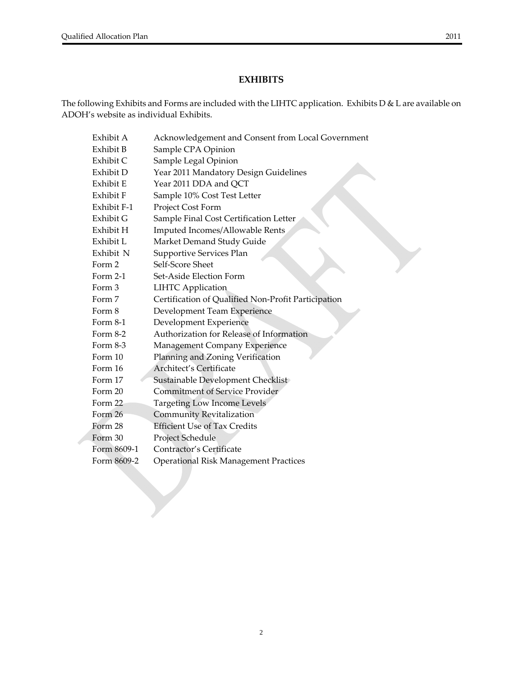#### **EXHIBITS**

The following Exhibits and Forms are included with the LIHTC application. Exhibits D & L are available on ADOH's website as individual Exhibits.

| Exhibit A   | Acknowledgement and Consent from Local Government   |
|-------------|-----------------------------------------------------|
| Exhibit B   | Sample CPA Opinion                                  |
| Exhibit C   | Sample Legal Opinion                                |
| Exhibit D   | Year 2011 Mandatory Design Guidelines               |
| Exhibit E   | Year 2011 DDA and QCT                               |
| Exhibit F   | Sample 10% Cost Test Letter                         |
| Exhibit F-1 | Project Cost Form                                   |
| Exhibit G   | Sample Final Cost Certification Letter              |
| Exhibit H   | Imputed Incomes/Allowable Rents                     |
| Exhibit L   | Market Demand Study Guide                           |
| Exhibit N   | Supportive Services Plan                            |
| Form 2      | Self-Score Sheet                                    |
| Form 2-1    | Set-Aside Election Form                             |
| Form 3      | <b>LIHTC Application</b>                            |
| Form 7      | Certification of Qualified Non-Profit Participation |
| Form 8      | Development Team Experience                         |
| Form 8-1    | Development Experience                              |
| Form 8-2    | Authorization for Release of Information            |
| Form 8-3    | Management Company Experience                       |
| Form 10     | Planning and Zoning Verification                    |
| Form 16     | Architect's Certificate                             |
| Form 17     | Sustainable Development Checklist                   |
| Form 20     | <b>Commitment of Service Provider</b>               |
| Form 22     | <b>Targeting Low Income Levels</b>                  |
| Form 26     | Community Revitalization                            |
| Form 28     | <b>Efficient Use of Tax Credits</b>                 |
| Form 30     | Project Schedule                                    |
| Form 8609-1 | Contractor's Certificate                            |
| Form 8609-2 | <b>Operational Risk Management Practices</b>        |
|             |                                                     |
|             |                                                     |
|             |                                                     |
|             |                                                     |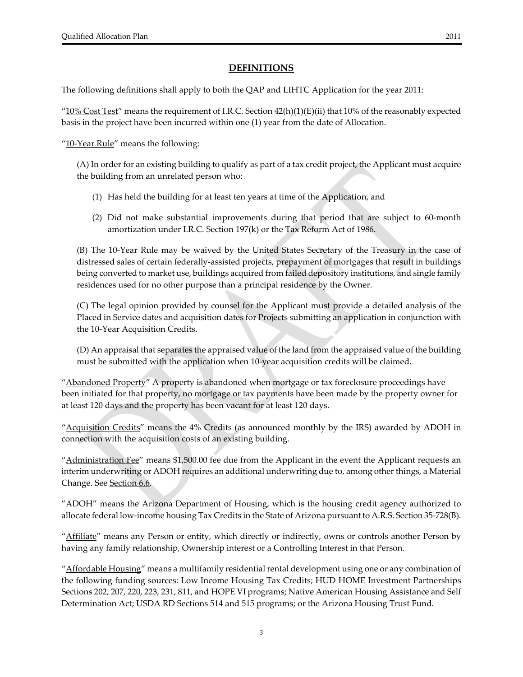#### **DEFINITIONS**

The following definitions shall apply to both the QAP and LIHTC Application for the year 2011:

" $10\%$  Cost Test" means the requirement of I.R.C. Section  $42(h)(1)(E)(ii)$  that 10% of the reasonably expected basis in the project have been incurred within one (1) year from the date of Allocation.

"10-Year Rule" means the following:

(A) In order for an existing building to qualify as part of a tax credit project, the Applicant must acquire the building from an unrelated person who:

- (1) Has held the building for at least ten years at time of the Application, and
- (2) Did not make substantial improvements during that period that are subject to 60‐month amortization under I.R.C. Section 197(k) or the Tax Reform Act of 1986.

(B) The 10‐Year Rule may be waived by the United States Secretary of the Treasury in the case of distressed sales of certain federally‐assisted projects, prepayment of mortgages that result in buildings being converted to market use, buildings acquired from failed depository institutions, and single family residences used for no other purpose than a principal residence by the Owner.

(C) The legal opinion provided by counsel for the Applicant must provide a detailed analysis of the Placed in Service dates and acquisition dates for Projects submitting an application in conjunction with the 10‐Year Acquisition Credits.

(D) An appraisal that separates the appraised value of the land from the appraised value of the building must be submitted with the application when 10‐year acquisition credits will be claimed.

"Abandoned Property" A property is abandoned when mortgage or tax foreclosure proceedings have been initiated for that property, no mortgage or tax payments have been made by the property owner for at least 120 days and the property has been vacant for at least 120 days.

"Acquisition Credits" means the 4% Credits (as announced monthly by the IRS) awarded by ADOH in connection with the acquisition costs of an existing building.

" $\Delta$ dministration Fee" means \$1,500.00 fee due from the Applicant in the event the Applicant requests an interim underwriting or ADOH requires an additional underwriting due to, among other things, a Material Change. See Section 6.6.

"ADOH" means the Arizona Department of Housing, which is the housing credit agency authorized to allocate federal low‐income housing Tax Credits in the State of Arizona pursuant to A.R.S. Section 35‐728(B).

"Affiliate" means any Person or entity, which directly or indirectly, owns or controls another Person by having any family relationship, Ownership interest or a Controlling Interest in that Person.

"Affordable Housing" means a multifamily residential rental development using one or any combination of the following funding sources: Low Income Housing Tax Credits; HUD HOME Investment Partnerships Sections 202, 207, 220, 223, 231, 811, and HOPE VI programs; Native American Housing Assistance and Self Determination Act; USDA RD Sections 514 and 515 programs; or the Arizona Housing Trust Fund.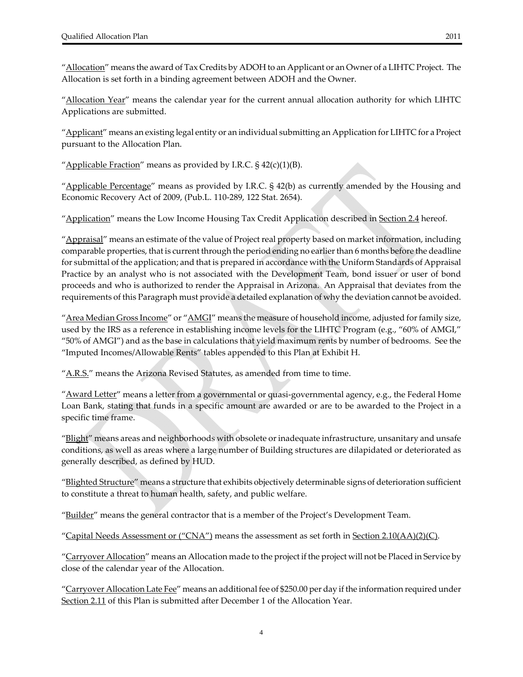"Allocation" means the award of Tax Credits by ADOH to an Applicant or an Owner of a LIHTC Project. The Allocation is set forth in a binding agreement between ADOH and the Owner.

"Allocation Year" means the calendar year for the current annual allocation authority for which LIHTC Applications are submitted.

"Applicant" means an existing legal entity or an individual submitting an Application for LIHTC for a Project pursuant to the Allocation Plan.

"Applicable Fraction" means as provided by I.R.C.  $\S$  42(c)(1)(B).

"Applicable Percentage" means as provided by I.R.C.  $\S$  42(b) as currently amended by the Housing and Economic Recovery Act of 2009, (Pub.L. 110‐289, 122 Stat. 2654).

"Application" means the Low Income Housing Tax Credit Application described in Section 2.4 hereof.

"Appraisal" means an estimate of the value of Project real property based on market information, including comparable properties, that is current through the period ending no earlierthan 6 months before the deadline for submittal of the application; and that is prepared in accordance with the Uniform Standards of Appraisal Practice by an analyst who is not associated with the Development Team, bond issuer or user of bond proceeds and who is authorized to render the Appraisal in Arizona. An Appraisal that deviates from the requirements of this Paragraph must provide a detailed explanation of why the deviation cannot be avoided.

"Area Median Gross Income" or "AMGI" means the measure of household income, adjusted for family size, used by the IRS as a reference in establishing income levels for the LIHTC Program (e.g., "60% of AMGI," "50% of AMGI") and as the base in calculations that yield maximum rents by number of bedrooms. See the "Imputed Incomes/Allowable Rents" tables appended to this Plan at Exhibit H.

 $"A.R.S."$  means the Arizona Revised Statutes, as amended from time to time.

"Award Letter" means a letter from a governmental or quasi-governmental agency, e.g., the Federal Home Loan Bank, stating that funds in a specific amount are awarded or are to be awarded to the Project in a specific time frame.

"Blight" means areas and neighborhoods with obsolete or inadequate infrastructure, unsanitary and unsafe conditions, as well as areas where a large number of Building structures are dilapidated or deteriorated as generally described, as defined by HUD.

"Blighted Structure" means a structure that exhibits objectively determinable signs of deterioration sufficient to constitute a threat to human health, safety, and public welfare.

"<u>Builder</u>" means the general contractor that is a member of the Project's Development Team.

"Capital Needs Assessment or  $("CNA")$  means the assessment as set forth in Section  $2.10(AA)(2)(C)$ .

"Carryover Allocation" means an Allocation made to the project if the project will not be Placed in Service by close of the calendar year of the Allocation.

"Carryover Allocation Late Fee" means an additional fee of \$250.00 per day if the information required under Section 2.11 of this Plan is submitted after December 1 of the Allocation Year.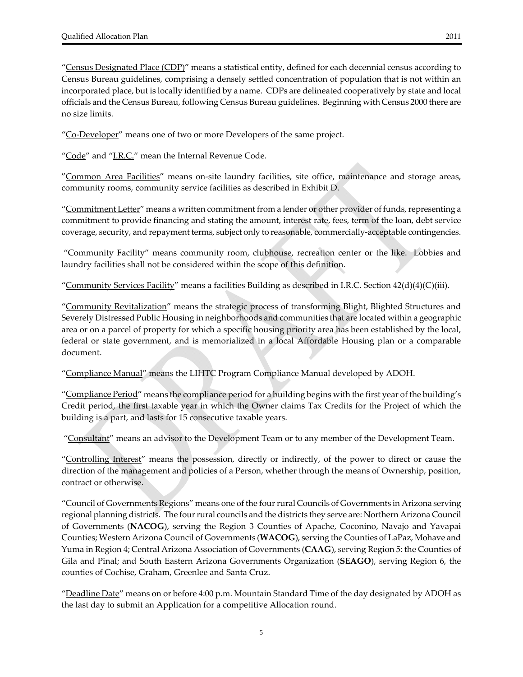"Census Designated Place (CDP)" means a statistical entity, defined for each decennial census according to Census Bureau guidelines, comprising a densely settled concentration of population that is not within an incorporated place, but is locally identified by a name. CDPs are delineated cooperatively by state and local officials and the Census Bureau, following Census Bureau guidelines. Beginning with Census 2000 there are no size limits.

"Co-Developer" means one of two or more Developers of the same project.

"Code" and "I.R.C." mean the Internal Revenue Code.

"Common Area Facilities" means on-site laundry facilities, site office, maintenance and storage areas, community rooms, community service facilities as described in Exhibit D.

"Commitment Letter" means a written commitment from a lender or other provider of funds, representing a commitment to provide financing and stating the amount, interest rate, fees, term of the loan, debt service coverage, security, and repayment terms, subject only to reasonable, commercially‐acceptable contingencies.

"Community Facility" means community room, clubhouse, recreation center or the like. Lobbies and laundry facilities shall not be considered within the scope of this definition.

"Community Services Facility" means a facilities Building as described in I.R.C. Section  $42(d)(4)(C)(iii)$ .

"Community Revitalization" means the strategic process of transforming Blight, Blighted Structures and Severely Distressed Public Housing in neighborhoods and communities that are located within a geographic area or on a parcel of property for which a specific housing priority area has been established by the local, federal or state government, and is memorialized in a local Affordable Housing plan or a comparable document.

"Compliance Manual" means the LIHTC Program Compliance Manual developed by ADOH.

"Compliance Period" means the compliance period for a building begins with the first year of the building's Credit period, the first taxable year in which the Owner claims Tax Credits for the Project of which the building is a part, and lasts for 15 consecutive taxable years.

"Consultant" means an advisor to the Development Team or to any member of the Development Team.

"Controlling Interest" means the possession, directly or indirectly, of the power to direct or cause the direction of the management and policies of a Person, whether through the means of Ownership, position, contract or otherwise.

"Council of Governments Regions" means one of the four rural Councils of Governments in Arizona serving regional planning districts. The fourrural councils and the districts they serve are: Northern Arizona Council of Governments (**NACOG**), serving the Region 3 Counties of Apache, Coconino, Navajo and Yavapai Counties; Western Arizona Council of Governments (**WACOG**), serving the Counties of LaPaz, Mohave and Yuma in Region 4; Central Arizona Association of Governments (**CAAG**), serving Region 5: the Counties of Gila and Pinal; and South Eastern Arizona Governments Organization (**SEAGO**), serving Region 6, the counties of Cochise, Graham, Greenlee and Santa Cruz.

"Deadline Date" means on or before 4:00 p.m. Mountain Standard Time of the day designated by ADOH as the last day to submit an Application for a competitive Allocation round.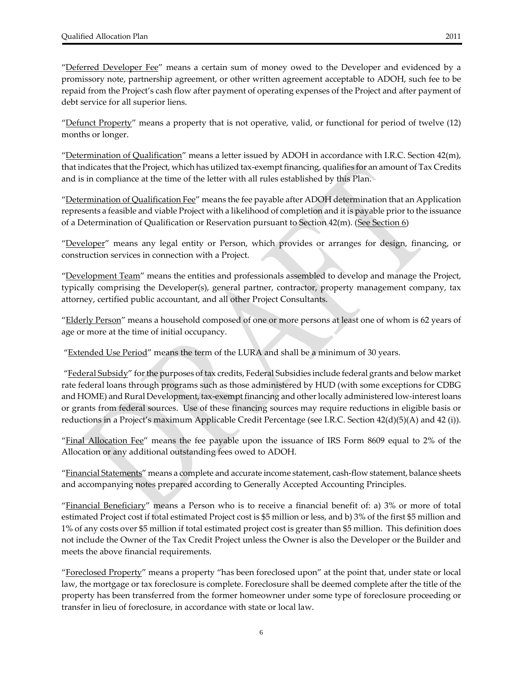"Deferred Developer Fee" means a certain sum of money owed to the Developer and evidenced by a promissory note, partnership agreement, or other written agreement acceptable to ADOH, such fee to be repaid from the Project's cash flow after payment of operating expenses of the Project and after payment of debt service for all superior liens.

"Defunct Property" means a property that is not operative, valid, or functional for period of twelve (12) months or longer.

"Determination of Qualification" means a letter issued by ADOH in accordance with I.R.C. Section 42(m), that indicates that the Project, which has utilized tax‐exempt financing, qualifies for an amount of Tax Credits and is in compliance at the time of the letter with all rules established by this Plan.

"<u>Determination of Qualification Fee</u>" means the fee payable after ADOH determination that an Application represents a feasible and viable Project with a likelihood of completion and it is payable priorto the issuance of a Determination of Qualification or Reservation pursuant to Section 42(m). (See Section 6)

"Developer" means any legal entity or Person, which provides or arranges for design, financing, or construction services in connection with a Project.

"Development Team" means the entities and professionals assembled to develop and manage the Project, typically comprising the Developer(s), general partner, contractor, property management company, tax attorney, certified public accountant, and all other Project Consultants.

"Elderly Person" means a household composed of one or more persons at least one of whom is 62 years of age or more at the time of initial occupancy.

"Extended Use Period" means the term of the LURA and shall be a minimum of 30 years.

"Federal Subsidy" for the purposes of tax credits, Federal Subsidies include federal grants and below market rate federal loans through programs such as those administered by HUD (with some exceptions for CDBG and HOME) and Rural Development, tax-exempt financing and other locally administered low-interest loans or grants from federal sources. Use of these financing sources may require reductions in eligible basis or reductions in a Project's maximum Applicable Credit Percentage (see I.R.C. Section 42(d)(5)(A) and 42 (i)).

"Final Allocation Fee" means the fee payable upon the issuance of IRS Form 8609 equal to 2% of the Allocation or any additional outstanding fees owed to ADOH.

"Financial Statements" means a complete and accurate income statement, cash‐flow statement, balance sheets and accompanying notes prepared according to Generally Accepted Accounting Principles.

"Financial Beneficiary" means a Person who is to receive a financial benefit of: a) 3% or more of total estimated Project cost if total estimated Project cost is \$5 million or less, and b) 3% of the first \$5 million and 1% of any costs over \$5 million if total estimated project cost is greater than \$5 million. This definition does not include the Owner of the Tax Credit Project unless the Owner is also the Developer or the Builder and meets the above financial requirements.

"Foreclosed Property" means a property "has been foreclosed upon" at the point that, under state or local law, the mortgage or tax foreclosure is complete. Foreclosure shall be deemed complete after the title of the property has been transferred from the former homeowner under some type of foreclosure proceeding or transfer in lieu of foreclosure, in accordance with state or local law.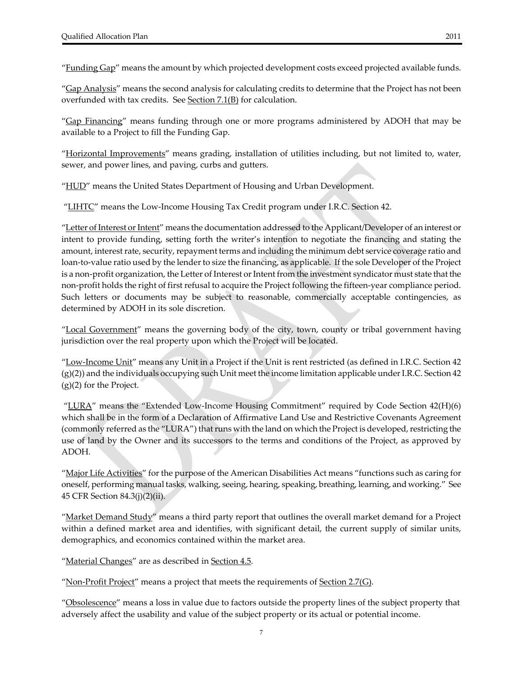"Funding Gap" means the amount by which projected development costs exceed projected available funds.

"Gap Analysis" means the second analysis for calculating credits to determine that the Project has not been overfunded with tax credits. See Section 7.1(B) for calculation.

"Gap Financing" means funding through one or more programs administered by ADOH that may be available to a Project to fill the Funding Gap.

"Horizontal Improvements" means grading, installation of utilities including, but not limited to, water, sewer, and power lines, and paving, curbs and gutters.

"HUD" means the United States Department of Housing and Urban Development.

"LIHTC" means the Low-Income Housing Tax Credit program under I.R.C. Section 42.

"<u>Letter of Interest or Intent</u>" means the documentation addressed to the Applicant/Developer of an interest or intent to provide funding, setting forth the writer's intention to negotiate the financing and stating the amount, interest rate, security, repayment terms and including the minimum debt service coverage ratio and loan-to-value ratio used by the lender to size the financing, as applicable. If the sole Developer of the Project is a non-profit organization, the Letter of Interest or Intent from the investment syndicator must state that the non‐profit holds the right of first refusal to acquire the Project following the fifteen‐year compliance period. Such letters or documents may be subject to reasonable, commercially acceptable contingencies, as determined by ADOH in its sole discretion.

"Local Government" means the governing body of the city, town, county or tribal government having jurisdiction over the real property upon which the Project will be located.

"Low-Income Unit" means any Unit in a Project if the Unit is rent restricted (as defined in I.R.C. Section 42  $(g)(2)$ ) and the individuals occupying such Unit meet the income limitation applicable under I.R.C. Section 42 (g)(2) for the Project.

"LURA" means the "Extended Low-Income Housing Commitment" required by Code Section 42(H)(6) which shall be in the form of a Declaration of Affirmative Land Use and Restrictive Covenants Agreement (commonly referred as the "LURA") that runs with the land on which the Project is developed, restricting the use of land by the Owner and its successors to the terms and conditions of the Project, as approved by ADOH.

"Major Life Activities" for the purpose of the American Disabilities Act means "functions such as caring for oneself, performing manual tasks, walking, seeing, hearing, speaking, breathing, learning, and working." See 45 CFR Section 84.3(j)(2)(ii).

"Market Demand Study" means a third party report that outlines the overall market demand for a Project within a defined market area and identifies, with significant detail, the current supply of similar units, demographics, and economics contained within the market area.

"<u>Material Changes</u>" are as described in <u>Section 4.5</u>.

"Non-Profit Project" means a project that meets the requirements of Section 2.7(G).

"<u>Obsolescence</u>" means a loss in value due to factors outside the property lines of the subject property that adversely affect the usability and value of the subject property or its actual or potential income.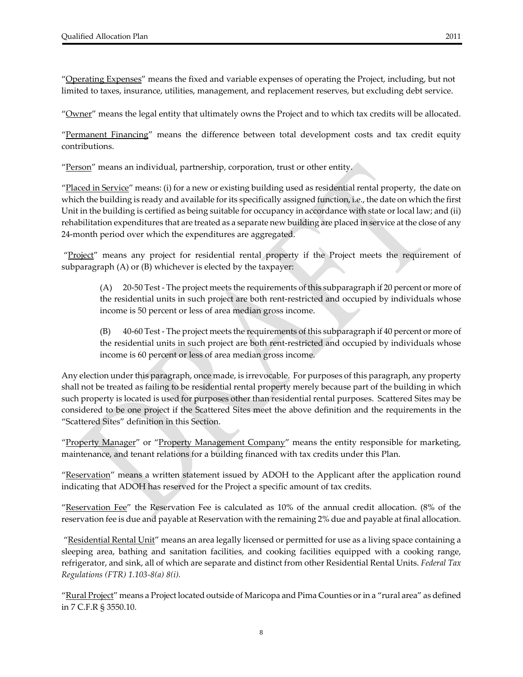"Operating Expenses" means the fixed and variable expenses of operating the Project, including, but not limited to taxes, insurance, utilities, management, and replacement reserves, but excluding debt service.

"Owner" means the legal entity that ultimately owns the Project and to which tax credits will be allocated.

"Permanent Financing" means the difference between total development costs and tax credit equity contributions.

"Person" means an individual, partnership, corporation, trust or other entity.

"<u>Placed in Service</u>" means: (i) for a new or existing building used as residential rental property, the date on which the building is ready and available forits specifically assigned function, i.e., the date on which the first Unit in the building is certified as being suitable for occupancy in accordance with state or local law; and (ii) rehabilitation expenditures that are treated as a separate new building are placed in service at the close of any 24‐month period over which the expenditures are aggregated.

"Project" means any project for residential rental property if the Project meets the requirement of subparagraph (A) or (B) whichever is elected by the taxpayer:

(A) 20‐50 Test ‐ The project meets the requirements of this subparagraph if 20 percent or more of the residential units in such project are both rent‐restricted and occupied by individuals whose income is 50 percent or less of area median gross income.

(B) 40‐60 Test ‐ The project meets the requirements of this subparagraph if 40 percent or more of the residential units in such project are both rent‐restricted and occupied by individuals whose income is 60 percent or less of area median gross income.

Any election under this paragraph, once made, is irrevocable. For purposes of this paragraph, any property shall not be treated as failing to be residential rental property merely because part of the building in which such property is located is used for purposes other than residential rental purposes. Scattered Sites may be considered to be one project if the Scattered Sites meet the above definition and the requirements in the "Scattered Sites" definition in this Section.

"Property Manager" or "Property Management Company" means the entity responsible for marketing, maintenance, and tenant relations for a building financed with tax credits under this Plan.

"Reservation" means a written statement issued by ADOH to the Applicant after the application round indicating that ADOH has reserved for the Project a specific amount of tax credits.

"Reservation Fee" the Reservation Fee is calculated as 10% of the annual credit allocation. (8% of the reservation fee is due and payable at Reservation with the remaining 2% due and payable at final allocation.

"<u>Residential Rental Unit</u>" means an area legally licensed or permitted for use as a living space containing a sleeping area, bathing and sanitation facilities, and cooking facilities equipped with a cooking range, refrigerator, and sink, all of which are separate and distinct from other Residential Rental Units. *Federal Tax Regulations (FTR) 1.103‐8(a) 8(i).*

"Rural Project" means a Project located outside of Maricopa and Pima Counties or in a "rural area" as defined in 7 C.F.R § 3550.10.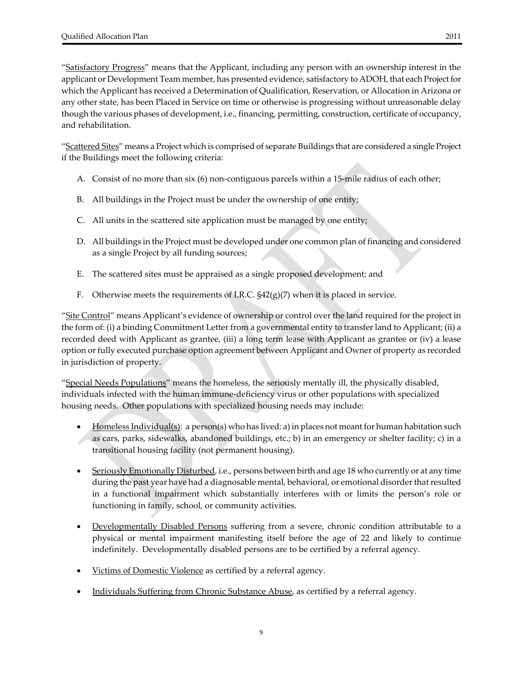"Satisfactory Progress" means that the Applicant, including any person with an ownership interest in the applicant or Development Team member, has presented evidence, satisfactory to ADOH, that each Project for which the Applicant has received a Determination of Qualification, Reservation, or Allocation in Arizona or any other state, has been Placed in Service on time or otherwise is progressing without unreasonable delay though the various phases of development, i.e., financing, permitting, construction, certificate of occupancy, and rehabilitation.

"Scattered Sites" means a Project which is comprised of separate Buildings that are considered a single Project if the Buildings meet the following criteria:

- A. Consist of no more than six (6) non‐contiguous parcels within a 15‐mile radius of each other;
- B. All buildings in the Project must be under the ownership of one entity;
- C. All units in the scattered site application must be managed by one entity;
- D. All buildings in the Project must be developed under one common plan of financing and considered as a single Project by all funding sources;
- E. The scattered sites must be appraised as a single proposed development; and
- F. Otherwise meets the requirements of I.R.C.  $\frac{542(g)}{7}$  when it is placed in service.

"Site Control" means Applicant's evidence of ownership or control over the land required for the project in the form of: (i) a binding Commitment Letter from a governmental entity to transfer land to Applicant; (ii) a recorded deed with Applicant as grantee, (iii) a long term lease with Applicant as grantee or (iv) a lease option or fully executed purchase option agreement between Applicant and Owner of property as recorded in jurisdiction of property.

"Special Needs Populations" means the homeless, the seriously mentally ill, the physically disabled, individuals infected with the human immune‐deficiency virus or other populations with specialized housing needs. Other populations with specialized housing needs may include:

- Homeless Individual(s): a person(s) who has lived: a) in places not meant for human habitation such as cars, parks, sidewalks, abandoned buildings, etc.; b) in an emergency or shelter facility; c) in a transitional housing facility (not permanent housing).
- Seriously Emotionally Disturbed, i.e., persons between birth and age 18 who currently or at any time during the past year have had a diagnosable mental, behavioral, or emotional disorder that resulted in a functional impairment which substantially interferes with or limits the person's role or functioning in family, school, or community activities.
- Developmentally Disabled Persons suffering from a severe, chronic condition attributable to a physical or mental impairment manifesting itself before the age of 22 and likely to continue indefinitely. Developmentally disabled persons are to be certified by a referral agency.
- Victims of Domestic Violence as certified by a referral agency.
- Individuals Suffering from Chronic Substance Abuse, as certified by a referral agency.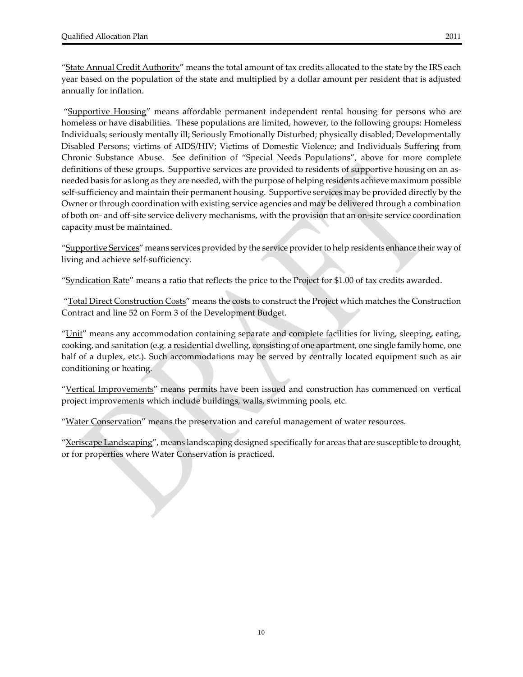"State Annual Credit Authority" means the total amount of tax credits allocated to the state by the IRS each year based on the population of the state and multiplied by a dollar amount per resident that is adjusted annually for inflation.

"Supportive Housing" means affordable permanent independent rental housing for persons who are homeless or have disabilities. These populations are limited, however, to the following groups: Homeless Individuals; seriously mentally ill; Seriously Emotionally Disturbed; physically disabled; Developmentally Disabled Persons; victims of AIDS/HIV; Victims of Domestic Violence; and Individuals Suffering from Chronic Substance Abuse. See definition of "Special Needs Populations", above for more complete definitions of these groups. Supportive services are provided to residents of supportive housing on an asneeded basis for as long as they are needed, with the purpose of helping residents achieve maximum possible self-sufficiency and maintain their permanent housing. Supportive services may be provided directly by the Owner or through coordination with existing service agencies and may be delivered through a combination of both on‐ and off‐site service delivery mechanisms, with the provision that an on‐site service coordination capacity must be maintained.

"Supportive Services" means services provided by the service provider to help residents enhance their way of living and achieve self‐sufficiency.

"Syndication Rate" means a ratio that reflects the price to the Project for \$1.00 of tax credits awarded.

"Total Direct Construction Costs" means the costs to construct the Project which matches the Construction Contract and line 52 on Form 3 of the Development Budget.

"Unit" means any accommodation containing separate and complete facilities for living, sleeping, eating, cooking, and sanitation (e.g. a residential dwelling, consisting of one apartment, one single family home, one half of a duplex, etc.). Such accommodations may be served by centrally located equipment such as air conditioning or heating.

"Vertical Improvements" means permits have been issued and construction has commenced on vertical project improvements which include buildings, walls, swimming pools, etc.

"Water Conservation" means the preservation and careful management of water resources.

"Xeriscape Landscaping", means landscaping designed specifically for areas that are susceptible to drought, or for properties where Water Conservation is practiced.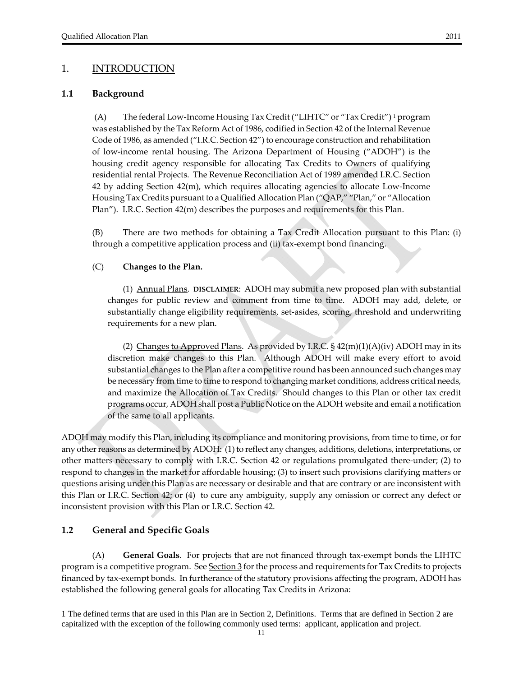**1.1 Background**

(A) The federal Low‐Income Housing Tax Credit ("LIHTC" or "Tax Credit") <sup>1</sup> program was established by the Tax Reform Act of 1986, codified in Section 42 of the Internal Revenue Code of 1986, as amended ("I.R.C. Section 42") to encourage construction and rehabilitation of low‐income rental housing. The Arizona Department of Housing ("ADOH") is the housing credit agency responsible for allocating Tax Credits to Owners of qualifying residential rental Projects. The Revenue Reconciliation Act of 1989 amended I.R.C. Section 42 by adding Section 42(m), which requires allocating agencies to allocate Low‐Income Housing Tax Credits pursuant to a Qualified Allocation Plan ("QAP," "Plan," or "Allocation Plan"). I.R.C. Section 42(m) describes the purposes and requirements for this Plan.

 (B) There are two methods for obtaining a Tax Credit Allocation pursuant to this Plan: (i) through a competitive application process and (ii) tax-exempt bond financing.

#### (C) **Changes to the Plan.**

(1) Annual Plans. **DISCLAIMER**:ADOH may submit a new proposed plan with substantial changes for public review and comment from time to time. ADOH may add, delete, or substantially change eligibility requirements, set-asides, scoring, threshold and underwriting requirements for a new plan.

(2) Changes to Approved Plans. As provided by I.R.C.  $\S$  42(m)(1)(A)(iv) ADOH may in its discretion make changes to this Plan. Although ADOH will make every effort to avoid substantial changes to the Plan after a competitive round has been announced such changes may be necessary from time to time to respond to changing market conditions, address critical needs, and maximize the Allocation of Tax Credits. Should changes to this Plan or other tax credit programs occur, ADOH shall post a Public Notice on the ADOH website and email a notification of the same to all applicants.

ADOH may modify this Plan, including its compliance and monitoring provisions, from time to time, or for any other reasons as determined by ADOH: (1) to reflect any changes, additions, deletions, interpretations, or other matters necessary to comply with I.R.C. Section 42 or regulations promulgated there‐under; (2) to respond to changes in the market for affordable housing; (3) to insert such provisions clarifying matters or questions arising under this Plan as are necessary or desirable and that are contrary or are inconsistent with this Plan or I.R.C. Section 42; or (4) to cure any ambiguity, supply any omission or correct any defect or inconsistent provision with this Plan or I.R.C. Section 42.

#### **1.2 General and Specific Goals**

-

 (A) **General Goals**. For projects that are not financed through tax‐exempt bonds the LIHTC program is a competitive program. See Section 3 for the process and requirements for Tax Credits to projects financed by tax‐exempt bonds. In furtherance of the statutory provisions affecting the program, ADOH has established the following general goals for allocating Tax Credits in Arizona:

<sup>1</sup> The defined terms that are used in this Plan are in Section 2, Definitions. Terms that are defined in Section 2 are capitalized with the exception of the following commonly used terms: applicant, application and project.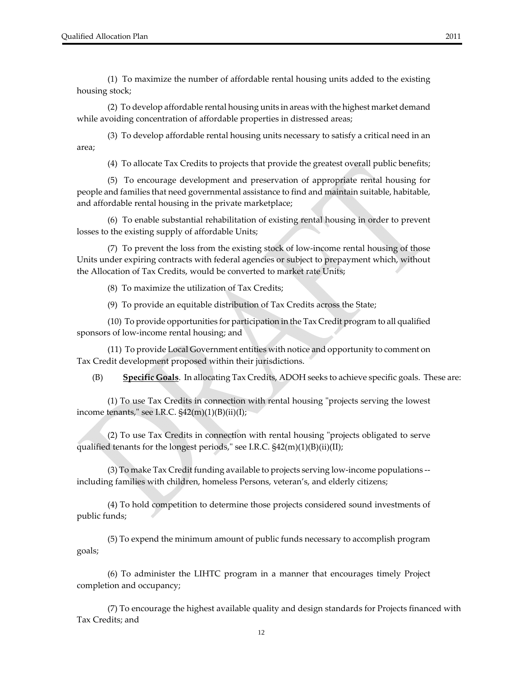(1) To maximize the number of affordable rental housing units added to the existing housing stock;

 (2) To develop affordable rental housing units in areas with the highest market demand while avoiding concentration of affordable properties in distressed areas;

 (3) To develop affordable rental housing units necessary to satisfy a critical need in an area;

(4) To allocate Tax Credits to projects that provide the greatest overall public benefits;

 (5) To encourage development and preservation of appropriate rental housing for people and families that need governmental assistance to find and maintain suitable, habitable, and affordable rental housing in the private marketplace;

 (6) To enable substantial rehabilitation of existing rental housing in order to prevent losses to the existing supply of affordable Units;

 (7) To prevent the loss from the existing stock of low‐income rental housing of those Units under expiring contracts with federal agencies or subject to prepayment which, without the Allocation of Tax Credits, would be converted to market rate Units;

(8) To maximize the utilization of Tax Credits;

(9) To provide an equitable distribution of Tax Credits across the State;

 (10) To provide opportunities for participation in the Tax Credit program to all qualified sponsors of low‐income rental housing; and

 (11) To provide Local Government entities with notice and opportunity to comment on Tax Credit development proposed within their jurisdictions.

(B) **Specific Goals**. In allocating Tax Credits, ADOH seeks to achieve specific goals. These are:

(1) To use Tax Credits in connection with rental housing "projects serving the lowest income tenants," see I.R.C.  $$42(m)(1)(B)(ii)(I);$ 

 $(2)$  To use Tax Credits in connection with rental housing "projects obligated to serve qualified tenants for the longest periods," see I.R.C.  $\S42(m)(1)(B)(ii)(II);$ 

 (3) To make Tax Credit funding available to projects serving low‐income populations ‐‐ including families with children, homeless Persons, veteran's, and elderly citizens;

 (4) To hold competition to determine those projects considered sound investments of public funds;

 (5) To expend the minimum amount of public funds necessary to accomplish program goals;

 (6) To administer the LIHTC program in a manner that encourages timely Project completion and occupancy;

 (7) To encourage the highest available quality and design standards for Projects financed with Tax Credits; and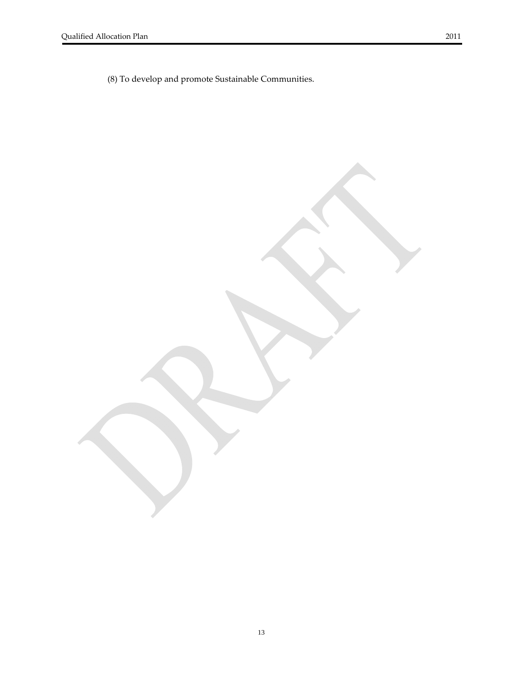(8) To develop and promote Sustainable Communities.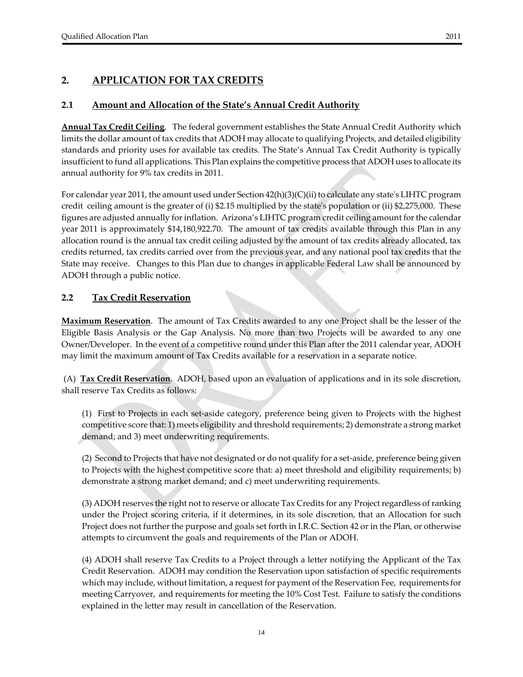# **2. APPLICATION FOR TAX CREDITS**

#### **2.1 Amount and Allocation of the State's Annual Credit Authority**

**Annual Tax Credit Ceiling**. The federal government establishes the State Annual Credit Authority which limits the dollar amount of tax credits that ADOH may allocate to qualifying Projects, and detailed eligibility standards and priority uses for available tax credits. The State's Annual Tax Credit Authority is typically insufficient to fund all applications. This Plan explains the competitive process that ADOH uses to allocate its annual authority for 9% tax credits in 2011.

For calendar year 2011, the amount used under Section  $42(h)(3)(C)(ii)$  to calculate any state's LIHTC program credit ceiling amount is the greater of (i) \$2.15 multiplied by the stateʹs population or (ii) \$2,275,000. These figures are adjusted annually forinflation. Arizona's LIHTC program credit ceiling amount forthe calendar year 2011 is approximately \$14,180,922.70. The amount of tax credits available through this Plan in any allocation round is the annual tax credit ceiling adjusted by the amount of tax credits already allocated, tax credits returned, tax credits carried over from the previous year, and any national pool tax credits that the State may receive. Changes to this Plan due to changes in applicable Federal Law shall be announced by ADOH through a public notice.

#### **2.2 Tax Credit Reservation**

**Maximum Reservation**. The amount of Tax Credits awarded to any one Project shall be the lesser of the Eligible Basis Analysis or the Gap Analysis. No more than two Projects will be awarded to any one Owner/Developer. In the event of a competitive round under this Plan after the 2011 calendar year, ADOH may limit the maximum amount of Tax Credits available for a reservation in a separate notice.

(A) **Tax Credit Reservation**. ADOH, based upon an evaluation of applications and in its sole discretion, shall reserve Tax Credits as follows:

(1) First to Projects in each set‐aside category, preference being given to Projects with the highest competitive score that: 1) meets eligibility and threshold requirements; 2) demonstrate a strong market demand; and 3) meet underwriting requirements.

(2) Second to Projects that have not designated or do not qualify for a set‐aside, preference being given to Projects with the highest competitive score that: a) meet threshold and eligibility requirements; b) demonstrate a strong market demand; and c) meet underwriting requirements.

(3) ADOH reserves the right not to reserve or allocate Tax Credits for any Project regardless ofranking under the Project scoring criteria, if it determines, in its sole discretion, that an Allocation for such Project does not further the purpose and goals set forth in I.R.C. Section 42 or in the Plan, or otherwise attempts to circumvent the goals and requirements of the Plan or ADOH.

(4) ADOH shall reserve Tax Credits to a Project through a letter notifying the Applicant of the Tax Credit Reservation. ADOH may condition the Reservation upon satisfaction of specific requirements which may include, without limitation, a request for payment of the Reservation Fee, requirements for meeting Carryover, and requirements for meeting the 10% Cost Test. Failure to satisfy the conditions explained in the letter may result in cancellation of the Reservation.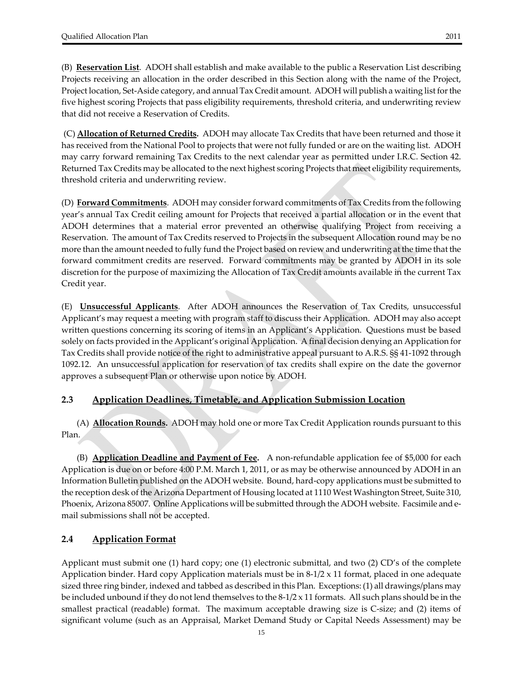(B) **Reservation List**. ADOH shall establish and make available to the public a Reservation List describing Projects receiving an allocation in the order described in this Section along with the name of the Project, Project location, Set‐Aside category, and annual Tax Credit amount. ADOH will publish a waiting list forthe five highest scoring Projects that pass eligibility requirements, threshold criteria, and underwriting review that did not receive a Reservation of Credits.

(C) **Allocation of Returned Credits.** ADOH may allocate Tax Credits that have been returned and those it has received from the National Pool to projects that were not fully funded or are on the waiting list. ADOH may carry forward remaining Tax Credits to the next calendar year as permitted under I.R.C. Section 42. Returned Tax Credits may be allocated to the next highest scoring Projects that meet eligibility requirements, threshold criteria and underwriting review.

(D) **Forward Commitments**. ADOH may considerforward commitments of Tax Credits from the following year's annual Tax Credit ceiling amount for Projects that received a partial allocation or in the event that ADOH determines that a material error prevented an otherwise qualifying Project from receiving a Reservation. The amount of Tax Credits reserved to Projects in the subsequent Allocation round may be no more than the amount needed to fully fund the Project based on review and underwriting at the time that the forward commitment credits are reserved. Forward commitments may be granted by ADOH in its sole discretion for the purpose of maximizing the Allocation of Tax Credit amounts available in the current Tax Credit year.

(E) **Unsuccessful Applicants**. After ADOH announces the Reservation of Tax Credits, unsuccessful Applicant's may request a meeting with program staff to discuss their Application. ADOH may also accept written questions concerning its scoring of items in an Applicant's Application. Questions must be based solely on facts provided in the Applicant's original Application. A final decision denying an Application for Tax Credits shall provide notice of the right to administrative appeal pursuant to A.R.S. §§ 41‐1092 through 1092.12. An unsuccessful application for reservation of tax credits shall expire on the date the governor approves a subsequent Plan or otherwise upon notice by ADOH.

# **2.3 Application Deadlines, Timetable, and Application Submission Location**

(A) **Allocation Rounds.** ADOH may hold one or more Tax Credit Application rounds pursuant to this Plan.

(B) **Application Deadline and Payment of Fee.** A non‐refundable application fee of \$5,000 for each Application is due on or before 4:00 P.M. March 1, 2011, or as may be otherwise announced by ADOH in an Information Bulletin published on the ADOH website. Bound, hard‐copy applications must be submitted to the reception desk of the Arizona Department of Housing located at 1110 West Washington Street, Suite 310, Phoenix, Arizona 85007. Online Applications will be submitted through the ADOH website. Facsimile and e‐ mail submissions shall not be accepted.

# **2.4 Application Format**

Applicant must submit one (1) hard copy; one (1) electronic submittal, and two (2) CD's of the complete Application binder. Hard copy Application materials must be in  $8-1/2 \times 11$  format, placed in one adequate sized three ring binder, indexed and tabbed as described in this Plan. Exceptions: (1) all drawings/plans may be included unbound if they do not lend themselves to the  $8-1/2 \times 11$  formats. All such plans should be in the smallest practical (readable) format. The maximum acceptable drawing size is C-size; and (2) items of significant volume (such as an Appraisal, Market Demand Study or Capital Needs Assessment) may be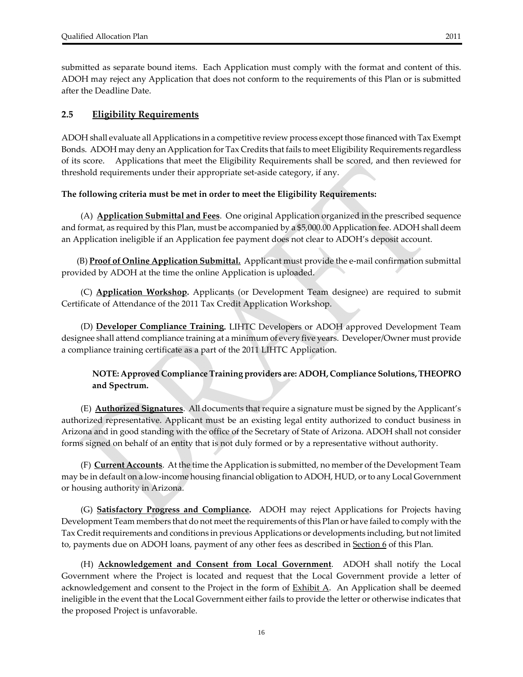#### **2.5 Eligibility Requirements**

ADOH shall evaluate all Applications in a competitive review process except those financed with Tax Exempt Bonds. ADOH may deny an Application for Tax Credits that fails to meet Eligibility Requirements regardless of its score. Applications that meet the Eligibility Requirements shall be scored, and then reviewed for threshold requirements under their appropriate set‐aside category, if any.

#### **The following criteria must be met in order to meet the Eligibility Requirements:**

 (A) **Application Submittal and Fees**. One original Application organized in the prescribed sequence and format, as required by this Plan, must be accompanied by a \$5,000.00 Application fee. ADOH shall deem an Application ineligible if an Application fee payment does not clear to ADOH's deposit account.

 (B) **Proof of Online Application Submittal.** Applicant must provide the e‐mail confirmation submittal provided by ADOH at the time the online Application is uploaded.

(C) **Application Workshop.** Applicants (or Development Team designee) are required to submit Certificate of Attendance of the 2011 Tax Credit Application Workshop.

 (D) **Developer Compliance Training.** LIHTC Developers or ADOH approved Development Team designee shall attend compliance training at a minimum of every five years. Developer/Owner must provide a compliance training certificate as a part of the 2011 LIHTC Application.

#### **NOTE: Approved Compliance Training providers are: ADOH, Compliance Solutions,THEOPRO and Spectrum.**

 (E) **Authorized Signatures**. All documents that require a signature must be signed by the Applicant's authorized representative. Applicant must be an existing legal entity authorized to conduct business in Arizona and in good standing with the office of the Secretary of State of Arizona. ADOH shall not consider forms signed on behalf of an entity that is not duly formed or by a representative without authority.

 (F) **Current Accounts**. At the time the Application is submitted, no member of the Development Team may be in default on a low‐income housing financial obligation to ADOH, HUD, orto any Local Government or housing authority in Arizona.

 (G) **Satisfactory Progress and Compliance.**  ADOH may reject Applications for Projects having Development Team members that do not meet the requirements of this Plan or have failed to comply with the Tax Creditrequirements and conditions in previous Applications or developments including, but not limited to, payments due on ADOH loans, payment of any other fees as described in **Section 6** of this Plan.

(H) **Acknowledgement and Consent from Local Government**. ADOH shall notify the Local Government where the Project is located and request that the Local Government provide a letter of acknowledgement and consent to the Project in the form of  $\frac{Exhibit A}{A}$ . An Application shall be deemed ineligible in the event that the Local Government either fails to provide the letter or otherwise indicates that the proposed Project is unfavorable.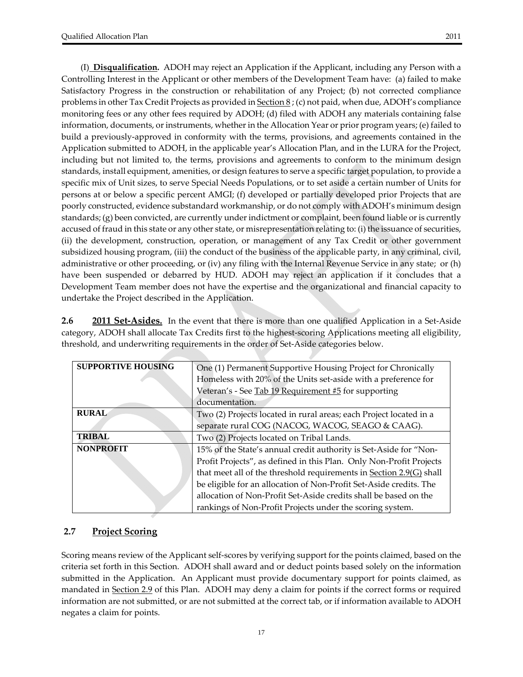(I) **Disqualification.** ADOH may reject an Application if the Applicant, including any Person with a Controlling Interest in the Applicant or other members of the Development Team have: (a) failed to make Satisfactory Progress in the construction or rehabilitation of any Project; (b) not corrected compliance problems in other Tax Credit Projects as provided in  $Section 8$ ; (c) not paid, when due, ADOH's compliance</u> monitoring fees or any other fees required by ADOH; (d) filed with ADOH any materials containing false information, documents, or instruments, whether in the Allocation Year or prior program years; (e) failed to build a previously‐approved in conformity with the terms, provisions, and agreements contained in the Application submitted to ADOH, in the applicable year's Allocation Plan, and in the LURA for the Project, including but not limited to, the terms, provisions and agreements to conform to the minimum design standards, install equipment, amenities, or design features to serve a specific target population, to provide a specific mix of Unit sizes, to serve Special Needs Populations, or to set aside a certain number of Units for persons at or below a specific percent AMGI; (f) developed or partially developed prior Projects that are poorly constructed, evidence substandard workmanship, or do not comply with ADOH's minimum design standards; (g) been convicted, are currently under indictment or complaint, been found liable or is currently accused of fraud in this state or any other state, or misrepresentation relating to: (i) the issuance of securities, (ii) the development, construction, operation, or management of any Tax Credit or other government subsidized housing program, (iii) the conduct of the business of the applicable party, in any criminal, civil, administrative or other proceeding, or (iv) any filing with the Internal Revenue Service in any state; or (h) have been suspended or debarred by HUD. ADOH may reject an application if it concludes that a Development Team member does not have the expertise and the organizational and financial capacity to undertake the Project described in the Application.

**2.6 2011 Set‐Asides.** In the event that there is more than one qualified Application in a Set‐Aside category, ADOH shall allocate Tax Credits first to the highest-scoring Applications meeting all eligibility, threshold, and underwriting requirements in the order of Set‐Aside categories below.

| <b>SUPPORTIVE HOUSING</b> | One (1) Permanent Supportive Housing Project for Chronically        |  |
|---------------------------|---------------------------------------------------------------------|--|
|                           | Homeless with 20% of the Units set-aside with a preference for      |  |
|                           | Veteran's - See Tab 19 Requirement #5 for supporting                |  |
|                           | documentation.                                                      |  |
| <b>RURAL</b>              | Two (2) Projects located in rural areas; each Project located in a  |  |
|                           | separate rural COG (NACOG, WACOG, SEAGO & CAAG).                    |  |
| <b>TRIBAL</b>             | Two (2) Projects located on Tribal Lands.                           |  |
| <b>NONPROFIT</b>          | 15% of the State's annual credit authority is Set-Aside for "Non-   |  |
|                           | Profit Projects", as defined in this Plan. Only Non-Profit Projects |  |
|                           | that meet all of the threshold requirements in Section 2.9(G) shall |  |
|                           | be eligible for an allocation of Non-Profit Set-Aside credits. The  |  |
|                           | allocation of Non-Profit Set-Aside credits shall be based on the    |  |
|                           | rankings of Non-Profit Projects under the scoring system.           |  |

# **2.7 Project Scoring**

Scoring means review of the Applicant self‐scores by verifying support for the points claimed, based on the criteria set forth in this Section. ADOH shall award and or deduct points based solely on the information submitted in the Application. An Applicant must provide documentary support for points claimed, as mandated in Section 2.9 of this Plan. ADOH may deny a claim for points if the correct forms or required information are not submitted, or are not submitted at the correct tab, or if information available to ADOH negates a claim for points.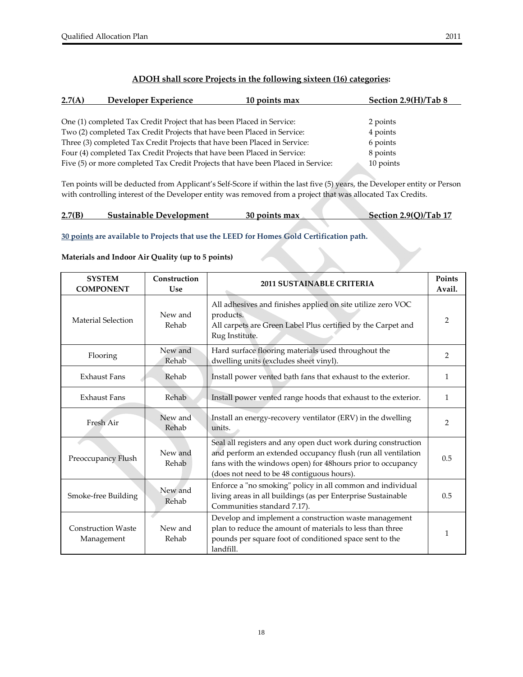### **ADOH shall score Projects in the following sixteen (16) categories:**

| 2.7(A) | Developer Experience                                                             | 10 points max | Section 2.9(H)/Tab 8 |  |
|--------|----------------------------------------------------------------------------------|---------------|----------------------|--|
|        |                                                                                  |               |                      |  |
|        | One (1) completed Tax Credit Project that has been Placed in Service:            |               | 2 points             |  |
|        | Two (2) completed Tax Credit Projects that have been Placed in Service:          |               | 4 points             |  |
|        | Three (3) completed Tax Credit Projects that have been Placed in Service:        |               | 6 points             |  |
|        | Four (4) completed Tax Credit Projects that have been Placed in Service:         |               | 8 points             |  |
|        | Five (5) or more completed Tax Credit Projects that have been Placed in Service: |               | 10 points            |  |

Ten points will be deducted from Applicant's Self‐Score if within the last five (5) years, the Developer entity or Person with controlling interest of the Developer entity was removed from a project that was allocated Tax Credits.

| 2.7(B) | <b>Sustainable Development</b> | 30 points max | Section 2.9(Q)/Tab 17 |
|--------|--------------------------------|---------------|-----------------------|
|        |                                |               |                       |

**30 points are available to Projects that use the LEED for Homes Gold Certification path.** 

**Materials and Indoor Air Quality (up to 5 points)**

| <b>SYSTEM</b><br><b>COMPONENT</b>       | Construction<br><b>Use</b> | <b>2011 SUSTAINABLE CRITERIA</b>                                                                                                                                                                                                          | Points<br>Avail. |
|-----------------------------------------|----------------------------|-------------------------------------------------------------------------------------------------------------------------------------------------------------------------------------------------------------------------------------------|------------------|
| Material Selection                      | New and<br>Rehab           | All adhesives and finishes applied on site utilize zero VOC<br>products.<br>All carpets are Green Label Plus certified by the Carpet and<br>Rug Institute.                                                                                | $\overline{2}$   |
| Flooring                                | New and<br>Rehab           | Hard surface flooring materials used throughout the<br>dwelling units (excludes sheet vinyl).                                                                                                                                             | 2                |
| <b>Exhaust Fans</b>                     | Rehab                      | Install power vented bath fans that exhaust to the exterior.                                                                                                                                                                              | $\mathbf{1}$     |
| <b>Exhaust Fans</b>                     | Rehab                      | Install power vented range hoods that exhaust to the exterior.                                                                                                                                                                            | $\mathbf{1}$     |
| Fresh Air                               | New and<br>Rehab           | Install an energy-recovery ventilator (ERV) in the dwelling<br>units.                                                                                                                                                                     | $\overline{2}$   |
| Preoccupancy Flush                      | New and<br>Rehab           | Seal all registers and any open duct work during construction<br>and perform an extended occupancy flush (run all ventilation<br>fans with the windows open) for 48hours prior to occupancy<br>(does not need to be 48 contiguous hours). | 0.5              |
| Smoke-free Building                     | New and<br>Rehab           | Enforce a "no smoking" policy in all common and individual<br>living areas in all buildings (as per Enterprise Sustainable<br>Communities standard 7.17).                                                                                 | 0.5              |
| <b>Construction Waste</b><br>Management | New and<br>Rehab           | Develop and implement a construction waste management<br>plan to reduce the amount of materials to less than three<br>pounds per square foot of conditioned space sent to the<br>landfill.                                                | 1                |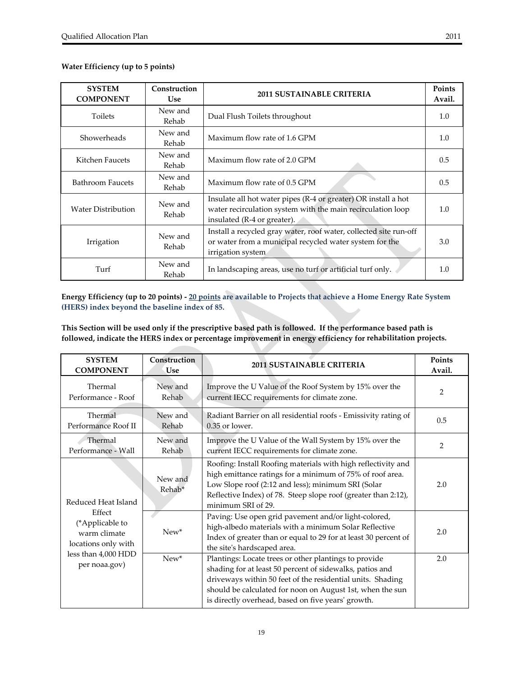#### **Water Efficiency (up to 5 points)**

| <b>SYSTEM</b><br><b>COMPONENT</b>   | Construction<br><b>Use</b> | <b>2011 SUSTAINABLE CRITERIA</b>                                                                                                                             |     |
|-------------------------------------|----------------------------|--------------------------------------------------------------------------------------------------------------------------------------------------------------|-----|
| New and<br>Toilets<br>Rehab         |                            | Dual Flush Toilets throughout                                                                                                                                | 1.0 |
| Showerheads                         | New and<br>Rehab           | Maximum flow rate of 1.6 GPM                                                                                                                                 | 1.0 |
| New and<br>Kitchen Faucets<br>Rehab |                            | Maximum flow rate of 2.0 GPM                                                                                                                                 | 0.5 |
| Bathroom Faucets                    | New and<br>Rehab           | Maximum flow rate of 0.5 GPM                                                                                                                                 | 0.5 |
| <b>Water Distribution</b>           | New and<br>Rehab           | Insulate all hot water pipes (R-4 or greater) OR install a hot<br>water recirculation system with the main recirculation loop<br>insulated (R-4 or greater). | 1.0 |
| Irrigation                          | New and<br>Rehab           | Install a recycled gray water, roof water, collected site run-off<br>or water from a municipal recycled water system for the<br>irrigation system            | 3.0 |
| New and<br>Turf<br>Rehab            |                            | In landscaping areas, use no turf or artificial turf only.                                                                                                   | 1.0 |

#### Energy Efficiency (up to 20 points) - 20 points are available to Projects that achieve a Home Energy Rate System **(HERS) index beyond the baseline index of 85.**

This Section will be used only if the prescriptive based path is followed. If the performance based path is **followed, indicate the HERS index or percentage improvement in energy efficiency for rehabilitation projects.**

| <b>SYSTEM</b>                                                    | Construction      | <b>2011 SUSTAINABLE CRITERIA</b>                                                                                                                                                                                                                                                                   | Points         |
|------------------------------------------------------------------|-------------------|----------------------------------------------------------------------------------------------------------------------------------------------------------------------------------------------------------------------------------------------------------------------------------------------------|----------------|
| <b>COMPONENT</b>                                                 | Use               |                                                                                                                                                                                                                                                                                                    | Avail.         |
| Thermal                                                          | New and           | Improve the U Value of the Roof System by 15% over the                                                                                                                                                                                                                                             | $\overline{2}$ |
| Performance - Roof                                               | Rehab             | current IECC requirements for climate zone.                                                                                                                                                                                                                                                        |                |
| Thermal                                                          | New and           | Radiant Barrier on all residential roofs - Emissivity rating of                                                                                                                                                                                                                                    | 0.5            |
| Performance Roof II                                              | Rehab             | 0.35 or lower.                                                                                                                                                                                                                                                                                     |                |
| Thermal                                                          | New and           | Improve the U Value of the Wall System by 15% over the                                                                                                                                                                                                                                             | $\overline{2}$ |
| Performance - Wall                                               | Rehab             | current IECC requirements for climate zone.                                                                                                                                                                                                                                                        |                |
| Reduced Heat Island                                              | New and<br>Rehab* | Roofing: Install Roofing materials with high reflectivity and<br>high emittance ratings for a minimum of 75% of roof area.<br>Low Slope roof (2:12 and less); minimum SRI (Solar<br>Reflective Index) of 78. Steep slope roof (greater than 2:12),<br>minimum SRI of 29.                           | 2.0            |
| Effect<br>(*Applicable to<br>warm climate<br>locations only with | New*              | Paving: Use open grid pavement and/or light-colored,<br>high-albedo materials with a minimum Solar Reflective<br>Index of greater than or equal to 29 for at least 30 percent of<br>the site's hardscaped area.                                                                                    | 2.0            |
| less than 4,000 HDD<br>per noaa.gov)                             | $New*$            | Plantings: Locate trees or other plantings to provide<br>shading for at least 50 percent of sidewalks, patios and<br>driveways within 50 feet of the residential units. Shading<br>should be calculated for noon on August 1st, when the sun<br>is directly overhead, based on five years' growth. | 2.0            |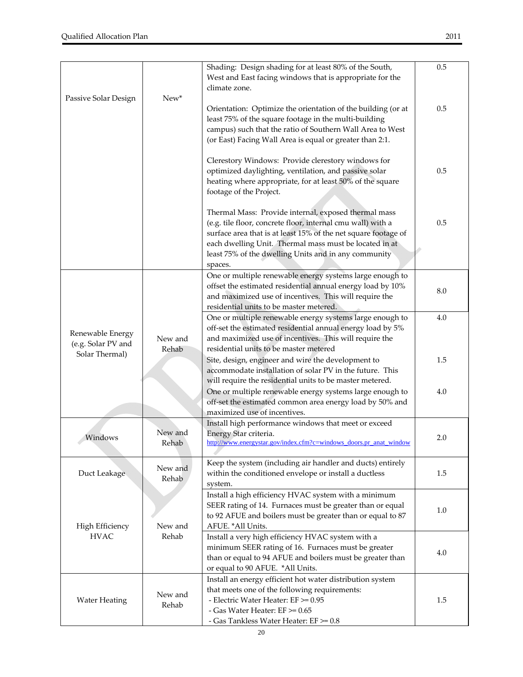| Passive Solar Design                                     | New*             | Shading: Design shading for at least 80% of the South,<br>West and East facing windows that is appropriate for the<br>climate zone.                                                                                                                                                                                                | 0.5        |
|----------------------------------------------------------|------------------|------------------------------------------------------------------------------------------------------------------------------------------------------------------------------------------------------------------------------------------------------------------------------------------------------------------------------------|------------|
|                                                          |                  | Orientation: Optimize the orientation of the building (or at<br>least 75% of the square footage in the multi-building<br>campus) such that the ratio of Southern Wall Area to West<br>(or East) Facing Wall Area is equal or greater than 2:1.                                                                                     | 0.5        |
|                                                          |                  | Clerestory Windows: Provide clerestory windows for<br>optimized daylighting, ventilation, and passive solar<br>heating where appropriate, for at least 50% of the square<br>footage of the Project.                                                                                                                                | 0.5        |
|                                                          |                  | Thermal Mass: Provide internal, exposed thermal mass<br>(e.g. tile floor, concrete floor, internal cmu wall) with a<br>surface area that is at least 15% of the net square footage of<br>each dwelling Unit. Thermal mass must be located in at<br>least 75% of the dwelling Units and in any community<br>spaces.                 | 0.5        |
|                                                          |                  | One or multiple renewable energy systems large enough to<br>offset the estimated residential annual energy load by 10%<br>and maximized use of incentives. This will require the<br>residential units to be master metered.                                                                                                        | 8.0        |
| Renewable Energy<br>(e.g. Solar PV and<br>Solar Thermal) | New and<br>Rehab | One or multiple renewable energy systems large enough to<br>off-set the estimated residential annual energy load by 5%<br>and maximized use of incentives. This will require the<br>residential units to be master metered                                                                                                         | 4.0        |
|                                                          |                  | Site, design, engineer and wire the development to<br>accommodate installation of solar PV in the future. This<br>will require the residential units to be master metered.<br>One or multiple renewable energy systems large enough to<br>off-set the estimated common area energy load by 50% and<br>maximized use of incentives. | 1.5<br>4.0 |
| Windows                                                  | New and<br>Rehab | Install high performance windows that meet or exceed<br>Energy Star criteria.<br>http://www.energystar.gov/index.cfm?c=windows_doors.pr_anat_window                                                                                                                                                                                | 2.0        |
| Duct Leakage                                             | New and<br>Rehab | Keep the system (including air handler and ducts) entirely<br>within the conditioned envelope or install a ductless<br>system.                                                                                                                                                                                                     | 1.5        |
| High Efficiency                                          | New and          | Install a high efficiency HVAC system with a minimum<br>SEER rating of 14. Furnaces must be greater than or equal<br>to 92 AFUE and boilers must be greater than or equal to 87<br>AFUE. * All Units.                                                                                                                              | 1.0        |
| <b>HVAC</b>                                              | Rehab            | Install a very high efficiency HVAC system with a<br>minimum SEER rating of 16. Furnaces must be greater<br>than or equal to 94 AFUE and boilers must be greater than<br>or equal to 90 AFUE. *All Units.                                                                                                                          | 4.0        |
| <b>Water Heating</b>                                     | New and<br>Rehab | Install an energy efficient hot water distribution system<br>that meets one of the following requirements:<br>- Electric Water Heater: EF >= 0.95<br>- Gas Water Heater: $EF \ge 0.65$<br>- Gas Tankless Water Heater: EF >= 0.8                                                                                                   | 1.5        |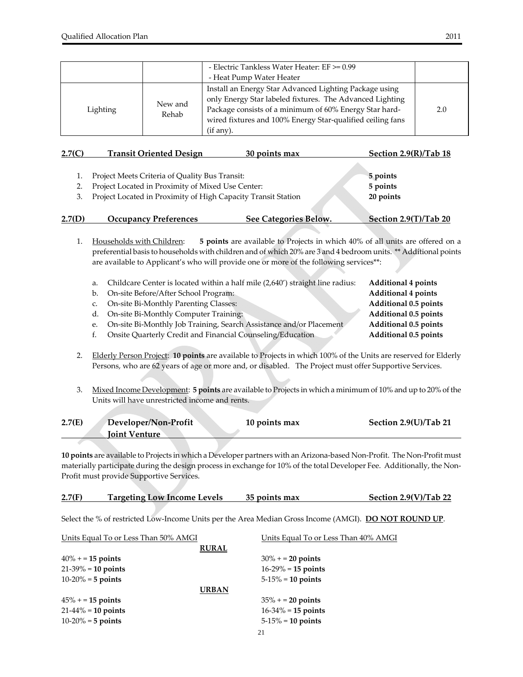|          |                  | - Electric Tankless Water Heater: $EF \ge 0.99$<br>- Heat Pump Water Heater                                                                                                                                                                             |     |
|----------|------------------|---------------------------------------------------------------------------------------------------------------------------------------------------------------------------------------------------------------------------------------------------------|-----|
| Lighting | New and<br>Rehab | Install an Energy Star Advanced Lighting Package using<br>only Energy Star labeled fixtures. The Advanced Lighting<br>Package consists of a minimum of 60% Energy Star hard-<br>wired fixtures and 100% Energy Star-qualified ceiling fans<br>(if any). | 2.0 |

| 2.7(C) | <b>Transit Oriented Design</b>                                   | 30 points max         | Section 2.9(R)/Tab 18 |
|--------|------------------------------------------------------------------|-----------------------|-----------------------|
|        |                                                                  |                       |                       |
|        | Project Meets Criteria of Quality Bus Transit:                   |                       | 5 points              |
|        | Project Located in Proximity of Mixed Use Center:                |                       | 5 points              |
|        | 3. Project Located in Proximity of High Capacity Transit Station |                       | 20 points             |
| 2.7(D) | <b>Occupancy Preferences</b>                                     | See Categories Below. | Section 2.9(T)/Tab 20 |

1. Households with Children: **5 points** are available to Projects in which 40% of all units are offered on a preferential basis to households with children and of which 20% are 3 and 4 bedroom units. \*\* Additional points are available to Applicant's who will provide one or more of the following services\*\*:

- a. Childcare Center is located within a half mile (2,640') straight line radius: **Additional 4 points**
- b. On‐site Before/After School Program: **Additional 4 points**
- c. On‐site Bi‐Monthly Parenting Classes: **Additional 0.5 points**
- d. On‐site Bi‐Monthly Computer Training: **Additional 0.5 points**
- e. On‐site Bi‐Monthly Job Training, Search Assistance and/or Placement **Additional 0.5 points**
- f. Onsite Quarterly Credit and Financial Counseling/Education **Additional 0.5 points**
- 2. Elderly Person Project: **10 points** are available to Projects in which 100% of the Units are reserved for Elderly Persons, who are 62 years of age or more and, or disabled. The Project must offer Supportive Services.
- 3. Mixed Income Development: **5 points** are available to Projects in which a minimum of 10% and up to 20% of the Units will have unrestricted income and rents.

| 2.7(E) | Developer/Non-Profit | 10 points max | Section 2.9(U)/Tab 21 |
|--------|----------------------|---------------|-----------------------|
|        | <b>Ioint Venture</b> |               |                       |
|        |                      |               |                       |

**10 points** are available to Projects in which a Developer partners with an Arizona‐based Non‐Profit. The Non‐Profit must materially participate during the design process in exchange for 10% of the total Developer Fee. Additionally, the Non-Profit must provide Supportive Services.

| 2.7(F) | <b>Targeting Low Income Levels</b> | 35 points max | Section $2.9(V)/Tab$ 22 |
|--------|------------------------------------|---------------|-------------------------|
|        |                                    |               |                         |

Select the % of restricted Low‐Income Units per the Area Median Gross Income (AMGI). **DO NOT ROUND UP**.

| Units Equal To or Less Than 50% AMGI | Units Equal To or Less Than 40% AMGI |
|--------------------------------------|--------------------------------------|
|                                      | <b>RURAL</b>                         |
| $40\% + 15$ points                   | $30\% + 20$ points                   |
| $21-39\% = 10$ points                | $16-29\% = 15$ points                |
| $10-20% = 5$ points                  | $5-15\% = 10$ points                 |
|                                      | <b>URBAN</b>                         |
| $45\% + 15$ points                   | $35\% + 20$ points                   |
| $21-44\% = 10$ points                | $16 - 34\% = 15$ points              |
| $10-20% = 5$ points                  | $5-15\% = 10$ points                 |
|                                      |                                      |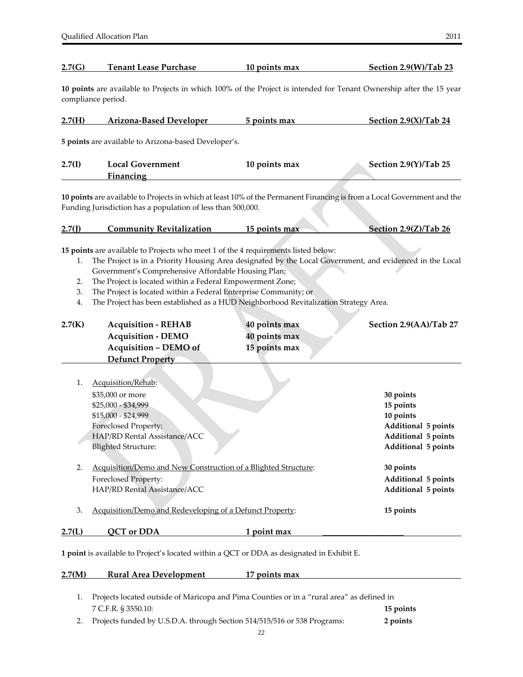#### **2.7(G) Tenant Lease Purchase 10 points max Section 2.9(W)/Tab 23**

**10 points** are available to Projects in which 100% of the Project is intended for Tenant Ownership after the 15 year compliance period.

| 2.7(H) | <b>Arizona-Based Developer</b> | 5 points max | Section $2.9(X)/Tab$ 24 |
|--------|--------------------------------|--------------|-------------------------|
|        |                                |              |                         |

**5 points** are available to Arizona‐based Developer's.

| 2.7(I) | <b>Local Government</b> | 10 points max | Section 2.9(Y)/Tab 25 |
|--------|-------------------------|---------------|-----------------------|
|        | Financing               |               |                       |

**10 points** are available to Projects in which at least 10% of the Permanent Financing is from a Local Government and the Funding Jurisdiction has a population of less than 500,000.

#### **2.7(J) Community Revitalization 15 points max Section 2.9(Z)/Tab 26**

**15 points** are available to Projects who meet 1 of the 4 requirements listed below:

- 1. The Project is in a Priority Housing Area designated by the Local Government, and evidenced in the Local Government's Comprehensive Affordable Housing Plan;
- 2. The Project is located within a Federal Empowerment Zone;
- 3. The Project is located within a Federal Enterprise Community; or
- 4. The Project has been established as a HUD Neighborhood Revitalization Strategy Area.

| 2.7(K) | <b>Acquisition - REHAB</b><br><b>Acquisition - DEMO</b>        | 40 points max<br>40 points max | Section 2.9(AA)/Tab 27     |
|--------|----------------------------------------------------------------|--------------------------------|----------------------------|
|        | <b>Acquisition - DEMO of</b>                                   | 15 points max                  |                            |
|        | <b>Defunct Property</b>                                        |                                |                            |
| 1.     | Acquisition/Rehab:                                             |                                |                            |
|        | \$35,000 or more                                               |                                | 30 points                  |
|        | \$25,000 - \$34,999                                            |                                | 15 points                  |
|        | \$15,000 - \$24,999                                            |                                | 10 points                  |
|        | Foreclosed Property:                                           |                                | <b>Additional 5 points</b> |
|        | HAP/RD Rental Assistance/ACC                                   |                                | <b>Additional 5 points</b> |
|        | <b>Blighted Structure:</b>                                     |                                | Additional 5 points        |
| 2.     | Acquisition/Demo and New Construction of a Blighted Structure: |                                | 30 points                  |
|        | <b>Foreclosed Property:</b>                                    |                                | Additional 5 points        |
|        | HAP/RD Rental Assistance/ACC                                   |                                | Additional 5 points        |
| 3.     | Acquisition/Demo and Redeveloping of a Defunct Property:       |                                | 15 points                  |
| 2.7(L) | QCT or DDA                                                     | 1 point max                    |                            |

**1 point** is available to Project's located within a QCT or DDA as designated in Exhibit E.

#### **2.7(M) Rural Area Development 17 points max**

| 1. Projects located outside of Maricopa and Pima Counties or in a "rural area" as defined in |           |
|----------------------------------------------------------------------------------------------|-----------|
| 7 C.F.R. § 3550.10:                                                                          | 15 points |
| 2. Projects funded by U.S.D.A. through Section 514/515/516 or 538 Programs:                  | 2 points  |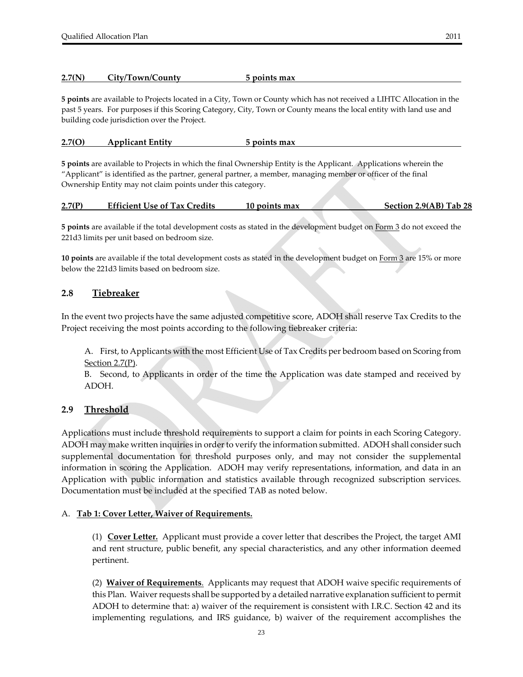#### **2.7(N) City/Town/County 5 points max**

**5 points** are available to Projects located in a City, Town or County which has not received a LIHTC Allocation in the past 5 years. For purposes if this Scoring Category, City, Town or County means the local entity with land use and building code jurisdiction over the Project.

#### **2.7(O) Applicant Entity 5 points max**

**5 points** are available to Projects in which the final Ownership Entity is the Applicant. Applications wherein the "Applicant" is identified as the partner, general partner, a member, managing member or officer of the final Ownership Entity may not claim points under this category.

| 2.7(P) | <b>Efficient Use of Tax Credits</b> | 10 points max |  | Section 2.9(AB) Tab 28 |  |
|--------|-------------------------------------|---------------|--|------------------------|--|
|        |                                     |               |  |                        |  |

**5 points** are available if the total development costs as stated in the development budget on Form 3 do not exceed the 221d3 limits per unit based on bedroom size.

**10 points** are available if the total development costs as stated in the development budget on Form 3 are 15% or more below the 221d3 limits based on bedroom size.

#### **2.8 Tiebreaker**

In the event two projects have the same adjusted competitive score, ADOH shall reserve Tax Credits to the Project receiving the most points according to the following tiebreaker criteria:

A. First, to Applicants with the most Efficient Use of Tax Credits per bedroom based on Scoring from Section 2.7(P).

B. Second, to Applicants in order of the time the Application was date stamped and received by ADOH.

#### **2.9 Threshold**

Applications must include threshold requirements to support a claim for points in each Scoring Category. ADOH may make written inquiries in order to verify the information submitted. ADOH shall consider such supplemental documentation for threshold purposes only, and may not consider the supplemental information in scoring the Application. ADOH may verify representations, information, and data in an Application with public information and statistics available through recognized subscription services. Documentation must be included at the specified TAB as noted below.

#### A. **Tab 1: Cover Letter, Waiver of Requirements.**

(1) **Cover Letter.** Applicant must provide a cover letter that describes the Project, the target AMI and rent structure, public benefit, any special characteristics, and any other information deemed pertinent.

(2) **Waiver of Requirements**. Applicants may request that ADOH waive specific requirements of this Plan. Waiver requests shall be supported by a detailed narrative explanation sufficient to permit ADOH to determine that: a) waiver of the requirement is consistent with I.R.C. Section 42 and its implementing regulations, and IRS guidance, b) waiver of the requirement accomplishes the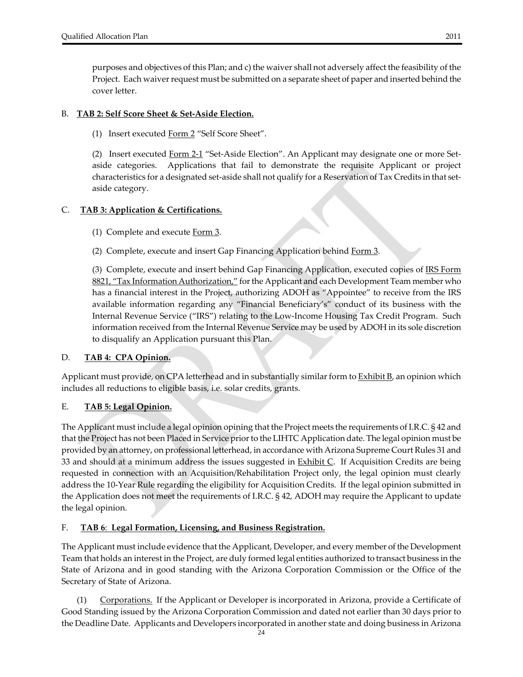purposes and objectives of this Plan; and c) the waiver shall not adversely affect the feasibility of the Project. Each waiver request must be submitted on a separate sheet of paper and inserted behind the cover letter.

#### B. **TAB 2: Self Score Sheet & Set‐Aside Election.**

(1) Insert executed Form 2 "Self Score Sheet".

(2) Insert executed Form 2-1 "Set-Aside Election". An Applicant may designate one or more Setaside categories. Applications that fail to demonstrate the requisite Applicant or project characteristics for a designated set‐aside shall not qualify for a Reservation of Tax Credits in that set‐ aside category.

#### C. **TAB 3: Application & Certifications.**

(1) Complete and execute Form 3.

(2) Complete, execute and insert Gap Financing Application behind Form 3.

 (3) Complete, execute and insert behind Gap Financing Application, executed copies of IRS Form 8821, "Tax Information Authorization," for the Applicant and each Development Team member who has a financial interest in the Project, authorizing ADOH as "Appointee" to receive from the IRS available information regarding any "Financial Beneficiary's" conduct of its business with the Internal Revenue Service ("IRS") relating to the Low‐Income Housing Tax Credit Program. Such information received from the Internal Revenue Service may be used by ADOH in its sole discretion to disqualify an Application pursuant this Plan.

#### D. **TAB 4: CPA Opinion.**

Applicant must provide, on CPA letterhead and in substantially similar form to **Exhibit B**, an opinion which includes all reductions to eligible basis, i.e. solar credits, grants.

#### E. **TAB 5: Legal Opinion.**

The Applicant must include a legal opinion opining that the Project meets the requirements of I.R.C. § 42 and that the Project has not been Placed in Service prior to the LIHTC Application date. The legal opinion must be provided by an attorney, on professional letterhead, in accordance with Arizona Supreme Court Rules 31 and 33 and should at a minimum address the issues suggested in  $Exhibit C$ . If Acquisition Credits are being requested in connection with an Acquisition/Rehabilitation Project only, the legal opinion must clearly address the 10‐Year Rule regarding the eligibility for Acquisition Credits. If the legal opinion submitted in the Application does not meet the requirements of I.R.C. § 42, ADOH may require the Applicant to update the legal opinion.

#### F. **TAB 6**: **Legal Formation, Licensing, and Business Registration.**

The Applicant must include evidence that the Applicant, Developer, and every member of the Development Team that holds an interest in the Project, are duly formed legal entities authorized to transact business in the State of Arizona and in good standing with the Arizona Corporation Commission or the Office of the Secretary of State of Arizona.

(1) Corporations. If the Applicant or Developer is incorporated in Arizona, provide a Certificate of Good Standing issued by the Arizona Corporation Commission and dated not earlier than 30 days prior to the Deadline Date. Applicants and Developers incorporated in another state and doing business in Arizona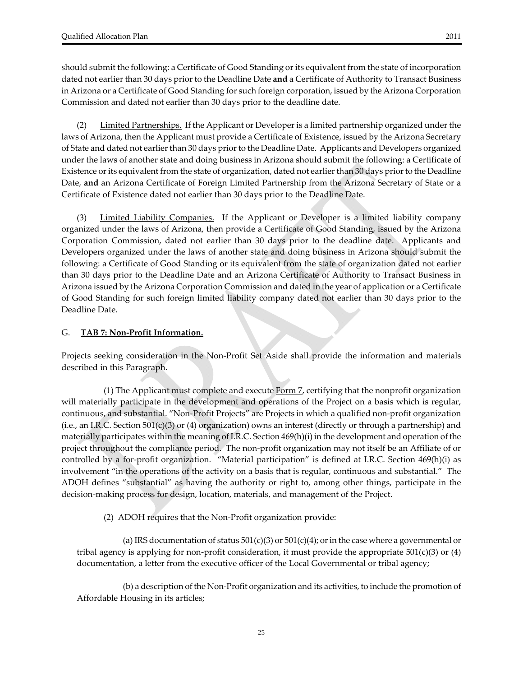should submit the following: a Certificate of Good Standing or its equivalent from the state of incorporation dated not earlier than 30 days prior to the Deadline Date **and** a Certificate of Authority to Transact Business in Arizona or a Certificate of Good Standing for such foreign corporation, issued by the Arizona Corporation Commission and dated not earlier than 30 days prior to the deadline date.

(2) Limited Partnerships. If the Applicant or Developer is a limited partnership organized under the laws of Arizona, then the Applicant must provide a Certificate of Existence, issued by the Arizona Secretary of State and dated not earlier than 30 days prior to the Deadline Date. Applicants and Developers organized under the laws of another state and doing business in Arizona should submit the following: a Certificate of Existence or its equivalent from the state of organization, dated not earlier than 30 days prior to the Deadline Date, **and** an Arizona Certificate of Foreign Limited Partnership from the Arizona Secretary of State or a Certificate of Existence dated not earlier than 30 days prior to the Deadline Date.

(3) Limited Liability Companies. If the Applicant or Developer is a limited liability company organized under the laws of Arizona, then provide a Certificate of Good Standing, issued by the Arizona Corporation Commission, dated not earlier than 30 days prior to the deadline date. Applicants and Developers organized under the laws of another state and doing business in Arizona should submit the following: a Certificate of Good Standing or its equivalent from the state of organization dated not earlier than 30 days prior to the Deadline Date and an Arizona Certificate of Authority to Transact Business in Arizona issued by the Arizona Corporation Commission and dated in the year of application or a Certificate of Good Standing for such foreign limited liability company dated not earlier than 30 days prior to the Deadline Date.

#### G. **TAB 7: Non‐Profit Information.**

Projects seeking consideration in the Non‐Profit Set Aside shall provide the information and materials described in this Paragraph.

(1) The Applicant must complete and execute  $\underline{Form Z}$ , certifying that the nonprofit organization will materially participate in the development and operations of the Project on a basis which is regular, continuous, and substantial. "Non‐Profit Projects" are Projects in which a qualified non‐profit organization (i.e., an I.R.C. Section 501(c)(3) or (4) organization) owns an interest (directly or through a partnership) and materially participates within the meaning of I.R.C. Section 469(h)(i) in the development and operation of the project throughout the compliance period. The non‐profit organization may not itself be an Affiliate of or controlled by a for‐profit organization. "Material participation" is defined at I.R.C. Section 469(h)(i) as involvement "in the operations of the activity on a basis that is regular, continuous and substantial." The ADOH defines "substantial" as having the authority or right to, among other things, participate in the decision‐making process for design, location, materials, and management of the Project.

(2) ADOH requires that the Non‐Profit organization provide:

(a) IRS documentation of status  $501(c)(3)$  or  $501(c)(4)$ ; or in the case where a governmental or tribal agency is applying for non-profit consideration, it must provide the appropriate  $501(c)(3)$  or (4) documentation, a letter from the executive officer of the Local Governmental or tribal agency;

(b) a description of the Non‐Profit organization and its activities, to include the promotion of Affordable Housing in its articles;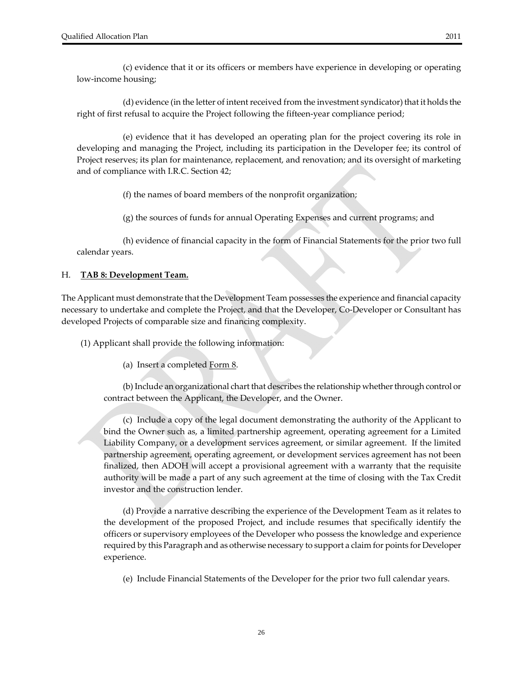(c) evidence that it or its officers or members have experience in developing or operating low‐income housing;

(d) evidence (in the letter of intentreceived from the investment syndicator) that it holds the right of first refusal to acquire the Project following the fifteen‐year compliance period;

(e) evidence that it has developed an operating plan for the project covering its role in developing and managing the Project, including its participation in the Developer fee; its control of Project reserves; its plan for maintenance, replacement, and renovation; and its oversight of marketing and of compliance with I.R.C. Section 42;

(f) the names of board members of the nonprofit organization;

(g) the sources of funds for annual Operating Expenses and current programs; and

(h) evidence of financial capacity in the form of Financial Statements for the prior two full calendar years.

#### H. **TAB 8: Development Team.**

The Applicant must demonstrate that the Development Team possesses the experience and financial capacity necessary to undertake and complete the Project, and that the Developer, Co‐Developer or Consultant has developed Projects of comparable size and financing complexity.

(1) Applicant shall provide the following information:

(a) Insert a completed  $Form 8$ .</u>

(b) Include an organizational chart that describes the relationship whether through control or contract between the Applicant, the Developer, and the Owner.

(c) Include a copy of the legal document demonstrating the authority of the Applicant to bind the Owner such as, a limited partnership agreement, operating agreement for a Limited Liability Company, or a development services agreement, or similar agreement. If the limited partnership agreement, operating agreement, or development services agreement has not been finalized, then ADOH will accept a provisional agreement with a warranty that the requisite authority will be made a part of any such agreement at the time of closing with the Tax Credit investor and the construction lender.

(d) Provide a narrative describing the experience of the Development Team as it relates to the development of the proposed Project, and include resumes that specifically identify the officers or supervisory employees of the Developer who possess the knowledge and experience required by this Paragraph and as otherwise necessary to support a claim for points for Developer experience.

(e) Include Financial Statements of the Developer for the prior two full calendar years.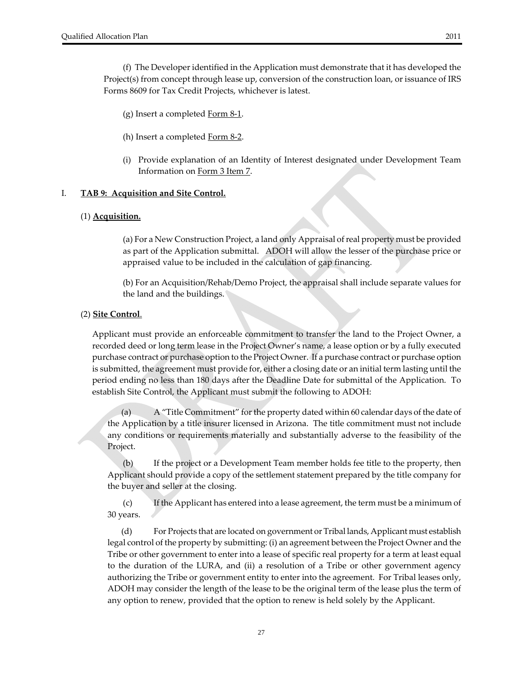(f) The Developer identified in the Application must demonstrate that it has developed the Project(s) from concept through lease up, conversion of the construction loan, or issuance of IRS Forms 8609 for Tax Credit Projects, whichever is latest.

(g) Insert a completed  $Form 8-1$ .</u>

- (h) Insert a completed Form 8‐2.
- (i) Provide explanation of an Identity of Interest designated under Development Team Information on Form 3 Item 7.

#### I. **TAB 9: Acquisition and Site Control.**

#### (1) **Acquisition.**

(a) For a New Construction Project, a land only Appraisal ofreal property must be provided as part of the Application submittal. ADOH will allow the lesser of the purchase price or appraised value to be included in the calculation of gap financing.

(b) For an Acquisition/Rehab/Demo Project, the appraisal shall include separate values for the land and the buildings.

#### (2) **Site Control**.

Applicant must provide an enforceable commitment to transfer the land to the Project Owner, a recorded deed or long term lease in the Project Owner's name, a lease option or by a fully executed purchase contract or purchase option to the Project Owner. If a purchase contract or purchase option is submitted, the agreement must provide for, either a closing date or an initial term lasting until the period ending no less than 180 days after the Deadline Date for submittal of the Application. To establish Site Control, the Applicant must submit the following to ADOH:

A "Title Commitment" for the property dated within 60 calendar days of the date of the Application by a title insurer licensed in Arizona. The title commitment must not include any conditions or requirements materially and substantially adverse to the feasibility of the Project.

(b) If the project or a Development Team member holds fee title to the property, then Applicant should provide a copy of the settlement statement prepared by the title company for the buyer and seller at the closing.

(c) If the Applicant has entered into a lease agreement, the term must be a minimum of 30 years.

(d) For Projects that are located on government or Tribal lands, Applicant must establish legal control of the property by submitting: (i) an agreement between the Project Owner and the Tribe or other government to enter into a lease of specific real property for a term at least equal to the duration of the LURA, and (ii) a resolution of a Tribe or other government agency authorizing the Tribe or government entity to enter into the agreement. For Tribal leases only, ADOH may consider the length of the lease to be the original term of the lease plus the term of any option to renew, provided that the option to renew is held solely by the Applicant.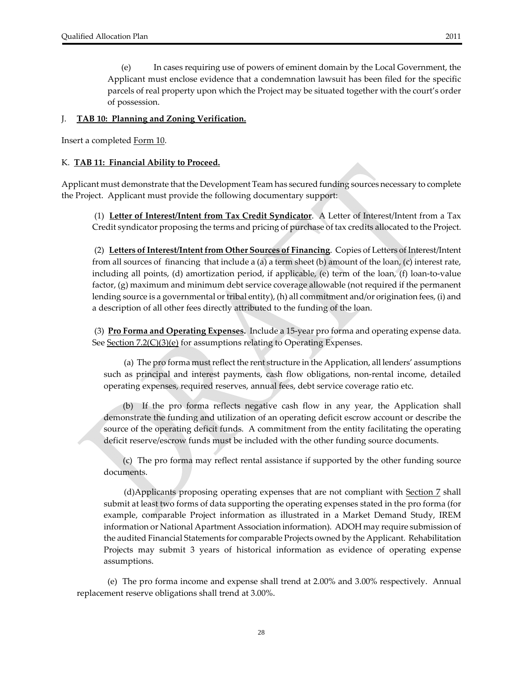(e) In cases requiring use of powers of eminent domain by the Local Government, the Applicant must enclose evidence that a condemnation lawsuit has been filed for the specific parcels of real property upon which the Project may be situated together with the court's order of possession.

#### J. **TAB 10: Planning and Zoning Verification.**

Insert a completed Form 10.

#### K. **TAB 11: Financial Ability to Proceed.**

Applicant must demonstrate that the Development Team has secured funding sources necessary to complete the Project. Applicant must provide the following documentary support:

(1) **Letter of Interest/Intent from Tax Credit Syndicator**. A Letter of Interest/Intent from a Tax Credit syndicator proposing the terms and pricing of purchase of tax credits allocated to the Project.

(2) **Letters ofInterest/Intentfrom Other Sources of Financing**. Copies of Letters of Interest/Intent from all sources of financing that include a (a) a term sheet (b) amount of the loan, (c) interest rate, including all points, (d) amortization period, if applicable, (e) term of the loan, (f) loan‐to‐value factor, (g) maximum and minimum debt service coverage allowable (not required if the permanent lending source is a governmental or tribal entity), (h) all commitment and/or origination fees, (i) and a description of all other fees directly attributed to the funding of the loan.

(3) **Pro Forma and Operating Expenses.** Include a 15‐year pro forma and operating expense data. See Section 7.2(C)(3)(e) for assumptions relating to Operating Expenses.

 (a) The pro forma mustreflect the rent structure in the Application, all lenders' assumptions such as principal and interest payments, cash flow obligations, non-rental income, detailed operating expenses, required reserves, annual fees, debt service coverage ratio etc.

(b) If the pro forma reflects negative cash flow in any year, the Application shall demonstrate the funding and utilization of an operating deficit escrow account or describe the source of the operating deficit funds. A commitment from the entity facilitating the operating deficit reserve/escrow funds must be included with the other funding source documents.

(c) The pro forma may reflect rental assistance if supported by the other funding source documents.

(d)Applicants proposing operating expenses that are not compliant with Section 7 shall submit at least two forms of data supporting the operating expenses stated in the pro forma (for example, comparable Project information as illustrated in a Market Demand Study, IREM information or National Apartment Association information). ADOH may require submission of the audited Financial Statements for comparable Projects owned by the Applicant. Rehabilitation Projects may submit 3 years of historical information as evidence of operating expense assumptions.

 (e) The pro forma income and expense shall trend at 2.00% and 3.00% respectively. Annual replacement reserve obligations shall trend at 3.00%.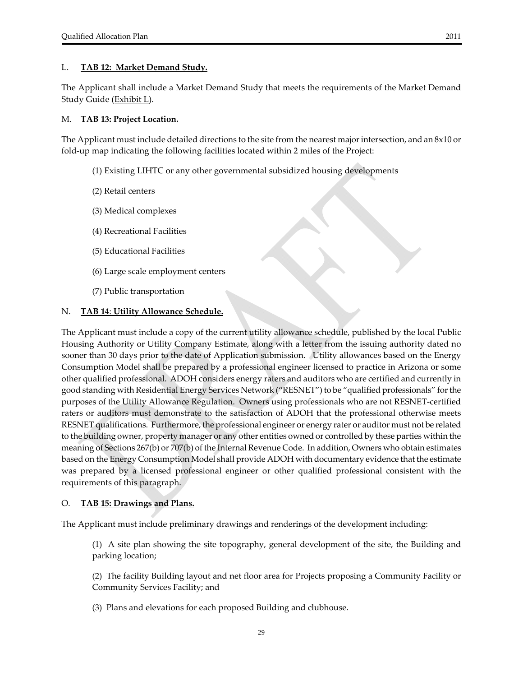#### L. **TAB 12: Market Demand Study.**

The Applicant shall include a Market Demand Study that meets the requirements of the Market Demand Study Guide (Exhibit L).

#### M. **TAB 13: Project Location.**

The Applicant must include detailed directions to the site from the nearest majorintersection, and an 8x10 or fold-up map indicating the following facilities located within 2 miles of the Project:

- (1) Existing LIHTC or any other governmental subsidized housing developments
- (2) Retail centers
- (3) Medical complexes
- (4) Recreational Facilities
- (5) Educational Facilities
- (6) Large scale employment centers
- (7) Public transportation

#### N. **TAB 14**: **Utility Allowance Schedule.**

The Applicant must include a copy of the current utility allowance schedule, published by the local Public Housing Authority or Utility Company Estimate, along with a letter from the issuing authority dated no sooner than 30 days prior to the date of Application submission. Utility allowances based on the Energy Consumption Model shall be prepared by a professional engineer licensed to practice in Arizona or some other qualified professional. ADOH considers energy raters and auditors who are certified and currently in good standing with Residential Energy Services Network ("RESNET") to be "qualified professionals" forthe purposes of the Utility Allowance Regulation. Owners using professionals who are not RESNET‐certified raters or auditors must demonstrate to the satisfaction of ADOH that the professional otherwise meets RESNET qualifications. Furthermore, the professional engineer or energy rater or auditor must not be related to the building owner, property manager or any other entities owned or controlled by these parties within the meaning of Sections 267(b) or 707(b) of the Internal Revenue Code. In addition, Owners who obtain estimates based on the Energy Consumption Model shall provide ADOH with documentary evidence that the estimate was prepared by a licensed professional engineer or other qualified professional consistent with the requirements of this paragraph.

#### O. **TAB 15: Drawings and Plans.**

The Applicant must include preliminary drawings and renderings of the development including:

(1) A site plan showing the site topography, general development of the site, the Building and parking location;

(2) The facility Building layout and net floor area for Projects proposing a Community Facility or Community Services Facility; and

(3) Plans and elevations for each proposed Building and clubhouse.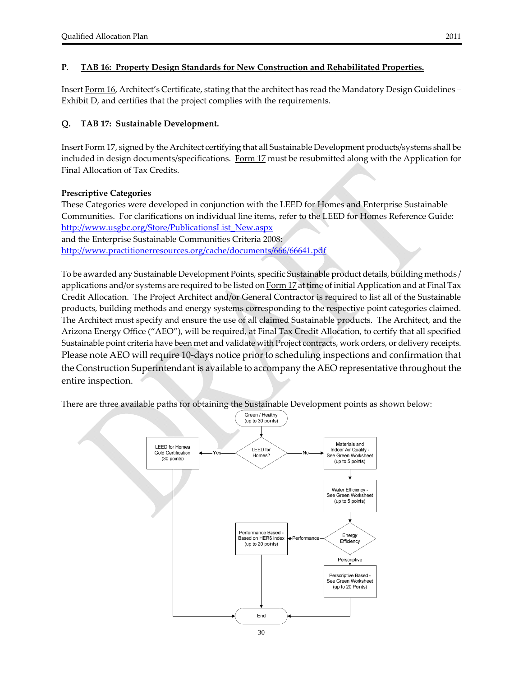#### **P**. **TAB 16: Property Design Standards for New Construction and Rehabilitated Properties.**

Insert Form 16, Architect's Certificate, stating that the architect has read the Mandatory Design Guidelines – Exhibit D, and certifies that the project complies with the requirements.

#### **Q. TAB 17: Sustainable Development.**

Insert Form 17, signed by the Architect certifying that all Sustainable Development products/systems shall be included in design documents/specifications. Form 17 must be resubmitted along with the Application for Final Allocation of Tax Credits.

#### **Prescriptive Categories**

These Categories were developed in conjunction with the LEED for Homes and Enterprise Sustainable Communities. For clarifications on individual line items, refer to the LEED for Homes Reference Guide: http://www.usgbc.org/Store/PublicationsList\_New.aspx

and the Enterprise Sustainable Communities Criteria 2008: http://www.practitionerresources.org/cache/documents/666/66641.pdf

To be awarded any Sustainable Development Points, specific Sustainable product details, building methods / applications and/or systems are required to be listed on Form 17 at time of initial Application and at Final Tax Credit Allocation. The Project Architect and/or General Contractor is required to list all of the Sustainable products, building methods and energy systems corresponding to the respective point categories claimed. The Architect must specify and ensure the use of all claimed Sustainable products. The Architect, and the Arizona Energy Office ("AEO"), will be required, at Final Tax Credit Allocation, to certify that all specified Sustainable point criteria have been met and validate with Project contracts, work orders, or delivery receipts. Please note AEO will require 10-days notice prior to scheduling inspections and confirmation that the Construction Superintendant is available to accompany the AEO representative throughout the entire inspection.

There are three available paths for obtaining the Sustainable Development points as shown below:

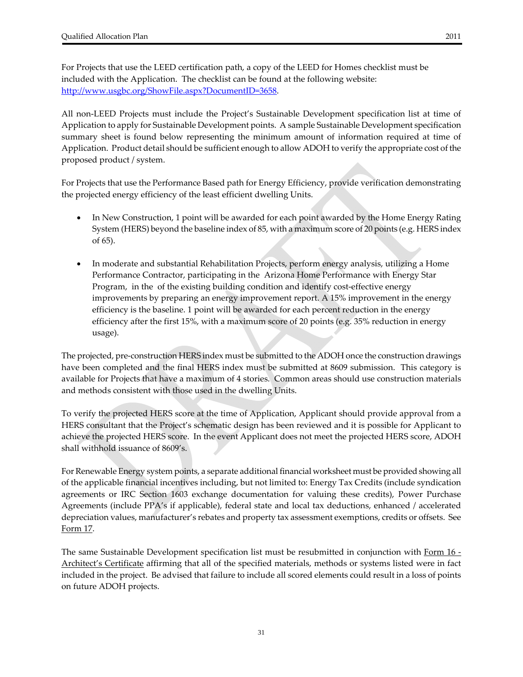For Projects that use the LEED certification path, a copy of the LEED for Homes checklist must be included with the Application. The checklist can be found at the following website: http://www.usgbc.org/ShowFile.aspx?DocumentID=3658.

All non‐LEED Projects must include the Project's Sustainable Development specification list at time of Application to apply for Sustainable Development points. A sample Sustainable Development specification summary sheet is found below representing the minimum amount of information required at time of Application. Product detail should be sufficient enough to allow ADOH to verify the appropriate cost of the proposed product / system.

For Projects that use the Performance Based path for Energy Efficiency, provide verification demonstrating the projected energy efficiency of the least efficient dwelling Units.

- In New Construction, 1 point will be awarded for each point awarded by the Home Energy Rating System (HERS) beyond the baseline index of 85, with a maximum score of 20 points (e.g. HERS index of 65).
- In moderate and substantial Rehabilitation Projects, perform energy analysis, utilizing a Home Performance Contractor, participating in the Arizona Home Performance with Energy Star Program, in the of the existing building condition and identify cost-effective energy improvements by preparing an energy improvement report. A 15% improvement in the energy efficiency is the baseline. 1 point will be awarded for each percent reduction in the energy efficiency after the first 15%, with a maximum score of 20 points (e.g. 35% reduction in energy usage).

The projected, pre‐construction HERS index must be submitted to the ADOH once the construction drawings have been completed and the final HERS index must be submitted at 8609 submission. This category is available for Projects that have a maximum of 4 stories. Common areas should use construction materials and methods consistent with those used in the dwelling Units.

To verify the projected HERS score at the time of Application, Applicant should provide approval from a HERS consultant that the Project's schematic design has been reviewed and it is possible for Applicant to achieve the projected HERS score. In the event Applicant does not meet the projected HERS score, ADOH shall withhold issuance of 8609's.

For Renewable Energy system points, a separate additional financial worksheet must be provided showing all of the applicable financial incentives including, but not limited to: Energy Tax Credits (include syndication agreements or IRC Section 1603 exchange documentation for valuing these credits), Power Purchase Agreements (include PPA's if applicable), federal state and local tax deductions, enhanced / accelerated depreciation values, manufacturer's rebates and property tax assessment exemptions, credits or offsets. See Form 17.

The same Sustainable Development specification list must be resubmitted in conjunction with Form 16 ‐ Architect's Certificate affirming that all of the specified materials, methods or systems listed were in fact included in the project. Be advised that failure to include all scored elements could result in a loss of points on future ADOH projects.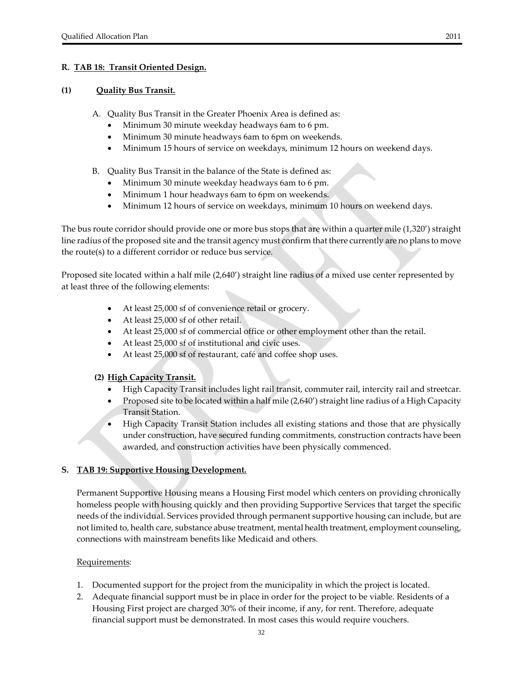#### **(1) Quality Bus Transit.**

A. Quality Bus Transit in the Greater Phoenix Area is defined as:

- Minimum 30 minute weekday headways 6am to 6 pm.
- Minimum 30 minute headways 6am to 6pm on weekends.
- Minimum 15 hours of service on weekdays, minimum 12 hours on weekend days.

#### B. Quality Bus Transit in the balance of the State is defined as:

- Minimum 30 minute weekday headways 6am to 6 pm.
- Minimum 1 hour headways 6am to 6pm on weekends.
- Minimum 12 hours of service on weekdays, minimum 10 hours on weekend days.

The bus route corridor should provide one or more bus stops that are within a quarter mile (1,320') straight line radius of the proposed site and the transit agency must confirm that there currently are no plans to move the route(s) to a different corridor or reduce bus service.

Proposed site located within a half mile (2,640') straight line radius of a mixed use center represented by at least three of the following elements:

- At least 25,000 sf of convenience retail or grocery.
- At least 25,000 sf of other retail.
- At least 25,000 sf of commercial office or other employment other than the retail.
- At least 25,000 sf of institutional and civic uses.
- At least 25,000 sf of restaurant, café and coffee shop uses.

#### **(2) High Capacity Transit.**

- High Capacity Transit includes light rail transit, commuter rail, intercity rail and streetcar.
- Proposed site to be located within a half mile (2,640') straight line radius of a High Capacity Transit Station.
- High Capacity Transit Station includes all existing stations and those that are physically under construction, have secured funding commitments, construction contracts have been awarded, and construction activities have been physically commenced.

#### **S. TAB 19: Supportive Housing Development.**

Permanent Supportive Housing means a Housing First model which centers on providing chronically homeless people with housing quickly and then providing Supportive Services that target the specific needs of the individual. Services provided through permanent supportive housing can include, but are not limited to, health care, substance abuse treatment, mental health treatment, employment counseling, connections with mainstream benefits like Medicaid and others.

#### Requirements:

- 1. Documented support for the project from the municipality in which the project is located.
- 2. Adequate financial support must be in place in order for the project to be viable. Residents of a Housing First project are charged 30% of their income, if any, for rent. Therefore, adequate financial support must be demonstrated. In most cases this would require vouchers.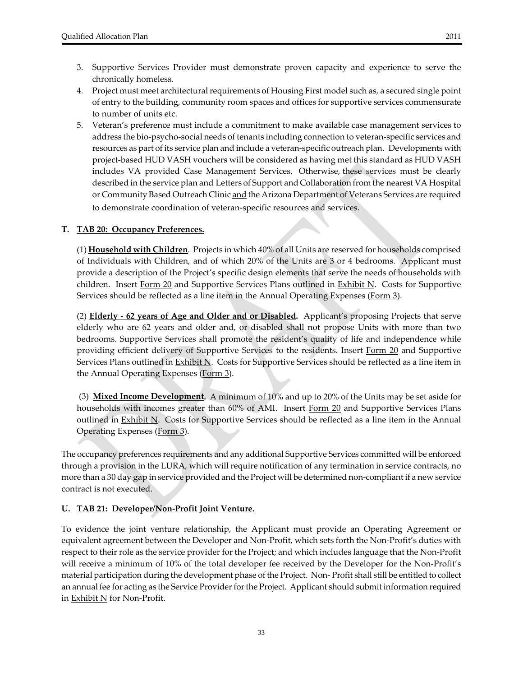- 4. Project must meet architectural requirements of Housing First model such as, a secured single point of entry to the building, community room spaces and offices for supportive services commensurate to number of units etc.
- 5. Veteran's preference must include a commitment to make available case management services to address the bio‐psycho‐social needs of tenants including connection to veteran‐specific services and resources as part of its service plan and include a veteran‐specific outreach plan. Developments with project‐based HUD VASH vouchers will be considered as having met this standard as HUD VASH includes VA provided Case Management Services. Otherwise, these services must be clearly described in the service plan and Letters of Support and Collaboration from the nearest VA Hospital or Community Based Outreach Clinic and the Arizona Department of Veterans Services are required to demonstrate coordination of veteran‐specific resources and services.

#### **T. TAB 20: Occupancy Preferences.**

(1) **Household with Children**. Projects in which 40% of all Units are reserved for households comprised of Individuals with Children, and of which 20% of the Units are 3 or 4 bedrooms. Applicant must provide a description of the Project's specific design elements that serve the needs of households with children. Insert Form 20 and Supportive Services Plans outlined in **Exhibit N.** Costs for Supportive Services should be reflected as a line item in the Annual Operating Expenses (Form 3).

(2) **Elderly ‐ 62 years of Age and Older and or Disabled.** Applicant's proposing Projects that serve elderly who are 62 years and older and, or disabled shall not propose Units with more than two bedrooms. Supportive Services shall promote the resident's quality of life and independence while providing efficient delivery of Supportive Services to the residents. Insert Form 20 and Supportive Services Plans outlined in **Exhibit N.** Costs for Supportive Services should be reflected as a line item in the Annual Operating Expenses (Form 3).

(3) **Mixed Income Development.** A minimum of 10% and up to 20% of the Units may be set aside for households with incomes greater than 60% of AMI. Insert Form 20 and Supportive Services Plans outlined in **Exhibit N.** Costs for Supportive Services should be reflected as a line item in the Annual Operating Expenses (Form 3).

The occupancy preferences requirements and any additional Supportive Services committed will be enforced through a provision in the LURA, which will require notification of any termination in service contracts, no more than a 30 day gap in service provided and the Project will be determined non-compliant if a new service contract is not executed.

#### **U. TAB 21: Developer/Non‐Profit Joint Venture.**

To evidence the joint venture relationship, the Applicant must provide an Operating Agreement or equivalent agreement between the Developer and Non‐Profit, which sets forth the Non‐Profit's duties with respect to their role as the service provider for the Project; and which includes language that the Non‐Profit will receive a minimum of 10% of the total developer fee received by the Developer for the Non-Profit's material participation during the development phase of the Project. Non‐ Profit shall still be entitled to collect an annual fee for acting as the Service Provider for the Project. Applicant should submit information required in **Exhibit N** for Non-Profit.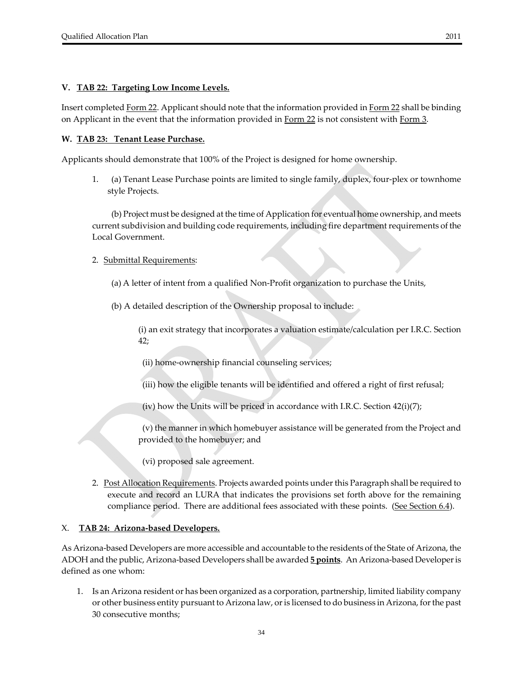#### **V. TAB 22: Targeting Low Income Levels.**

Insert completed Form 22. Applicant should note that the information provided in Form 22 shall be binding on Applicant in the event that the information provided in Form 22 is not consistent with Form 3.

#### **W. TAB 23: Tenant Lease Purchase.**

Applicants should demonstrate that 100% of the Project is designed for home ownership.

1. (a) Tenant Lease Purchase points are limited to single family, duplex, four‐plex or townhome style Projects.

 (b) Project must be designed at the time of Application for eventual home ownership, and meets current subdivision and building code requirements, including fire department requirements of the Local Government.

- 2. Submittal Requirements:
	- (a) A letter of intent from a qualified Non‐Profit organization to purchase the Units,
	- (b) A detailed description of the Ownership proposal to include:

(i) an exit strategy that incorporates a valuation estimate/calculation per I.R.C. Section 42;

(ii) home‐ownership financial counseling services;

(iii) how the eligible tenants will be identified and offered a right of first refusal;

(iv) how the Units will be priced in accordance with I.R.C. Section  $42(i)(7)$ ;

(v) the manner in which homebuyer assistance will be generated from the Project and provided to the homebuyer; and

- (vi) proposed sale agreement.
- 2. Post Allocation Requirements. Projects awarded points under this Paragraph shall be required to execute and record an LURA that indicates the provisions set forth above for the remaining compliance period. There are additional fees associated with these points. (See Section 6.4).

#### X. **TAB 24: Arizona‐based Developers.**

As Arizona‐based Developers are more accessible and accountable to the residents of the State of Arizona, the ADOH and the public, Arizona‐based Developers shall be awarded **5 points**. An Arizona‐based Developeris defined as one whom:

1. Is an Arizona resident or has been organized as a corporation, partnership, limited liability company or other business entity pursuant to Arizona law, or is licensed to do business in Arizona, for the past 30 consecutive months;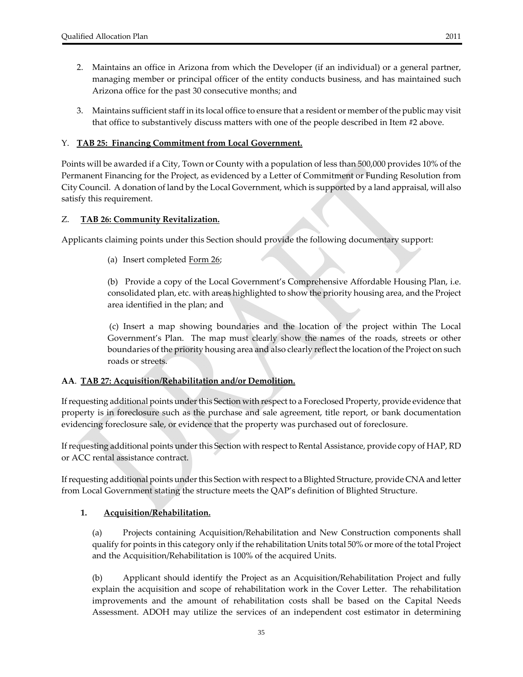- 2. Maintains an office in Arizona from which the Developer (if an individual) or a general partner, managing member or principal officer of the entity conducts business, and has maintained such Arizona office for the past 30 consecutive months; and
- 3. Maintains sufficient staff in its local office to ensure that a resident or member of the public may visit that office to substantively discuss matters with one of the people described in Item #2 above.

#### Y. **TAB 25: Financing Commitment from Local Government.**

Points will be awarded if a City, Town or County with a population of less than 500,000 provides 10% of the Permanent Financing for the Project, as evidenced by a Letter of Commitment or Funding Resolution from City Council. A donation of land by the Local Government, which is supported by a land appraisal, will also satisfy this requirement.

#### Z. **TAB 26: Community Revitalization.**

Applicants claiming points under this Section should provide the following documentary support:

(a) Insert completed Form 26;

(b) Provide a copy of the Local Government's Comprehensive Affordable Housing Plan, i.e. consolidated plan, etc. with areas highlighted to show the priority housing area, and the Project area identified in the plan; and

 (c) Insert a map showing boundaries and the location of the project within The Local Government's Plan. The map must clearly show the names of the roads, streets or other boundaries of the priority housing area and also clearly reflect the location of the Project on such roads or streets.

#### **AA**. **TAB 27: Acquisition/Rehabilitation and/or Demolition.**

Ifrequesting additional points underthis Section with respect to a Foreclosed Property, provide evidence that property is in foreclosure such as the purchase and sale agreement, title report, or bank documentation evidencing foreclosure sale, or evidence that the property was purchased out of foreclosure.

Ifrequesting additional points underthis Section with respect to Rental Assistance, provide copy of HAP, RD or ACC rental assistance contract.

If requesting additional points under this Section with respect to a Blighted Structure, provide CNA and letter from Local Government stating the structure meets the QAP's definition of Blighted Structure.

#### **1. Acquisition/Rehabilitation.**

(a) Projects containing Acquisition/Rehabilitation and New Construction components shall qualify for points in this category only if the rehabilitation Units total 50% or more of the total Project and the Acquisition/Rehabilitation is 100% of the acquired Units.

(b) Applicant should identify the Project as an Acquisition/Rehabilitation Project and fully explain the acquisition and scope of rehabilitation work in the Cover Letter. The rehabilitation improvements and the amount of rehabilitation costs shall be based on the Capital Needs Assessment. ADOH may utilize the services of an independent cost estimator in determining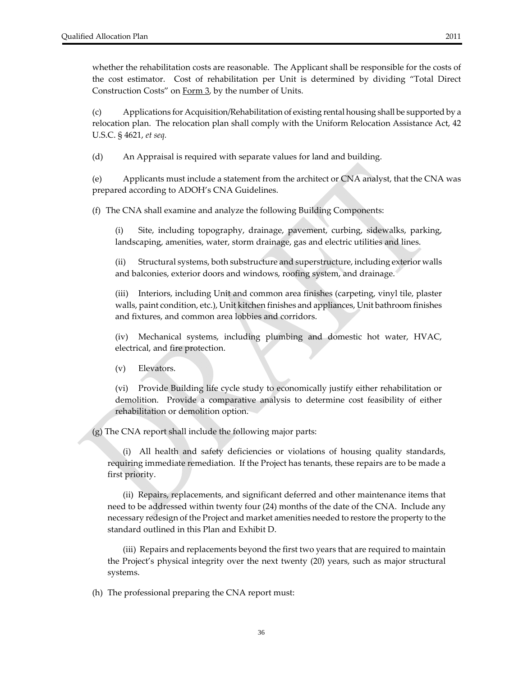whether the rehabilitation costs are reasonable. The Applicant shall be responsible for the costs of the cost estimator. Cost of rehabilitation per Unit is determined by dividing "Total Direct Construction Costs" on Form 3, by the number of Units.

(c) Applications for Acquisition/Rehabilitation of existing rental housing shall be supported by a relocation plan. The relocation plan shall comply with the Uniform Relocation Assistance Act, 42 U.S.C. § 4621, *et seq.*

(d) An Appraisal is required with separate values for land and building.

(e) Applicants must include a statement from the architect or CNA analyst, that the CNA was prepared according to ADOH's CNA Guidelines.

(f) The CNA shall examine and analyze the following Building Components:

(i) Site, including topography, drainage, pavement, curbing, sidewalks, parking, landscaping, amenities, water, storm drainage, gas and electric utilities and lines.

(ii) Structural systems, both substructure and superstructure, including exterior walls and balconies, exterior doors and windows, roofing system, and drainage.

(iii) Interiors, including Unit and common area finishes (carpeting, vinyl tile, plaster walls, paint condition, etc.), Unit kitchen finishes and appliances, Unit bathroom finishes and fixtures, and common area lobbies and corridors.

(iv) Mechanical systems, including plumbing and domestic hot water, HVAC, electrical, and fire protection.

(v) Elevators.

(vi) Provide Building life cycle study to economically justify either rehabilitation or demolition. Provide a comparative analysis to determine cost feasibility of either rehabilitation or demolition option.

(g) The CNA report shall include the following major parts:

(i) All health and safety deficiencies or violations of housing quality standards, requiring immediate remediation. If the Project has tenants, these repairs are to be made a first priority.

(ii) Repairs, replacements, and significant deferred and other maintenance items that need to be addressed within twenty four (24) months of the date of the CNA. Include any necessary redesign of the Project and market amenities needed to restore the property to the standard outlined in this Plan and Exhibit D.

(iii) Repairs and replacements beyond the first two years that are required to maintain the Project's physical integrity over the next twenty (20) years, such as major structural systems.

(h) The professional preparing the CNA report must: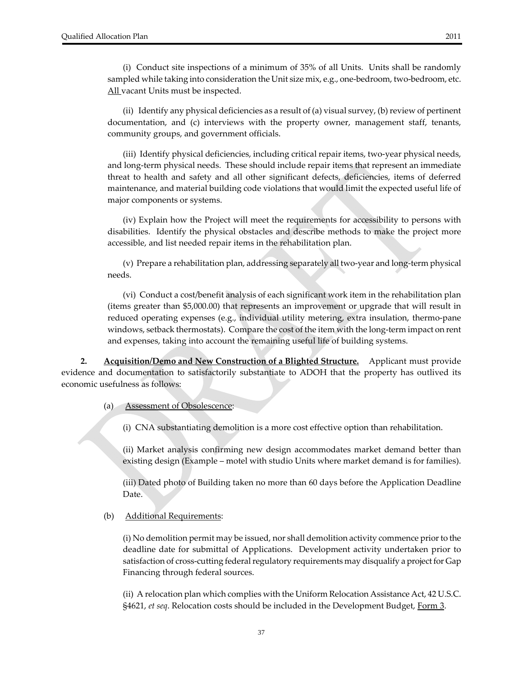(i) Conduct site inspections of a minimum of 35% of all Units. Units shall be randomly sampled while taking into consideration the Unit size mix, e.g., one-bedroom, two-bedroom, etc. All vacant Units must be inspected.

(ii) Identify any physical deficiencies as a result of (a) visual survey, (b) review of pertinent documentation, and (c) interviews with the property owner, management staff, tenants, community groups, and government officials.

(iii) Identify physical deficiencies, including critical repair items, two-year physical needs, and long‐term physical needs. These should include repair items that represent an immediate threat to health and safety and all other significant defects, deficiencies, items of deferred maintenance, and material building code violations that would limit the expected useful life of major components or systems.

(iv) Explain how the Project will meet the requirements for accessibility to persons with disabilities. Identify the physical obstacles and describe methods to make the project more accessible, and list needed repair items in the rehabilitation plan.

(v) Prepare a rehabilitation plan, addressing separately all two‐year and long‐term physical needs.

(vi) Conduct a cost/benefit analysis of each significant work item in the rehabilitation plan (items greater than \$5,000.00) that represents an improvement or upgrade that will result in reduced operating expenses (e.g., individual utility metering, extra insulation, thermo‐pane windows, setback thermostats). Compare the cost of the item with the long-term impact on rent and expenses, taking into account the remaining useful life of building systems.

**2. Acquisition/Demo and New Construction of a Blighted Structure.** Applicant must provide evidence and documentation to satisfactorily substantiate to ADOH that the property has outlived its economic usefulness as follows:

(a) Assessment of Obsolescence:

(i) CNA substantiating demolition is a more cost effective option than rehabilitation.

(ii) Market analysis confirming new design accommodates market demand better than existing design (Example – motel with studio Units where market demand is for families).

(iii) Dated photo of Building taken no more than 60 days before the Application Deadline Date.

#### (b) Additional Requirements:

(i) No demolition permit may be issued, nor shall demolition activity commence priorto the deadline date for submittal of Applications. Development activity undertaken prior to satisfaction of cross-cutting federal regulatory requirements may disqualify a project for Gap Financing through federal sources.

(ii) A relocation plan which complies with the Uniform Relocation Assistance Act, 42 U.S.C. §4621, *et seq*. Relocation costs should be included in the Development Budget, Form 3.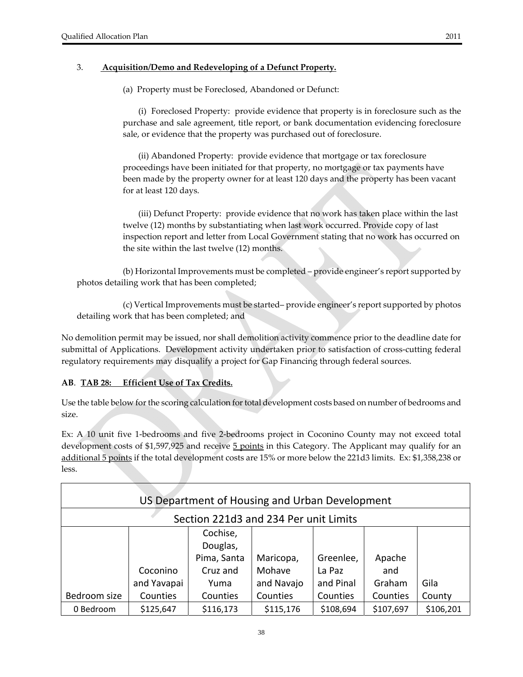#### 3. **Acquisition/Demo and Redeveloping of a Defunct Property.**

(a) Property must be Foreclosed, Abandoned or Defunct:

(i) Foreclosed Property: provide evidence that property is in foreclosure such as the purchase and sale agreement, title report, or bank documentation evidencing foreclosure sale, or evidence that the property was purchased out of foreclosure.

(ii) Abandoned Property: provide evidence that mortgage or tax foreclosure proceedings have been initiated for that property, no mortgage or tax payments have been made by the property owner for at least 120 days and the property has been vacant for at least 120 days.

(iii) Defunct Property: provide evidence that no work has taken place within the last twelve (12) months by substantiating when last work occurred. Provide copy of last inspection report and letter from Local Government stating that no work has occurred on the site within the last twelve (12) months.

(b) Horizontal Improvements must be completed – provide engineer's report supported by photos detailing work that has been completed;

(c) Vertical Improvements must be started– provide engineer's report supported by photos detailing work that has been completed; and

No demolition permit may be issued, nor shall demolition activity commence prior to the deadline date for submittal of Applications. Development activity undertaken prior to satisfaction of cross-cutting federal regulatory requirements may disqualify a project for Gap Financing through federal sources.

#### **AB**. **TAB 28: Efficient Use of Tax Credits.**

Use the table below for the scoring calculation for total development costs based on number of bedrooms and size.

Ex: A 10 unit five 1‐bedrooms and five 2‐bedrooms project in Coconino County may not exceed total development costs of \$1,597,925 and receive  $\frac{5}{9}$  points in this Category. The Applicant may qualify for an additional 5 points if the total development costs are 15% or more below the 221d3 limits. Ex: \$1,358,238 or less.

|              |             | US Department of Housing and Urban Development |            |           |           |           |
|--------------|-------------|------------------------------------------------|------------|-----------|-----------|-----------|
|              |             | Section 221d3 and 234 Per unit Limits          |            |           |           |           |
|              |             | Cochise,                                       |            |           |           |           |
|              |             | Douglas,                                       |            |           |           |           |
|              |             | Pima, Santa                                    | Maricopa,  | Greenlee, | Apache    |           |
|              | Coconino    | Cruz and                                       | Mohave     | La Paz    | and       |           |
|              | and Yavapai | Yuma                                           | and Navajo | and Pinal | Graham    | Gila      |
| Bedroom size | Counties    | Counties                                       | Counties   | Counties  | Counties  | County    |
| 0 Bedroom    | \$125,647   | \$116,173                                      | \$115,176  | \$108,694 | \$107,697 | \$106,201 |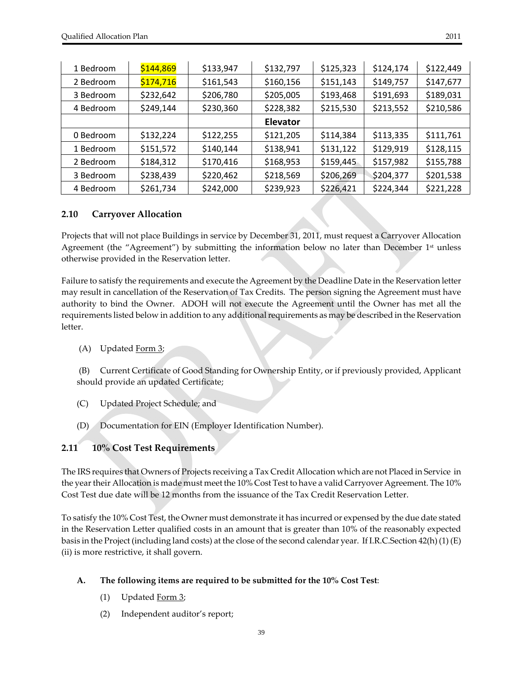| 1 Bedroom | \$144,869 | \$133,947 | \$132,797       | \$125,323 | \$124,174 | \$122,449 |
|-----------|-----------|-----------|-----------------|-----------|-----------|-----------|
| 2 Bedroom | \$174,716 | \$161,543 | \$160,156       | \$151,143 | \$149,757 | \$147,677 |
| 3 Bedroom | \$232,642 | \$206,780 | \$205,005       | \$193,468 | \$191,693 | \$189,031 |
| 4 Bedroom | \$249,144 | \$230,360 | \$228,382       | \$215,530 | \$213,552 | \$210,586 |
|           |           |           | <b>Elevator</b> |           |           |           |
| 0 Bedroom | \$132,224 | \$122,255 | \$121,205       | \$114,384 | \$113,335 | \$111,761 |
| 1 Bedroom | \$151,572 | \$140,144 | \$138,941       | \$131,122 | \$129,919 | \$128,115 |
| 2 Bedroom | \$184,312 | \$170,416 | \$168,953       | \$159,445 | \$157,982 | \$155,788 |
| 3 Bedroom | \$238,439 | \$220,462 | \$218,569       | \$206,269 | \$204,377 | \$201,538 |
| 4 Bedroom | \$261,734 | \$242,000 | \$239,923       | \$226,421 | \$224,344 | \$221,228 |

#### **2.10 Carryover Allocation**

Projects that will not place Buildings in service by December 31, 2011, must request a Carryover Allocation Agreement (the "Agreement") by submitting the information below no later than December  $1<sup>st</sup>$  unless otherwise provided in the Reservation letter.

Failure to satisfy the requirements and execute the Agreement by the Deadline Date in the Reservation letter may result in cancellation of the Reservation of Tax Credits. The person signing the Agreement must have authority to bind the Owner. ADOH will not execute the Agreement until the Owner has met all the requirements listed below in addition to any additionalrequirements as may be described in the Reservation letter.

#### $(A)$  Updated Form 3;

(B) Current Certificate of Good Standing for Ownership Entity, or if previously provided, Applicant should provide an updated Certificate;

- (C) Updated Project Schedule; and
- (D) Documentation for EIN (Employer Identification Number).

#### **2.11 10% Cost Test Requirements**

The IRS requires that Owners of Projects receiving a Tax Credit Allocation which are not Placed in Service in the yeartheir Allocation is made must meet the 10% Cost Test to have a valid Carryover Agreement. The 10% Cost Test due date will be 12 months from the issuance of the Tax Credit Reservation Letter.

To satisfy the 10% Cost Test, the Owner must demonstrate it has incurred or expensed by the due date stated in the Reservation Letter qualified costs in an amount that is greater than 10% of the reasonably expected basis in the Project (including land costs) at the close of the second calendar year. If I.R.C.Section 42(h) (1) (E) (ii) is more restrictive, it shall govern.

#### **A. The following items are required to be submitted for the 10% Cost Test**:

- (1) Updated  $Form 3$ ;</u>
- (2) Independent auditor's report;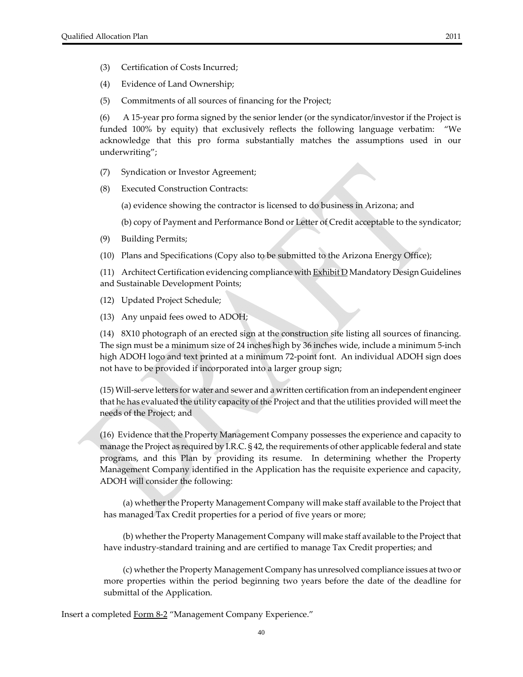- (3) Certification of Costs Incurred;
- (4) Evidence of Land Ownership;
- (5) Commitments of all sources of financing for the Project;

(6) A 15‐year pro forma signed by the senior lender (or the syndicator/investor if the Project is funded 100% by equity) that exclusively reflects the following language verbatim: "We acknowledge that this pro forma substantially matches the assumptions used in our underwriting";

- (7) Syndication or Investor Agreement;
- (8) Executed Construction Contracts:
	- (a) evidence showing the contractor is licensed to do business in Arizona; and
	- (b) copy of Payment and Performance Bond or Letter of Credit acceptable to the syndicator;
- (9) Building Permits;
- (10) Plans and Specifications (Copy also to be submitted to the Arizona Energy Office);

(11) Architect Certification evidencing compliance with  $Exhibit D$  Mandatory Design Guidelines and Sustainable Development Points;

(12) Updated Project Schedule;

(13) Any unpaid fees owed to ADOH;

 (14) 8X10 photograph of an erected sign at the construction site listing all sources of financing. The sign must be a minimum size of 24 inches high by 36 inches wide, include a minimum 5‐inch high ADOH logo and text printed at a minimum 72‐point font. An individual ADOH sign does not have to be provided if incorporated into a larger group sign;

 (15) Will‐serve letters for water and sewer and a written certification from an independent engineer that he has evaluated the utility capacity of the Project and that the utilities provided will meet the needs of the Project; and

 (16) Evidence that the Property Management Company possesses the experience and capacity to manage the Project as required by I.R.C. § 42, the requirements of other applicable federal and state programs, and this Plan by providing its resume. In determining whether the Property Management Company identified in the Application has the requisite experience and capacity, ADOH will consider the following:

(a) whether the Property Management Company will make staff available to the Project that has managed Tax Credit properties for a period of five years or more;

(b) whether the Property Management Company will make staff available to the Project that have industry‐standard training and are certified to manage Tax Credit properties; and

(c) whether the Property Management Company has unresolved compliance issues at two or more properties within the period beginning two years before the date of the deadline for submittal of the Application.

Insert a completed Form 8‐2 "Management Company Experience."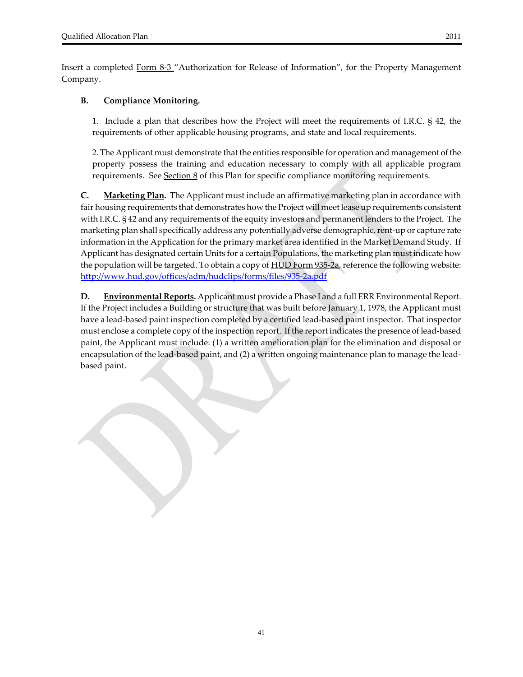Insert a completed Form 8-3 "Authorization for Release of Information", for the Property Management Company.

#### **B. Compliance Monitoring.**

1.Include a plan that describes how the Project will meet the requirements of I.R.C. § 42, the requirements of other applicable housing programs, and state and local requirements.

2. The Applicant must demonstrate that the entities responsible for operation and management ofthe property possess the training and education necessary to comply with all applicable program requirements. See Section 8 of this Plan for specific compliance monitoring requirements.

**C. Marketing Plan.** The Applicant must include an affirmative marketing plan in accordance with fair housing requirements that demonstrates how the Project will meet lease up requirements consistent with I.R.C. § 42 and any requirements of the equity investors and permanent lenders to the Project. The marketing plan shall specifically address any potentially adverse demographic, rent-up or capture rate information in the Application for the primary market area identified in the Market Demand Study. If Applicant has designated certain Units for a certain Populations, the marketing plan must indicate how the population will be targeted. To obtain a copy of <u>HUD Form 935-2a</u>, reference the following website: http://www.hud.gov/offices/adm/hudclips/forms/files/935‐2a.pdf

**D. Environmental Reports.** Applicant must provide a Phase I and a full ERR Environmental Report. If the Project includes a Building or structure that was built before January 1, 1978, the Applicant must have a lead-based paint inspection completed by a certified lead-based paint inspector. That inspector must enclose a complete copy of the inspection report. If the report indicates the presence of lead‐based paint, the Applicant must include: (1) a written amelioration plan for the elimination and disposal or encapsulation of the lead‐based paint, and (2) a written ongoing maintenance plan to manage the lead‐ based paint.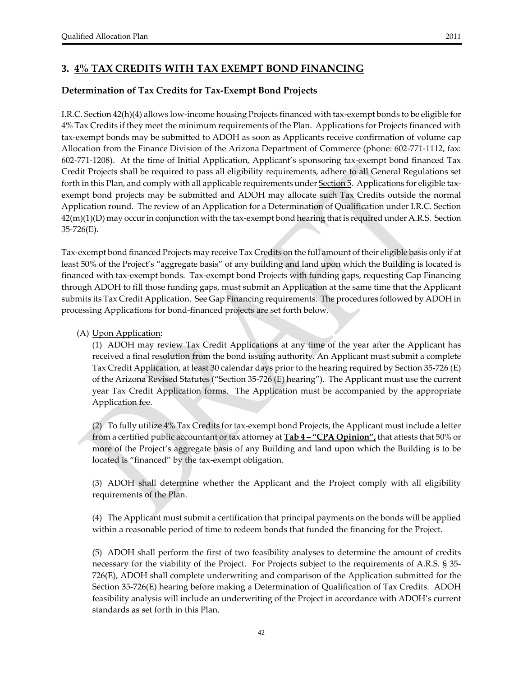# **3. 4% TAX CREDITS WITH TAX EXEMPT BOND FINANCING**

## **Determination of Tax Credits for Tax‐Exempt Bond Projects**

I.R.C. Section 42(h)(4) allows low‐income housing Projects financed with tax‐exempt bonds to be eligible for 4% Tax Credits if they meet the minimum requirements of the Plan. Applications for Projects financed with tax‐exempt bonds may be submitted to ADOH as soon as Applicants receive confirmation of volume cap Allocation from the Finance Division of the Arizona Department of Commerce (phone: 602‐771‐1112, fax: 602‐771‐1208). At the time of Initial Application, Applicant's sponsoring tax‐exempt bond financed Tax Credit Projects shall be required to pass all eligibility requirements, adhere to all General Regulations set forth in this Plan, and comply with all applicable requirements under **Section 5**. Applications for eligible taxexempt bond projects may be submitted and ADOH may allocate such Tax Credits outside the normal Application round. The review of an Application for a Determination of Qualification under I.R.C. Section  $42(m)(1)(D)$  may occur in conjunction with the tax-exempt bond hearing that is required under A.R.S. Section 35‐726(E).

Tax‐exempt bond financed Projects may receive Tax Credits on the full amount of their eligible basis only if at least 50% of the Project's "aggregate basis" of any building and land upon which the Building is located is financed with tax‐exempt bonds. Tax‐exempt bond Projects with funding gaps, requesting Gap Financing through ADOH to fill those funding gaps, must submit an Application at the same time that the Applicant submits its Tax Credit Application. See Gap Financing requirements. The procedures followed by ADOH in processing Applications for bond‐financed projects are set forth below.

#### (A) Upon Application:

 (1) ADOH may review Tax Credit Applications at any time of the year after the Applicant has received a final resolution from the bond issuing authority. An Applicant must submit a complete Tax Credit Application, at least 30 calendar days prior to the hearing required by Section 35‐726 (E) of the Arizona Revised Statutes ("Section 35‐726 (E) hearing"). The Applicant must use the current year Tax Credit Application forms. The Application must be accompanied by the appropriate Application fee.

(2) To fully utilize  $4\%$  Tax Credits for tax-exempt bond Projects, the Applicant must include a letter from a certified public accountant ortax attorney at **Tab 4 – "CPA Opinion",** that attests that 50% or more of the Project's aggregate basis of any Building and land upon which the Building is to be located is "financed" by the tax‐exempt obligation.

(3) ADOH shall determine whether the Applicant and the Project comply with all eligibility requirements of the Plan.

(4) The Applicant must submit a certification that principal payments on the bonds will be applied within a reasonable period of time to redeem bonds that funded the financing for the Project.

(5) ADOH shall perform the first of two feasibility analyses to determine the amount of credits necessary for the viability of the Project. For Projects subject to the requirements of A.R.S. § 35‐ 726(E), ADOH shall complete underwriting and comparison of the Application submitted for the Section 35-726(E) hearing before making a Determination of Qualification of Tax Credits. ADOH feasibility analysis will include an underwriting of the Project in accordance with ADOH's current standards as set forth in this Plan.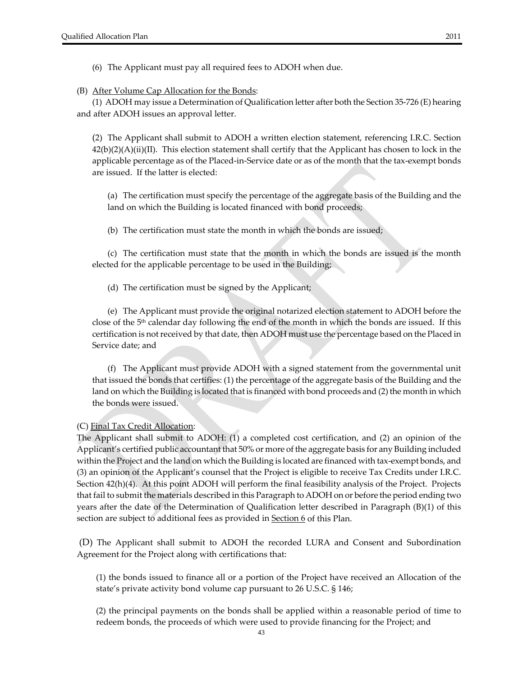(6) The Applicant must pay all required fees to ADOH when due.

(B) After Volume Cap Allocation for the Bonds:

 (1) ADOH may issue a Determination of Qualification letter after both the Section 35‐726 (E) hearing and after ADOH issues an approval letter.

 (2) The Applicant shall submit to ADOH a written election statement, referencing I.R.C. Section  $42(b)(2)(A)(ii)(II)$ . This election statement shall certify that the Applicant has chosen to lock in the applicable percentage as of the Placed‐in‐Service date or as of the month that the tax‐exempt bonds are issued. If the latter is elected:

(a) The certification must specify the percentage of the aggregate basis of the Building and the land on which the Building is located financed with bond proceeds;

(b) The certification must state the month in which the bonds are issued;

 (c) The certification must state that the month in which the bonds are issued is the month elected for the applicable percentage to be used in the Building;

(d) The certification must be signed by the Applicant;

 (e) The Applicant must provide the original notarized election statement to ADOH before the close of the 5th calendar day following the end of the month in which the bonds are issued. If this certification is not received by that date, then ADOH must use the percentage based on the Placed in Service date; and

 (f) The Applicant must provide ADOH with a signed statement from the governmental unit that issued the bonds that certifies: (1) the percentage of the aggregate basis of the Building and the land on which the Building is located that is financed with bond proceeds and (2) the month in which the bonds were issued.

#### (C) Final Tax Credit Allocation:

The Applicant shall submit to ADOH: (1) a completed cost certification, and (2) an opinion of the Applicant's certified public accountant that 50% or more of the aggregate basis for any Building included within the Project and the land on which the Building is located are financed with tax-exempt bonds, and (3) an opinion of the Applicant's counsel that the Project is eligible to receive Tax Credits under I.R.C. Section 42(h)(4). At this point ADOH will perform the final feasibility analysis of the Project. Projects that fail to submit the materials described in this Paragraph to ADOH on or before the period ending two years after the date of the Determination of Qualification letter described in Paragraph (B)(1) of this section are subject to additional fees as provided in **Section 6** of this Plan.

(D) The Applicant shall submit to ADOH the recorded LURA and Consent and Subordination Agreement for the Project along with certifications that:

(1) the bonds issued to finance all or a portion of the Project have received an Allocation of the state's private activity bond volume cap pursuant to 26 U.S.C. § 146;

(2) the principal payments on the bonds shall be applied within a reasonable period of time to redeem bonds, the proceeds of which were used to provide financing for the Project; and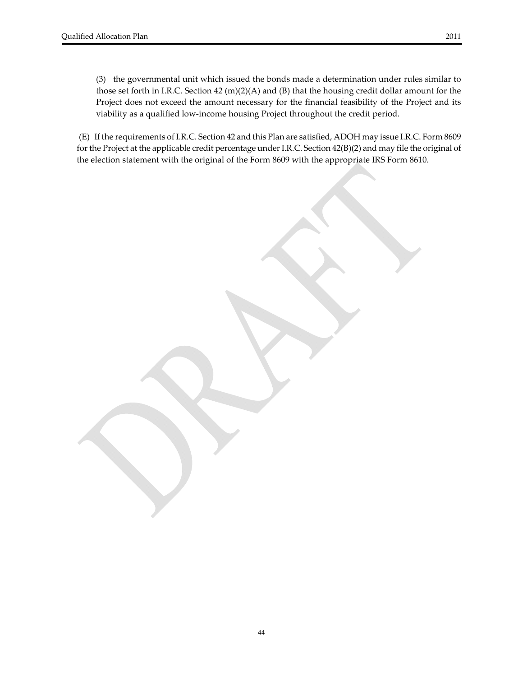(3) the governmental unit which issued the bonds made a determination under rules similar to those set forth in I.R.C. Section 42  $(m)(2)(A)$  and  $(B)$  that the housing credit dollar amount for the Project does not exceed the amount necessary for the financial feasibility of the Project and its viability as a qualified low‐income housing Project throughout the credit period.

(E) If the requirements of I.R.C. Section 42 and this Plan are satisfied, ADOH may issue I.R.C. Form 8609 for the Project at the applicable credit percentage under I.R.C. Section 42(B)(2) and may file the original of the election statement with the original of the Form 8609 with the appropriate IRS Form 8610.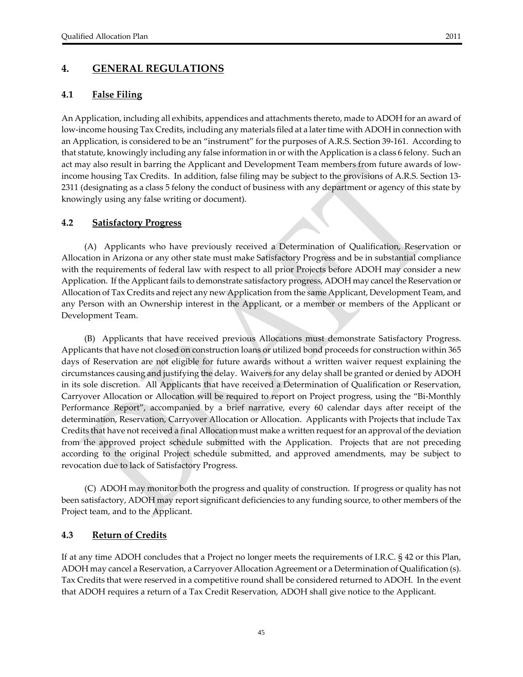#### **4. GENERAL REGULATIONS**

#### **4.1 False Filing**

An Application, including all exhibits, appendices and attachments thereto, made to ADOH for an award of low-income housing Tax Credits, including any materials filed at a later time with ADOH in connection with an Application, is considered to be an "instrument" for the purposes of A.R.S. Section 39‐161. According to that statute, knowingly including any false information in or with the Application is a class 6 felony. Such an act may also result in barring the Applicant and Development Team members from future awards of low‐ income housing Tax Credits. In addition, false filing may be subject to the provisions of A.R.S. Section 13‐ 2311 (designating as a class 5 felony the conduct of business with any department or agency of this state by knowingly using any false writing or document).

#### **4.2 Satisfactory Progress**

 (A) Applicants who have previously received a Determination of Qualification, Reservation or Allocation in Arizona or any other state must make Satisfactory Progress and be in substantial compliance with the requirements of federal law with respect to all prior Projects before ADOH may consider a new Application. If the Applicant fails to demonstrate satisfactory progress, ADOH may cancel the Reservation or Allocation of Tax Credits and reject any new Application from the same Applicant, Development Team, and any Person with an Ownership interest in the Applicant, or a member or members of the Applicant or Development Team.

 (B) Applicants that have received previous Allocations must demonstrate Satisfactory Progress. Applicants that have not closed on construction loans or utilized bond proceeds for construction within 365 days of Reservation are not eligible for future awards without a written waiver request explaining the circumstances causing and justifying the delay. Waivers for any delay shall be granted or denied by ADOH in its sole discretion. All Applicants that have received a Determination of Qualification or Reservation, Carryover Allocation or Allocation will be required to report on Project progress, using the "Bi‐Monthly Performance Report", accompanied by a brief narrative, every 60 calendar days after receipt of the determination, Reservation, Carryover Allocation or Allocation. Applicants with Projects that include Tax Credits that have notreceived a final Allocation must make a written request for an approval of the deviation from the approved project schedule submitted with the Application. Projects that are not preceding according to the original Project schedule submitted, and approved amendments, may be subject to revocation due to lack of Satisfactory Progress.

 (C) ADOH may monitor both the progress and quality of construction. If progress or quality has not been satisfactory, ADOH may report significant deficiencies to any funding source, to other members of the Project team, and to the Applicant.

#### **4.3 Return of Credits**

If at any time ADOH concludes that a Project no longer meets the requirements of I.R.C. § 42 or this Plan, ADOH may cancel a Reservation, a Carryover Allocation Agreement or a Determination of Qualification (s). Tax Credits that were reserved in a competitive round shall be considered returned to ADOH. In the event that ADOH requires a return of a Tax Credit Reservation, ADOH shall give notice to the Applicant.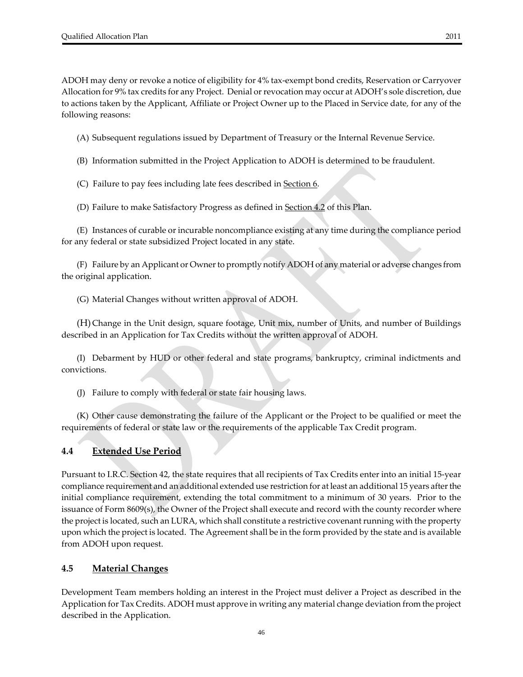ADOH may deny or revoke a notice of eligibility for 4% tax‐exempt bond credits, Reservation or Carryover Allocation for 9% tax credits for any Project. Denial or revocation may occur at ADOH's sole discretion, due to actions taken by the Applicant, Affiliate or Project Owner up to the Placed in Service date, for any of the following reasons:

(A) Subsequent regulations issued by Department of Treasury or the Internal Revenue Service.

(B) Information submitted in the Project Application to ADOH is determined to be fraudulent.

(C) Failure to pay fees including late fees described in Section 6.

(D) Failure to make Satisfactory Progress as defined in Section 4.2 of this Plan.

 (E) Instances of curable or incurable noncompliance existing at any time during the compliance period for any federal or state subsidized Project located in any state.

 (F) Failure by an Applicant or Ownerto promptly notify ADOH of any material or adverse changes from the original application.

(G) Material Changes without written approval of ADOH.

 (H) Change in the Unit design, square footage, Unit mix, number of Units, and number of Buildings described in an Application for Tax Credits without the written approval of ADOH.

 (I) Debarment by HUD or other federal and state programs, bankruptcy, criminal indictments and convictions.

(J) Failure to comply with federal or state fair housing laws.

(K) Other cause demonstrating the failure of the Applicant or the Project to be qualified or meet the requirements of federal or state law or the requirements of the applicable Tax Credit program.

#### **4.4 Extended Use Period**

Pursuant to I.R.C. Section 42, the state requires that all recipients of Tax Credits enter into an initial 15‐year compliance requirement and an additional extended use restriction for at least an additional 15 years afterthe initial compliance requirement, extending the total commitment to a minimum of 30 years. Prior to the issuance of Form 8609(s), the Owner of the Project shall execute and record with the county recorder where the project is located, such an LURA, which shall constitute a restrictive covenantrunning with the property upon which the project is located. The Agreement shall be in the form provided by the state and is available from ADOH upon request.

#### **4.5 Material Changes**

Development Team members holding an interest in the Project must deliver a Project as described in the Application for Tax Credits. ADOH must approve in writing any material change deviation from the project described in the Application.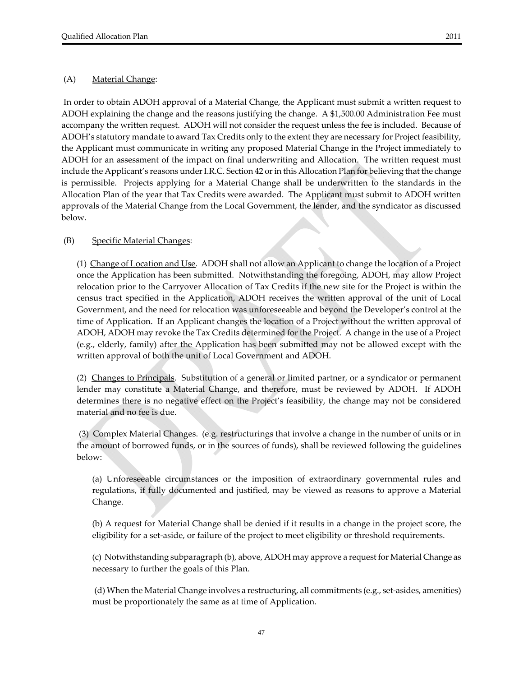#### (A) Material Change:

In order to obtain ADOH approval of a Material Change, the Applicant must submit a written request to ADOH explaining the change and the reasons justifying the change. A \$1,500.00 Administration Fee must accompany the written request. ADOH will not consider the request unless the fee is included. Because of ADOH's statutory mandate to award Tax Credits only to the extent they are necessary for Project feasibility, the Applicant must communicate in writing any proposed Material Change in the Project immediately to ADOH for an assessment of the impact on final underwriting and Allocation. The written request must include the Applicant's reasons under I.R.C. Section 42 or in this Allocation Plan for believing that the change is permissible. Projects applying for a Material Change shall be underwritten to the standards in the Allocation Plan of the year that Tax Credits were awarded. The Applicant must submit to ADOH written approvals of the Material Change from the Local Government, the lender, and the syndicator as discussed below.

#### (B) Specific Material Changes:

(1) Change of Location and Use. ADOH shall not allow an Applicant to change the location of a Project once the Application has been submitted. Notwithstanding the foregoing, ADOH, may allow Project relocation prior to the Carryover Allocation of Tax Credits if the new site for the Project is within the census tract specified in the Application, ADOH receives the written approval of the unit of Local Government, and the need for relocation was unforeseeable and beyond the Developer's control at the time of Application. If an Applicant changes the location of a Project without the written approval of ADOH, ADOH may revoke the Tax Credits determined for the Project. A change in the use of a Project (e.g., elderly, family) after the Application has been submitted may not be allowed except with the written approval of both the unit of Local Government and ADOH.

(2) Changes to Principals. Substitution of a general or limited partner, or a syndicator or permanent lender may constitute a Material Change, and therefore, must be reviewed by ADOH. If ADOH determines there is no negative effect on the Project's feasibility, the change may not be considered material and no fee is due.

(3) Complex Material Changes. (e.g. restructurings that involve a change in the number of units or in the amount of borrowed funds, or in the sources of funds), shall be reviewed following the guidelines below:

(a) Unforeseeable circumstances or the imposition of extraordinary governmental rules and regulations, if fully documented and justified, may be viewed as reasons to approve a Material Change.

(b) A request for Material Change shall be denied if it results in a change in the project score, the eligibility for a set‐aside, or failure of the project to meet eligibility or threshold requirements.

(c) Notwithstanding subparagraph (b), above, ADOH may approve a request for Material Change as necessary to further the goals of this Plan.

(d) When the Material Change involves a restructuring, all commitments (e.g., set‐asides, amenities) must be proportionately the same as at time of Application.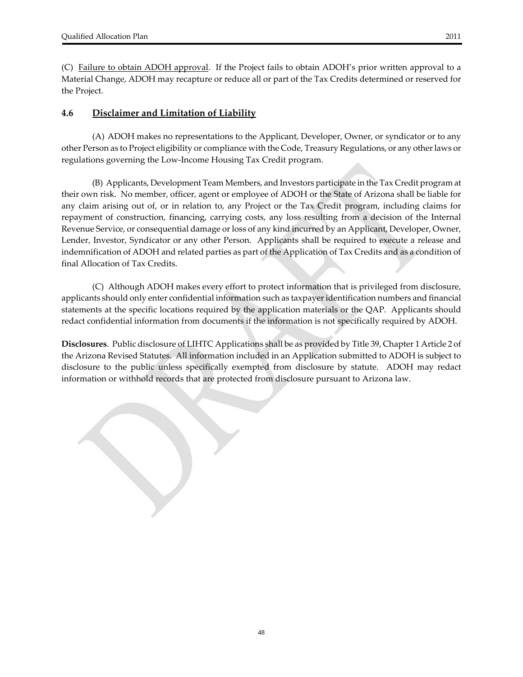(C) Failure to obtain ADOH approval. If the Project fails to obtain ADOH's prior written approval to a Material Change, ADOH may recapture or reduce all or part of the Tax Credits determined or reserved for the Project.

#### **4.6 Disclaimer and Limitation of Liability**

 (A) ADOH makes no representations to the Applicant, Developer, Owner, or syndicator or to any other Person as to Project eligibility or compliance with the Code, Treasury Regulations, or any otherlaws or regulations governing the Low‐Income Housing Tax Credit program.

 (B) Applicants, Development Team Members, and Investors participate in the Tax Credit program at their own risk. No member, officer, agent or employee of ADOH or the State of Arizona shall be liable for any claim arising out of, or in relation to, any Project or the Tax Credit program, including claims for repayment of construction, financing, carrying costs, any loss resulting from a decision of the Internal Revenue Service, or consequential damage or loss of any kind incurred by an Applicant, Developer, Owner, Lender, Investor, Syndicator or any other Person. Applicants shall be required to execute a release and indemnification of ADOH and related parties as part of the Application of Tax Credits and as a condition of final Allocation of Tax Credits.

(C) Although ADOH makes every effort to protect information that is privileged from disclosure, applicants should only enter confidential information such as taxpayeridentification numbers and financial statements at the specific locations required by the application materials or the QAP. Applicants should redact confidential information from documents if the information is not specifically required by ADOH.

**Disclosures**. Public disclosure of LIHTC Applications shall be as provided by Title 39, Chapter 1 Article 2 of the Arizona Revised Statutes. All information included in an Application submitted to ADOH is subject to disclosure to the public unless specifically exempted from disclosure by statute. ADOH may redact information or withhold records that are protected from disclosure pursuant to Arizona law.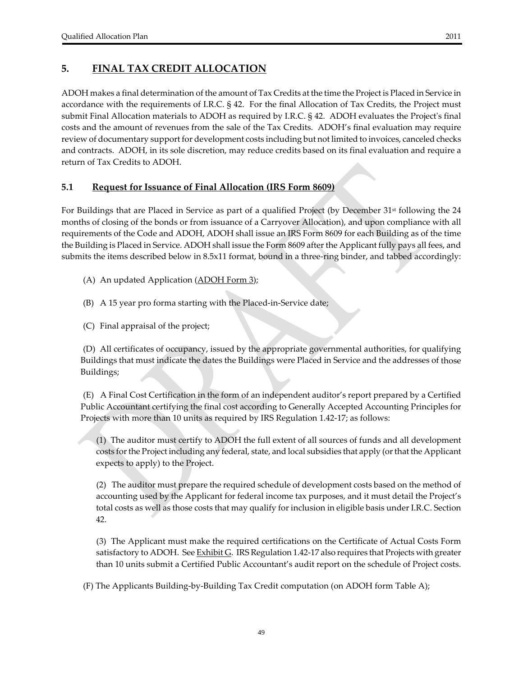ADOH makes a final determination of the amount of Tax Credits at the time the Project is Placed in Service in accordance with the requirements of I.R.C. § 42. For the final Allocation of Tax Credits, the Project must submit Final Allocation materials to ADOH as required by I.R.C.  $\S$  42. ADOH evaluates the Project's final costs and the amount of revenues from the sale of the Tax Credits. ADOH's final evaluation may require review of documentary support for development costs including but not limited to invoices, canceled checks and contracts. ADOH, in its sole discretion, may reduce credits based on its final evaluation and require a return of Tax Credits to ADOH.

#### **5.1 Request for Issuance of Final Allocation (IRS Form 8609)**

For Buildings that are Placed in Service as part of a qualified Project (by December 31<sup>st</sup> following the 24 months of closing of the bonds or from issuance of a Carryover Allocation), and upon compliance with all requirements of the Code and ADOH, ADOH shall issue an IRS Form 8609 for each Building as of the time the Building is Placed in Service. ADOH shall issue the Form 8609 afterthe Applicant fully pays all fees, and submits the items described below in 8.5x11 format, bound in a three-ring binder, and tabbed accordingly:

- (A) An updated Application (ADOH Form 3);
- (B) A 15 year pro forma starting with the Placed‐in‐Service date;
- (C) Final appraisal of the project;

(D) All certificates of occupancy, issued by the appropriate governmental authorities, for qualifying Buildings that must indicate the dates the Buildings were Placed in Service and the addresses of those Buildings;

(E) A Final Cost Certification in the form of an independent auditor's report prepared by a Certified Public Accountant certifying the final cost according to Generally Accepted Accounting Principles for Projects with more than 10 units as required by IRS Regulation 1.42‐17; as follows:

(1) The auditor must certify to ADOH the full extent of all sources of funds and all development costs forthe Project including any federal, state, and local subsidies that apply (orthat the Applicant expects to apply) to the Project.

(2) The auditor must prepare the required schedule of development costs based on the method of accounting used by the Applicant for federal income tax purposes, and it must detail the Project's total costs as well as those costs that may qualify for inclusion in eligible basis under I.R.C. Section 42.

(3) The Applicant must make the required certifications on the Certificate of Actual Costs Form satisfactory to ADOH. See **Exhibit G**. IRS Regulation 1.42-17 also requires that Projects with greater than 10 units submit a Certified Public Accountant's audit report on the schedule of Project costs.

(F) The Applicants Building‐by‐Building Tax Credit computation (on ADOH form Table A);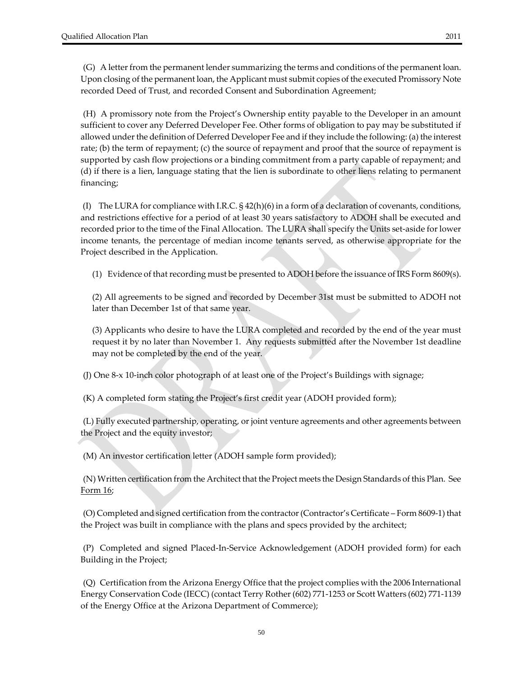(H) A promissory note from the Project's Ownership entity payable to the Developer in an amount sufficient to cover any Deferred Developer Fee. Other forms of obligation to pay may be substituted if allowed under the definition of Deferred Developer Fee and if they include the following: (a) the interest rate; (b) the term of repayment; (c) the source of repayment and proof that the source of repayment is supported by cash flow projections or a binding commitment from a party capable of repayment; and (d) if there is a lien, language stating that the lien is subordinate to other liens relating to permanent financing;

(I) The LURA for compliance with I.R.C.  $\S$  42(h)(6) in a form of a declaration of covenants, conditions, and restrictions effective for a period of at least 30 years satisfactory to ADOH shall be executed and recorded prior to the time of the Final Allocation. The LURA shall specify the Units set‐aside for lower income tenants, the percentage of median income tenants served, as otherwise appropriate for the Project described in the Application.

(1) Evidence of that recording must be presented to ADOH before the issuance of IRS Form  $8609(s)$ .

(2) All agreements to be signed and recorded by December 31st must be submitted to ADOH not later than December 1st of that same year.

(3) Applicants who desire to have the LURA completed and recorded by the end of the year must request it by no later than November 1. Any requests submitted after the November 1st deadline may not be completed by the end of the year.

(J) One 8‐x 10‐inch color photograph of at least one of the Project's Buildings with signage;

(K) A completed form stating the Project's first credit year (ADOH provided form);

(L) Fully executed partnership, operating, or joint venture agreements and other agreements between the Project and the equity investor;

(M) An investor certification letter (ADOH sample form provided);

(N) Written certification from the Architect that the Project meets the Design Standards of this Plan. See Form 16;

(O) Completed and signed certification from the contractor(Contractor's Certificate – Form 8609‐1) that the Project was built in compliance with the plans and specs provided by the architect;

(P) Completed and signed Placed‐In‐Service Acknowledgement (ADOH provided form) for each Building in the Project;

(Q) Certification from the Arizona Energy Office that the project complies with the 2006 International Energy Conservation Code (IECC) (contact Terry Rother (602) 771‐1253 or Scott Watters (602) 771‐1139 of the Energy Office at the Arizona Department of Commerce);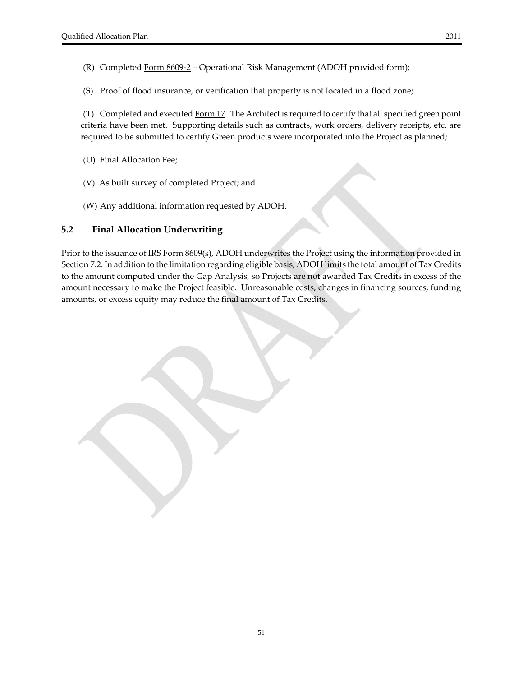- (R) Completed Form 8609-2 Operational Risk Management (ADOH provided form);
- (S) Proof of flood insurance, or verification that property is not located in a flood zone;

(T) Completed and executed Form 17. The Architect is required to certify that all specified green point criteria have been met. Supporting details such as contracts, work orders, delivery receipts, etc. are required to be submitted to certify Green products were incorporated into the Project as planned;

- (U) Final Allocation Fee;
- (V) As built survey of completed Project; and
- (W) Any additional information requested by ADOH.

#### **5.2 Final Allocation Underwriting**

Prior to the issuance of IRS Form 8609(s), ADOH underwrites the Project using the information provided in Section 7.2. In addition to the limitation regarding eligible basis, ADOH limits the total amount of Tax Credits to the amount computed under the Gap Analysis, so Projects are not awarded Tax Credits in excess of the amount necessary to make the Project feasible. Unreasonable costs, changes in financing sources, funding amounts, or excess equity may reduce the final amount of Tax Credits.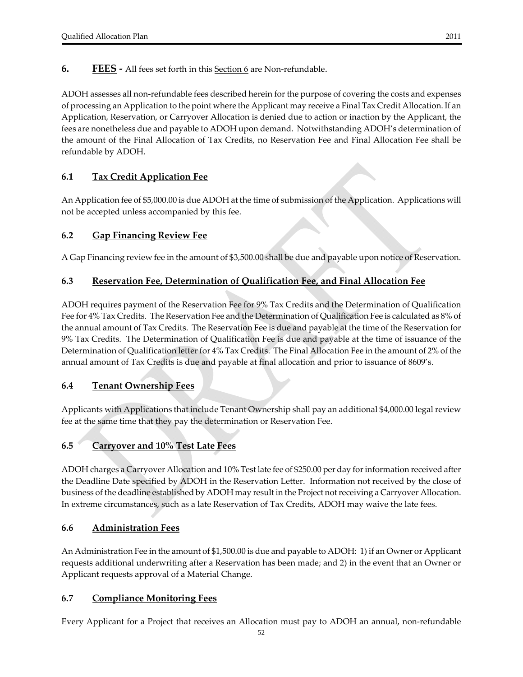**6. FEES** - All fees set forth in this Section 6 are Non-refundable.

ADOH assesses all non‐refundable fees described herein for the purpose of covering the costs and expenses of processing an Application to the point where the Applicant may receive a Final Tax Credit Allocation. If an Application, Reservation, or Carryover Allocation is denied due to action or inaction by the Applicant, the fees are nonetheless due and payable to ADOH upon demand. Notwithstanding ADOH's determination of the amount of the Final Allocation of Tax Credits, no Reservation Fee and Final Allocation Fee shall be refundable by ADOH.

# **6.1 Tax Credit Application Fee**

An Application fee of \$5,000.00 is due ADOH at the time of submission of the Application. Applications will not be accepted unless accompanied by this fee.

#### **6.2 Gap Financing Review Fee**

A Gap Financing review fee in the amount of \$3,500.00 shall be due and payable upon notice of Reservation.

#### **6.3 Reservation Fee, Determination of Qualification Fee, and Final Allocation Fee**

ADOH requires payment of the Reservation Fee for 9% Tax Credits and the Determination of Qualification Fee for 4% Tax Credits. The Reservation Fee and the Determination of Qualification Fee is calculated as 8% of the annual amount of Tax Credits. The Reservation Fee is due and payable at the time of the Reservation for 9% Tax Credits. The Determination of Qualification Fee is due and payable at the time of issuance of the Determination of Qualification letter for 4% Tax Credits. The Final Allocation Fee in the amount of 2% of the annual amount of Tax Credits is due and payable at final allocation and prior to issuance of 8609's.

#### **6.4 Tenant Ownership Fees**

Applicants with Applications that include Tenant Ownership shall pay an additional \$4,000.00 legal review fee at the same time that they pay the determination or Reservation Fee.

#### **6.5 Carryover and 10% Test Late Fees**

ADOH charges a Carryover Allocation and 10% Test late fee of \$250.00 per day for information received after the Deadline Date specified by ADOH in the Reservation Letter. Information not received by the close of business of the deadline established by ADOH may result in the Project not receiving a Carryover Allocation. In extreme circumstances, such as a late Reservation of Tax Credits, ADOH may waive the late fees.

#### **6.6 Administration Fees**

An Administration Fee in the amount of \$1,500.00 is due and payable to ADOH: 1) if an Owner or Applicant requests additional underwriting after a Reservation has been made; and 2) in the event that an Owner or Applicant requests approval of a Material Change.

#### **6.7 Compliance Monitoring Fees**

Every Applicant for a Project that receives an Allocation must pay to ADOH an annual, non‐refundable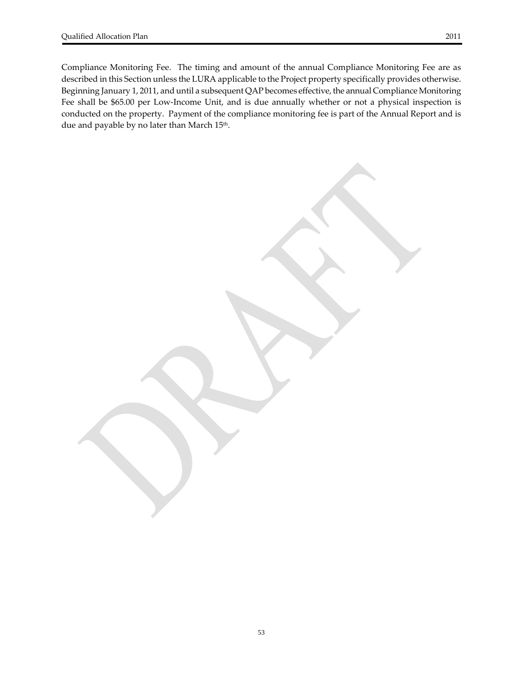Compliance Monitoring Fee. The timing and amount of the annual Compliance Monitoring Fee are as described in this Section unless the LURA applicable to the Project property specifically provides otherwise. Beginning January 1, 2011, and until a subsequent QAP becomes effective, the annual Compliance Monitoring Fee shall be \$65.00 per Low-Income Unit, and is due annually whether or not a physical inspection is conducted on the property. Payment of the compliance monitoring fee is part of the Annual Report and is due and payable by no later than March 15<sup>th</sup>.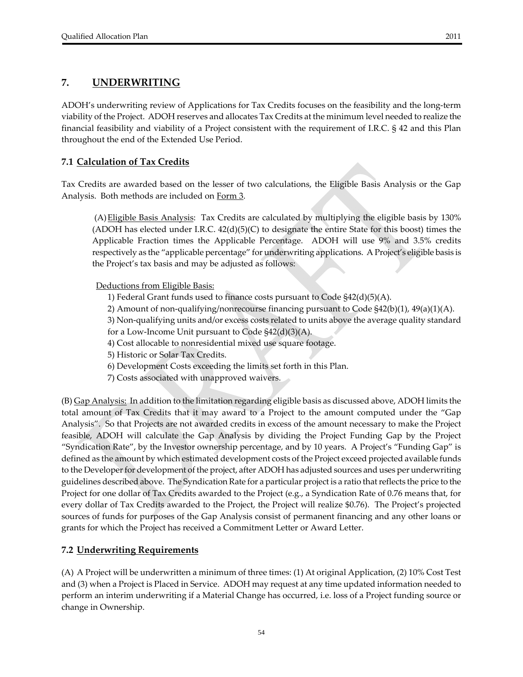# **7. UNDERWRITING**

ADOH's underwriting review of Applications for Tax Credits focuses on the feasibility and the long‐term viability of the Project. ADOH reserves and allocates Tax Credits at the minimum level needed to realize the financial feasibility and viability of a Project consistent with the requirement of I.R.C. § 42 and this Plan throughout the end of the Extended Use Period.

# **7.1 Calculation of Tax Credits**

Tax Credits are awarded based on the lesser of two calculations, the Eligible Basis Analysis or the Gap Analysis. Both methods are included on Form 3.

(A)Eligible Basis Analysis: Tax Credits are calculated by multiplying the eligible basis by 130% (ADOH has elected under I.R.C.  $42(d)(5)(C)$  to designate the entire State for this boost) times the Applicable Fraction times the Applicable Percentage. ADOH will use 9% and 3.5% credits respectively as the "applicable percentage" for underwriting applications. A Project's eligible basis is the Project's tax basis and may be adjusted as follows:

Deductions from Eligible Basis:

- 1) Federal Grant funds used to finance costs pursuant to Code §42(d)(5)(A).
- 2) Amount of non-qualifying/nonrecourse financing pursuant to Code  $\frac{242(b)(1)}{49(a)(1)(A)}$ .

3) Non-qualifying units and/or excess costs related to units above the average quality standard for a Low-Income Unit pursuant to Code  $\S42(d)(3)(A)$ .

- 4) Cost allocable to nonresidential mixed use square footage.
- 5) Historic or Solar Tax Credits.
- 6) Development Costs exceeding the limits set forth in this Plan.
- 7) Costs associated with unapproved waivers.

(B) Gap Analysis: In addition to the limitation regarding eligible basis as discussed above, ADOH limits the total amount of Tax Credits that it may award to a Project to the amount computed under the "Gap Analysis". So that Projects are not awarded credits in excess of the amount necessary to make the Project feasible, ADOH will calculate the Gap Analysis by dividing the Project Funding Gap by the Project "Syndication Rate", by the Investor ownership percentage, and by 10 years. A Project's "Funding Gap" is defined as the amount by which estimated development costs of the Project exceed projected available funds to the Developerfor development of the project, after ADOH has adjusted sources and uses per underwriting guidelines described above. The Syndication Rate for a particular project is a ratio thatreflects the price to the Project for one dollar of Tax Credits awarded to the Project (e.g., a Syndication Rate of 0.76 means that, for every dollar of Tax Credits awarded to the Project, the Project will realize \$0.76). The Project's projected sources of funds for purposes of the Gap Analysis consist of permanent financing and any other loans or grants for which the Project has received a Commitment Letter or Award Letter.

#### **7.2 Underwriting Requirements**

(A) A Project will be underwritten a minimum of three times: (1) At original Application, (2) 10% Cost Test and (3) when a Project is Placed in Service. ADOH may request at any time updated information needed to perform an interim underwriting if a Material Change has occurred, i.e. loss of a Project funding source or change in Ownership.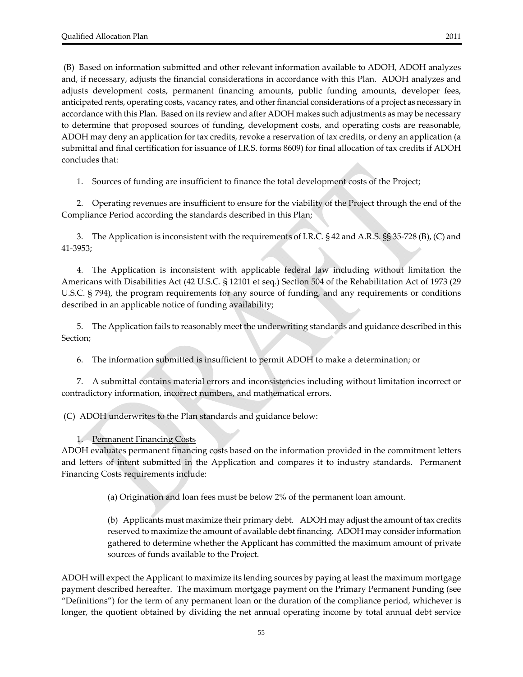(B) Based on information submitted and other relevant information available to ADOH, ADOH analyzes and, if necessary, adjusts the financial considerations in accordance with this Plan. ADOH analyzes and adjusts development costs, permanent financing amounts, public funding amounts, developer fees, anticipated rents, operating costs, vacancy rates, and other financial considerations of a project as necessary in accordance with this Plan. Based on its review and after ADOH makes such adjustments as may be necessary to determine that proposed sources of funding, development costs, and operating costs are reasonable, ADOH may deny an application for tax credits, revoke a reservation of tax credits, or deny an application (a submittal and final certification for issuance of I.R.S. forms 8609) for final allocation of tax credits if ADOH concludes that:

1. Sources of funding are insufficient to finance the total development costs of the Project;

2. Operating revenues are insufficient to ensure for the viability of the Project through the end of the Compliance Period according the standards described in this Plan;

3. The Application is inconsistent with the requirements of I.R.C. § 42 and A.R.S. §§ 35‐728 (B), (C) and 41‐3953;

4. The Application is inconsistent with applicable federal law including without limitation the Americans with Disabilities Act (42 U.S.C. § 12101 et seq.) Section 504 of the Rehabilitation Act of 1973 (29 U.S.C. § 794), the program requirements for any source of funding, and any requirements or conditions described in an applicable notice of funding availability;

5. The Application fails to reasonably meet the underwriting standards and guidance described in this Section;

6. The information submitted is insufficient to permit ADOH to make a determination; or

7. A submittal contains material errors and inconsistencies including without limitation incorrect or contradictory information, incorrect numbers, and mathematical errors.

(C) ADOH underwrites to the Plan standards and guidance below:

1. Permanent Financing Costs

ADOH evaluates permanent financing costs based on the information provided in the commitment letters and letters of intent submitted in the Application and compares it to industry standards. Permanent Financing Costs requirements include:

(a) Origination and loan fees must be below 2% of the permanent loan amount.

(b) Applicants must maximize their primary debt. ADOH may adjust the amount of tax credits reserved to maximize the amount of available debt financing. ADOH may considerinformation gathered to determine whether the Applicant has committed the maximum amount of private sources of funds available to the Project.

ADOH will expect the Applicant to maximize its lending sources by paying at least the maximum mortgage payment described hereafter. The maximum mortgage payment on the Primary Permanent Funding (see "Definitions") for the term of any permanent loan or the duration of the compliance period, whichever is longer, the quotient obtained by dividing the net annual operating income by total annual debt service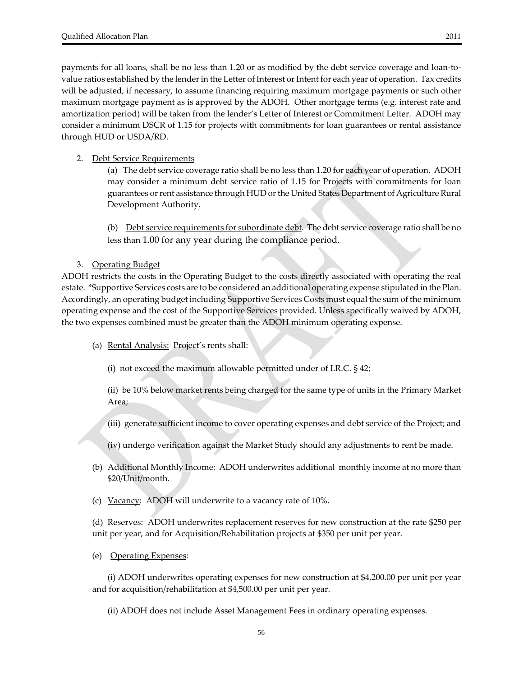payments for all loans, shall be no less than 1.20 or as modified by the debt service coverage and loan‐to‐ value ratios established by the lender in the Letter of Interest or Intent for each year of operation. Tax credits will be adjusted, if necessary, to assume financing requiring maximum mortgage payments or such other maximum mortgage payment as is approved by the ADOH. Other mortgage terms (e.g. interest rate and amortization period) will be taken from the lender's Letter of Interest or Commitment Letter. ADOH may consider a minimum DSCR of 1.15 for projects with commitments for loan guarantees or rental assistance through HUD or USDA/RD.

#### 2. Debt Service Requirements

 (a) The debt service coverage ratio shall be no less than 1.20 for each year of operation. ADOH may consider a minimum debt service ratio of 1.15 for Projects with commitments for loan guarantees or rent assistance through HUD or the United States Department of Agriculture Rural Development Authority.

(b) Debt service requirements for subordinate debt. The debt service coverage ratio shall be no less than 1.00 for any year during the compliance period.

#### 3. Operating Budget

ADOH restricts the costs in the Operating Budget to the costs directly associated with operating the real estate. \*Supportive Services costs are to be considered an additional operating expense stipulated in the Plan. Accordingly, an operating budget including Supportive Services Costs must equal the sum of the minimum operating expense and the cost of the Supportive Services provided. Unless specifically waived by ADOH, the two expenses combined must be greater than the ADOH minimum operating expense.

(a) Rental Analysis: Project's rents shall:

(i) not exceed the maximum allowable permitted under of I.R.C. § 42;

(ii) be 10% below market rents being charged for the same type of units in the Primary Market Area;

- (iii) generate sufficient income to cover operating expenses and debt service of the Project; and
- (iv) undergo verification against the Market Study should any adjustments to rent be made.
- (b) Additional Monthly Income: ADOH underwrites additional monthly income at no more than \$20/Unit/month.
- (c) Vacancy: ADOH will underwrite to a vacancy rate of 10%.

(d) Reserves: ADOH underwrites replacement reserves for new construction at the rate \$250 per unit per year, and for Acquisition/Rehabilitation projects at \$350 per unit per year.

(e) Operating Expenses:

(i) ADOH underwrites operating expenses for new construction at \$4,200.00 per unit per year and for acquisition/rehabilitation at \$4,500.00 per unit per year.

(ii) ADOH does not include Asset Management Fees in ordinary operating expenses.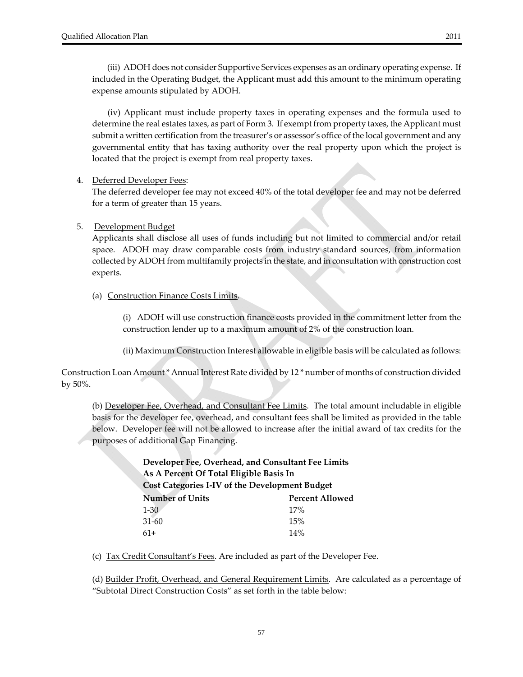(iii) ADOH does not consider Supportive Services expenses as an ordinary operating expense. If included in the Operating Budget, the Applicant must add this amount to the minimum operating expense amounts stipulated by ADOH.

(iv) Applicant must include property taxes in operating expenses and the formula used to determine the real estates taxes, as part of  $Form 3$ . If exempt from property taxes, the Applicant must</u> submit a written certification from the treasurer's or assessor's office of the local government and any governmental entity that has taxing authority over the real property upon which the project is located that the project is exempt from real property taxes.

#### 4. Deferred Developer Fees:

The deferred developer fee may not exceed 40% of the total developer fee and may not be deferred for a term of greater than 15 years.

#### 5. Development Budget

Applicants shall disclose all uses of funds including but not limited to commercial and/or retail space. ADOH may draw comparable costs from industry standard sources, from information collected by ADOH from multifamily projects in the state, and in consultation with construction cost experts.

(a) Construction Finance Costs Limits.

(i) ADOH will use construction finance costs provided in the commitment letter from the construction lender up to a maximum amount of 2% of the construction loan.

(ii) Maximum Construction Interest allowable in eligible basis will be calculated as follows:

Construction Loan Amount\* Annual Interest Rate divided by 12 \* number of months of construction divided by 50%.

(b) <u>Developer Fee, Overhead, and Consultant Fee Limits</u>. The total amount includable in eligible basis for the developer fee, overhead, and consultant fees shall be limited as provided in the table below. Developer fee will not be allowed to increase after the initial award of tax credits for the purposes of additional Gap Financing.

| Developer Fee, Overhead, and Consultant Fee Limits |                        |  |  |  |  |
|----------------------------------------------------|------------------------|--|--|--|--|
| As A Percent Of Total Eligible Basis In            |                        |  |  |  |  |
| Cost Categories I-IV of the Development Budget     |                        |  |  |  |  |
| <b>Number of Units</b>                             | <b>Percent Allowed</b> |  |  |  |  |
| $1 - 30$                                           | 17%                    |  |  |  |  |
| $31 - 60$                                          | 15%                    |  |  |  |  |
| $61+$                                              | 14%                    |  |  |  |  |

(c) Tax Credit Consultant's Fees. Are included as part of the Developer Fee.

(d) Builder Profit, Overhead, and General Requirement Limits. Are calculated as a percentage of "Subtotal Direct Construction Costs" as set forth in the table below: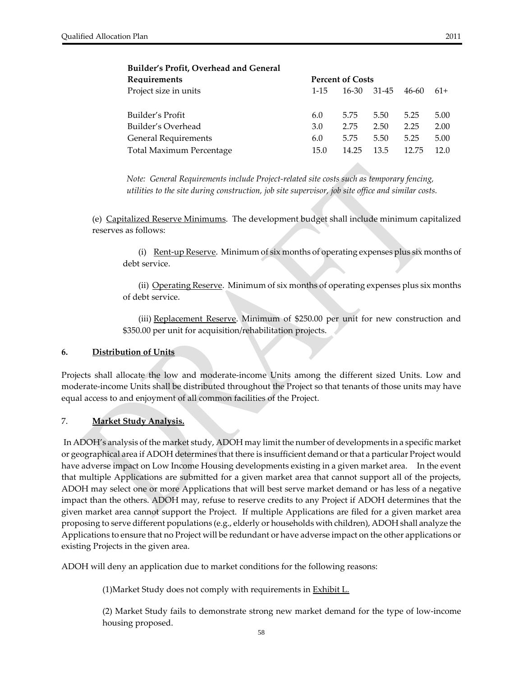| Requirements                |           | <b>Percent of Costs</b> |       |       |       |  |  |
|-----------------------------|-----------|-------------------------|-------|-------|-------|--|--|
| Project size in units       | $1 - 1.5$ | 16-30                   | 31-45 | 46-60 | $61+$ |  |  |
|                             |           |                         |       |       |       |  |  |
| Builder's Profit            | 6.0       | 5.75                    | 5.50  | 5.25  | 5.00  |  |  |
| Builder's Overhead          | 3.0       | 2.75                    | 2.50  | 2.25  | 2.00  |  |  |
| <b>General Requirements</b> | 6.0       | 5.75                    | 5.50  | 5.25  | 5.00  |  |  |
| Total Maximum Percentage    | 15.0      | 14.25                   | 13.5  | 12.75 | 12.0  |  |  |
|                             |           |                         |       |       |       |  |  |

#### **Builder's Profit, Overhead and General**

*Note: General Requirements include Project‐related site costs such as temporary fencing, utilities to the site during construction, job site supervisor, job site office and similar costs.* 

(e) Capitalized Reserve Minimums. The development budget shall include minimum capitalized reserves as follows:

(i) Rent-up Reserve. Minimum of six months of operating expenses plus six months of debt service.

(ii) Operating Reserve. Minimum of six months of operating expenses plus six months of debt service.

(iii) Replacement Reserve. Minimum of \$250.00 per unit for new construction and \$350.00 per unit for acquisition/rehabilitation projects.

#### **6. Distribution of Units**

Projects shall allocate the low and moderate‐income Units among the different sized Units. Low and moderate-income Units shall be distributed throughout the Project so that tenants of those units may have equal access to and enjoyment of all common facilities of the Project.

#### 7. **Market Study Analysis.**

In ADOH's analysis of the market study, ADOH may limit the number of developments in a specific market or geographical area if ADOH determines that there is insufficient demand orthat a particular Project would have adverse impact on Low Income Housing developments existing in a given market area. In the event that multiple Applications are submitted for a given market area that cannot support all of the projects, ADOH may select one or more Applications that will best serve market demand or has less of a negative impact than the others. ADOH may, refuse to reserve credits to any Project if ADOH determines that the given market area cannot support the Project. If multiple Applications are filed for a given market area proposing to serve different populations (e.g., elderly or households with children), ADOH shall analyze the Applications to ensure that no Project will be redundant or have adverse impact on the other applications or existing Projects in the given area.

ADOH will deny an application due to market conditions for the following reasons:

(1)Market Study does not comply with requirements in Exhibit L.

(2) Market Study fails to demonstrate strong new market demand for the type of low‐income housing proposed.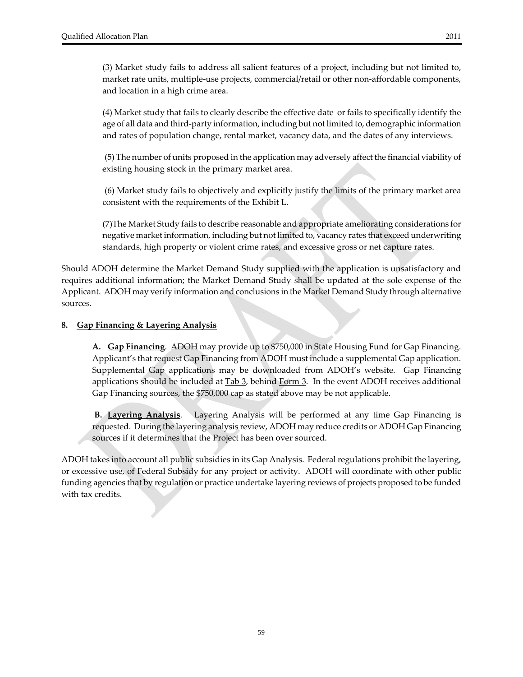(4) Market study that fails to clearly describe the effective date or fails to specifically identify the age of all data and third‐party information, including but not limited to, demographic information and rates of population change, rental market, vacancy data, and the dates of any interviews.

(5) The number of units proposed in the application may adversely affect the financial viability of existing housing stock in the primary market area.

(6) Market study fails to objectively and explicitly justify the limits of the primary market area consistent with the requirements of the **Exhibit L**.

(7)The Market Study fails to describe reasonable and appropriate ameliorating considerations for negative market information, including but not limited to, vacancy rates that exceed underwriting standards, high property or violent crime rates, and excessive gross or net capture rates.

Should ADOH determine the Market Demand Study supplied with the application is unsatisfactory and requires additional information; the Market Demand Study shall be updated at the sole expense of the Applicant. ADOH may verify information and conclusions in the Market Demand Study through alternative sources.

#### **8. Gap Financing & Layering Analysis**

**A. Gap Financing**. ADOH may provide up to \$750,000 in State Housing Fund for Gap Financing. Applicant's that request Gap Financing from ADOH must include a supplemental Gap application. Supplemental Gap applications may be downloaded from ADOH's website. Gap Financing applications should be included at  $Tab 3$ , behind Form  $3$ . In the event ADOH receives additional</u> Gap Financing sources, the \$750,000 cap as stated above may be not applicable.

**B. Layering Analysis**. Layering Analysis will be performed at any time Gap Financing is requested. During the layering analysis review, ADOH may reduce credits or ADOH Gap Financing sources if it determines that the Project has been over sourced.

ADOH takes into account all public subsidies in its Gap Analysis. Federal regulations prohibit the layering, or excessive use, of Federal Subsidy for any project or activity. ADOH will coordinate with other public funding agencies that by regulation or practice undertake layering reviews of projects proposed to be funded with tax credits.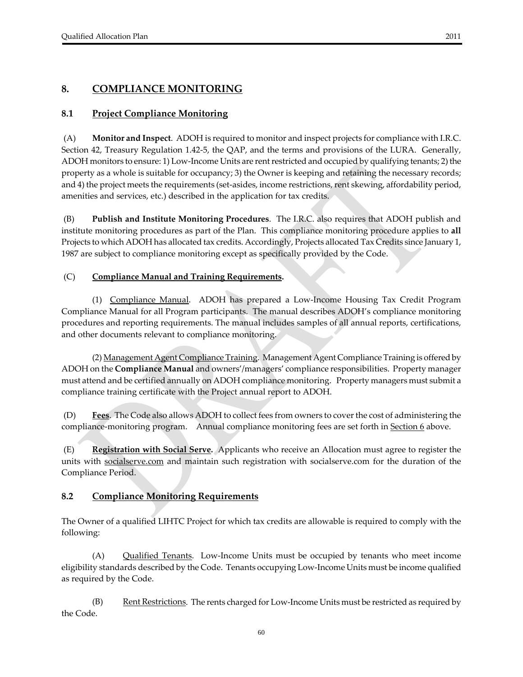# **8.1 Project Compliance Monitoring**

(A) **Monitor and Inspect**. ADOH is required to monitor and inspect projects for compliance with I.R.C. Section 42, Treasury Regulation 1.42‐5, the QAP, and the terms and provisions of the LURA. Generally, ADOH monitors to ensure: 1) Low‐Income Units are rentrestricted and occupied by qualifying tenants; 2) the property as a whole is suitable for occupancy; 3) the Owner is keeping and retaining the necessary records; and 4) the project meets the requirements (set-asides, income restrictions, rent skewing, affordability period, amenities and services, etc.) described in the application for tax credits.

(B) **Publish and Institute Monitoring Procedures**. The I.R.C. also requires that ADOH publish and institute monitoring procedures as part of the Plan. This compliance monitoring procedure applies to **all** Projects to which ADOH has allocated tax credits. Accordingly, Projects allocated Tax Credits since January 1, 1987 are subject to compliance monitoring except as specifically provided by the Code.

#### (C) **Compliance Manual and Training Requirements.**

(1) Compliance Manual. ADOH has prepared a Low-Income Housing Tax Credit Program Compliance Manual for all Program participants. The manual describes ADOH's compliance monitoring procedures and reporting requirements. The manual includes samples of all annual reports, certifications, and other documents relevant to compliance monitoring.

(2) Management Agent Compliance Training. Management Agent Compliance Training is offered by ADOH on the **Compliance Manual** and owners'/managers' compliance responsibilities. Property manager must attend and be certified annually on ADOH compliance monitoring. Property managers must submit a compliance training certificate with the Project annual report to ADOH.

(D) **Fees**. The Code also allows ADOH to collect fees from owners to coverthe cost of administering the compliance-monitoring program. Annual compliance monitoring fees are set forth in Section 6 above.

(E) **Registration with Social Serve.** Applicants who receive an Allocation must agree to register the units with socialserve.com and maintain such registration with socialserve.com for the duration of the Compliance Period.

#### **8.2 Compliance Monitoring Requirements**

The Owner of a qualified LIHTC Project for which tax credits are allowable is required to comply with the following:

 (A) Qualified Tenants. Low‐Income Units must be occupied by tenants who meet income eligibility standards described by the Code. Tenants occupying Low‐Income Units must be income qualified as required by the Code.

 $(B)$  <u>Rent Restrictions</u>. The rents charged for Low-Income Units must be restricted as required by the Code.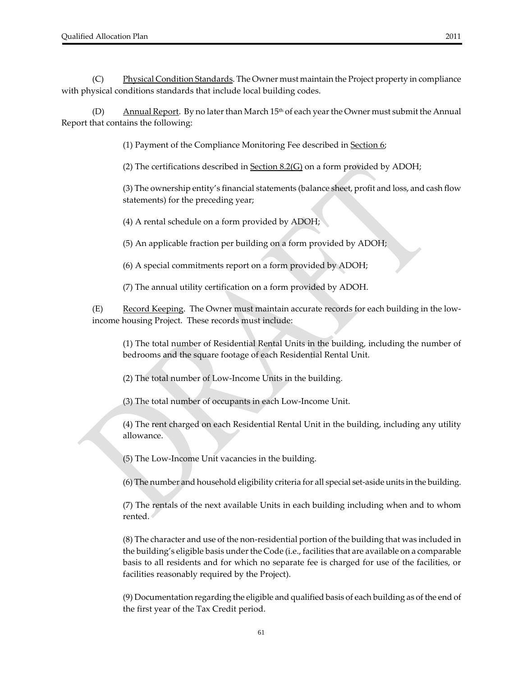(C) Ehysical Condition Standards. The Owner must maintain the Project property in compliance with physical conditions standards that include local building codes.

(D)  $\Delta$ nnual Report. By no later than March 15<sup>th</sup> of each year the Owner must submit the Annual Report that contains the following:

(1) Payment of the Compliance Monitoring Fee described in Section 6;

(2) The certifications described in  $S<sub>2</sub>(G)$  on a form provided by ADOH;

(3) The ownership entity's financial statements (balance sheet, profit and loss, and cash flow statements) for the preceding year;

(4) A rental schedule on a form provided by ADOH;

(5) An applicable fraction per building on a form provided by ADOH;

(6) A special commitments report on a form provided by ADOH;

(7) The annual utility certification on a form provided by ADOH.

(E) Record Keeping. The Owner must maintain accurate records for each building in the lowincome housing Project. These records must include:

(1) The total number of Residential Rental Units in the building, including the number of bedrooms and the square footage of each Residential Rental Unit.

(2) The total number of Low‐Income Units in the building.

(3) The total number of occupants in each Low‐Income Unit.

(4) The rent charged on each Residential Rental Unit in the building, including any utility allowance.

(5) The Low‐Income Unit vacancies in the building.

(6) The number and household eligibility criteria for all special set‐aside units in the building.

(7) The rentals of the next available Units in each building including when and to whom rented.

(8) The character and use of the non‐residential portion of the building that was included in the building's eligible basis under the Code (i.e., facilities that are available on a comparable basis to all residents and for which no separate fee is charged for use of the facilities, or facilities reasonably required by the Project).

(9) Documentation regarding the eligible and qualified basis of each building as of the end of the first year of the Tax Credit period.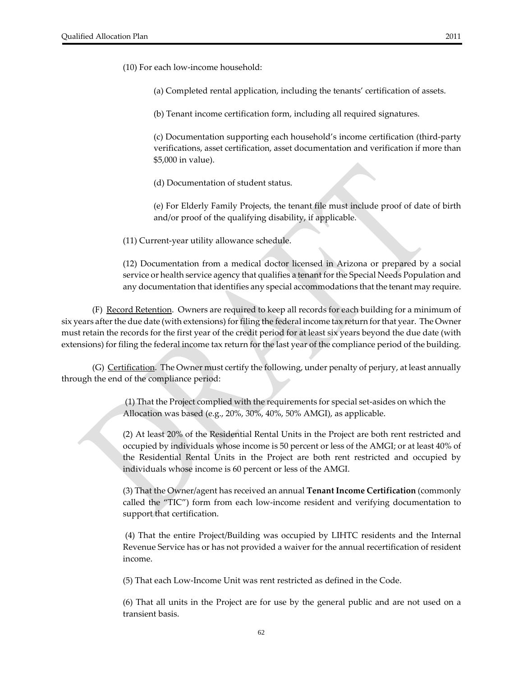(10) For each low‐income household:

(a) Completed rental application, including the tenants' certification of assets.

(b) Tenant income certification form, including all required signatures.

(c) Documentation supporting each household's income certification (third‐party verifications, asset certification, asset documentation and verification if more than \$5,000 in value).

(d) Documentation of student status.

(e) For Elderly Family Projects, the tenant file must include proof of date of birth and/or proof of the qualifying disability, if applicable.

(11) Current‐year utility allowance schedule.

(12) Documentation from a medical doctor licensed in Arizona or prepared by a social service or health service agency that qualifies a tenant forthe Special Needs Population and any documentation that identifies any special accommodations that the tenant may require.

(F) **Record Retention**. Owners are required to keep all records for each building for a minimum of six years after the due date (with extensions) for filing the federal income tax return for that year. The Owner must retain the records for the first year of the credit period for at least six years beyond the due date (with extensions) for filing the federal income tax return for the last year of the compliance period of the building.

(G) Certification. The Owner must certify the following, under penalty of perjury, at least annually through the end of the compliance period:

> (1) That the Project complied with the requirements for special set‐asides on which the Allocation was based (e.g., 20%, 30%, 40%, 50% AMGI), as applicable.

(2) At least 20% of the Residential Rental Units in the Project are both rent restricted and occupied by individuals whose income is 50 percent or less of the AMGI; or at least 40% of the Residential Rental Units in the Project are both rent restricted and occupied by individuals whose income is 60 percent or less of the AMGI.

(3) That the Owner/agent has received an annual **Tenant Income Certification** (commonly called the "TIC") form from each low-income resident and verifying documentation to support that certification.

(4) That the entire Project/Building was occupied by LIHTC residents and the Internal Revenue Service has or has not provided a waiver for the annual recertification of resident income.

(5) That each Low‐Income Unit was rent restricted as defined in the Code.

(6) That all units in the Project are for use by the general public and are not used on a transient basis.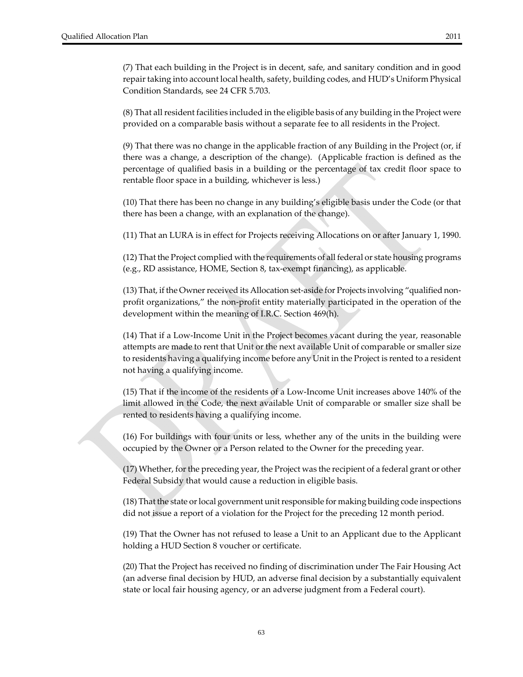(7) That each building in the Project is in decent, safe, and sanitary condition and in good repair taking into account local health, safety, building codes, and HUD's Uniform Physical Condition Standards, see 24 CFR 5.703.

(8) That allresident facilities included in the eligible basis of any building in the Project were provided on a comparable basis without a separate fee to all residents in the Project.

(9) That there was no change in the applicable fraction of any Building in the Project (or, if there was a change, a description of the change). (Applicable fraction is defined as the percentage of qualified basis in a building or the percentage of tax credit floor space to rentable floor space in a building, whichever is less.)

(10) That there has been no change in any building's eligible basis under the Code (or that there has been a change, with an explanation of the change).

(11) That an LURA is in effect for Projects receiving Allocations on or after January 1, 1990.

(12) That the Project complied with the requirements of all federal or state housing programs (e.g., RD assistance, HOME, Section 8, tax‐exempt financing), as applicable.

(13) That, if the Ownerreceived its Allocation set‐aside for Projects involving "qualified non‐ profit organizations," the non‐profit entity materially participated in the operation of the development within the meaning of I.R.C. Section 469(h).

(14) That if a Low‐Income Unit in the Project becomes vacant during the year, reasonable attempts are made to rent that Unit or the next available Unit of comparable or smaller size to residents having a qualifying income before any Unit in the Project is rented to a resident not having a qualifying income.

(15) That if the income of the residents of a Low‐Income Unit increases above 140% of the limit allowed in the Code, the next available Unit of comparable or smaller size shall be rented to residents having a qualifying income.

(16) For buildings with four units or less, whether any of the units in the building were occupied by the Owner or a Person related to the Owner for the preceding year.

(17) Whether, forthe preceding year, the Project was the recipient of a federal grant or other Federal Subsidy that would cause a reduction in eligible basis.

(18) That the state orlocal government unitresponsible for making building code inspections did not issue a report of a violation for the Project for the preceding 12 month period.

(19) That the Owner has not refused to lease a Unit to an Applicant due to the Applicant holding a HUD Section 8 voucher or certificate.

(20) That the Project has received no finding of discrimination under The Fair Housing Act (an adverse final decision by HUD, an adverse final decision by a substantially equivalent state or local fair housing agency, or an adverse judgment from a Federal court).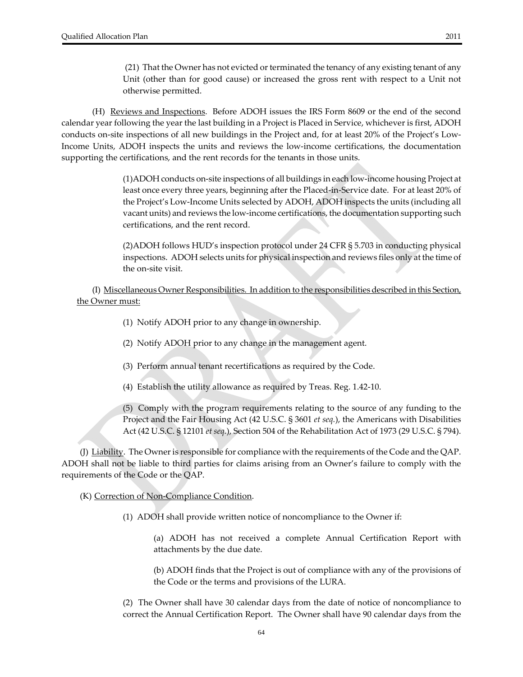(21) That the Owner has not evicted or terminated the tenancy of any existing tenant of any Unit (other than for good cause) or increased the gross rent with respect to a Unit not otherwise permitted.

 (H) Reviews and Inspections. Before ADOH issues the IRS Form 8609 or the end of the second calendar year following the year the last building in a Project is Placed in Service, whichever is first, ADOH conducts on‐site inspections of all new buildings in the Project and, for at least 20% of the Project's Low‐ Income Units, ADOH inspects the units and reviews the low‐income certifications, the documentation supporting the certifications, and the rent records for the tenants in those units.

> (1)ADOH conducts on‐site inspections of all buildings in each low‐income housing Project at least once every three years, beginning after the Placed-in-Service date. For at least 20% of the Project's Low‐Income Units selected by ADOH, ADOH inspects the units (including all vacant units) and reviews the low‐income certifications, the documentation supporting such certifications, and the rent record.

> (2)ADOH follows HUD's inspection protocol under 24 CFR § 5.703 in conducting physical inspections. ADOH selects units for physical inspection and reviews files only at the time of the on‐site visit.

 (I) Miscellaneous Owner Responsibilities. In addition to the responsibilities described in this Section, the Owner must:

- (1) Notify ADOH prior to any change in ownership.
- (2) Notify ADOH prior to any change in the management agent.
- (3) Perform annual tenant recertifications as required by the Code.
- (4) Establish the utility allowance as required by Treas. Reg. 1.42‐10.

(5) Comply with the program requirements relating to the source of any funding to the Project and the Fair Housing Act (42 U.S.C. § 3601 *et seq.*), the Americans with Disabilities Act (42 U.S.C. § 12101 *et seq.*), Section 504 of the Rehabilitation Act of 1973 (29 U.S.C. § 794).

(J)  $\underline{\text{Liability}}$ . The Owner is responsible for compliance with the requirements of the Code and the QAP. ADOH shall not be liable to third parties for claims arising from an Owner's failure to comply with the requirements of the Code or the QAP.

(K) Correction of Non‐Compliance Condition.

(1) ADOH shall provide written notice of noncompliance to the Owner if:

(a) ADOH has not received a complete Annual Certification Report with attachments by the due date.

(b) ADOH finds that the Project is out of compliance with any of the provisions of the Code or the terms and provisions of the LURA.

(2) The Owner shall have 30 calendar days from the date of notice of noncompliance to correct the Annual Certification Report. The Owner shall have 90 calendar days from the